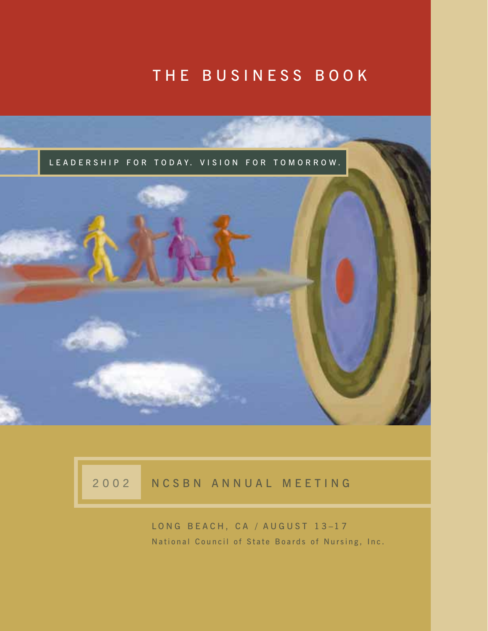# THE BUSINESS BOOK



## 2002 NCSBN ANNUAL MEETING

LONG BEACH, CA / AUGUST 13–17 National Council of State Boards of Nursing, Inc.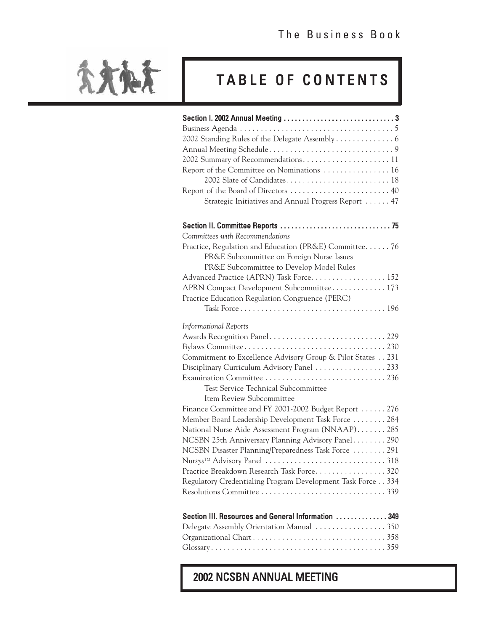

# TABLE OF CONTENTS

| Report of the Committee on Nominations  16                  |
|-------------------------------------------------------------|
|                                                             |
| Report of the Board of Directors  40                        |
| Strategic Initiatives and Annual Progress Report  47        |
|                                                             |
| Committees with Recommendations                             |
| Practice, Regulation and Education (PR&E) Committee. 76     |
| PR&E Subcommittee on Foreign Nurse Issues                   |
| PR&E Subcommittee to Develop Model Rules                    |
| Advanced Practice (APRN) Task Force 152                     |
| APRN Compact Development Subcommittee 173                   |
| Practice Education Regulation Congruence (PERC)             |
|                                                             |
| <b>Informational Reports</b>                                |
|                                                             |
|                                                             |
| Commitment to Excellence Advisory Group & Pilot States 231  |
| Disciplinary Curriculum Advisory Panel 233                  |
|                                                             |
| <b>Test Service Technical Subcommittee</b>                  |
| Item Review Subcommittee                                    |
| Finance Committee and FY 2001-2002 Budget Report  276       |
| Member Board Leadership Development Task Force 284          |
| National Nurse Aide Assessment Program (NNAAP) 285          |
| NCSBN 25th Anniversary Planning Advisory Panel 290          |
| NCSBN Disaster Planning/Preparedness Task Force  291        |
|                                                             |
| Practice Breakdown Research Task Force320                   |
| Regulatory Credentialing Program Development Task Force 334 |
|                                                             |
| Section III. Resources and General Information  349         |
| Delegate Assembly Orientation Manual 350                    |
|                                                             |
|                                                             |

## 2002 NCSBN ANNUAL MEETING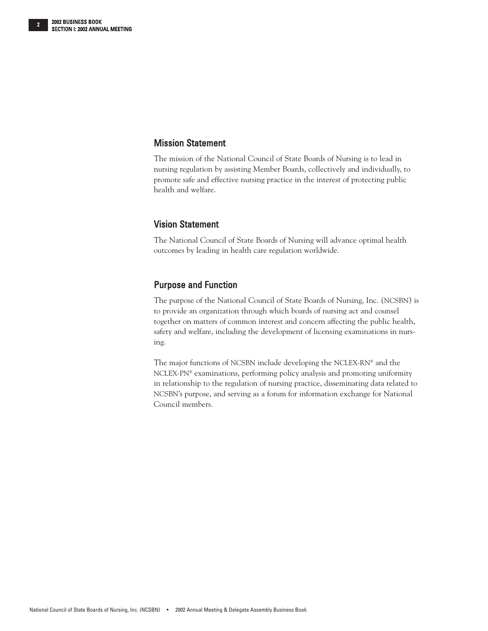### Mission Statement

The mission of the National Council of State Boards of Nursing is to lead in nursing regulation by assisting Member Boards, collectively and individually, to promote safe and effective nursing practice in the interest of protecting public health and welfare.

### Vision Statement

The National Council of State Boards of Nursing will advance optimal health outcomes by leading in health care regulation worldwide.

### Purpose and Function

The purpose of the National Council of State Boards of Nursing, Inc. (NCSBN) is to provide an organization through which boards of nursing act and counsel together on matters of common interest and concern affecting the public health, safety and welfare, including the development of licensing examinations in nursing.

The major functions of NCSBN include developing the NCLEX-RN® and the NCLEX-PN® examinations, performing policy analysis and promoting uniformity in relationship to the regulation of nursing practice, disseminating data related to NCSBN's purpose, and serving as a forum for information exchange for National Council members.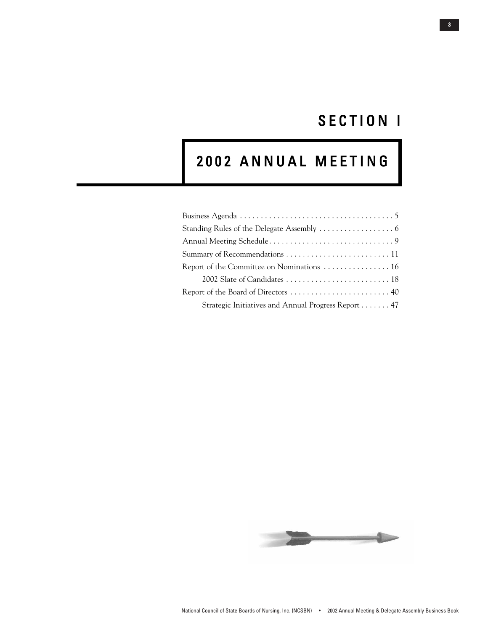# SECTION I

# <span id="page-3-0"></span>2002 ANNUAL MEETING

| Report of the Committee on Nominations  16          |
|-----------------------------------------------------|
|                                                     |
|                                                     |
| Strategic Initiatives and Annual Progress Report 47 |

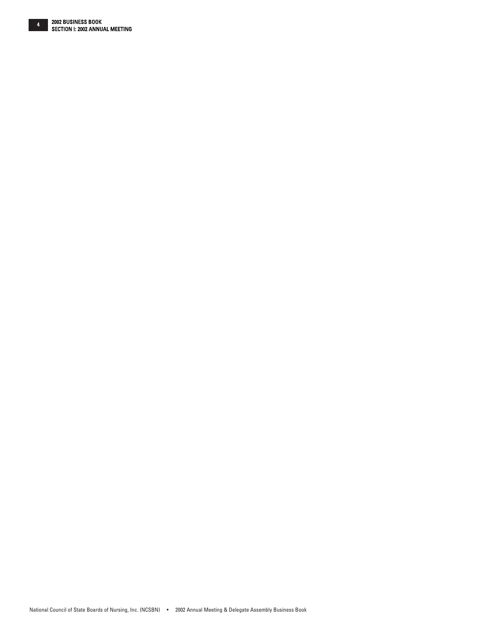<sup>4</sup> 2002 BUSINESS BOOK SECTION I: 2002 ANNUAL MEETING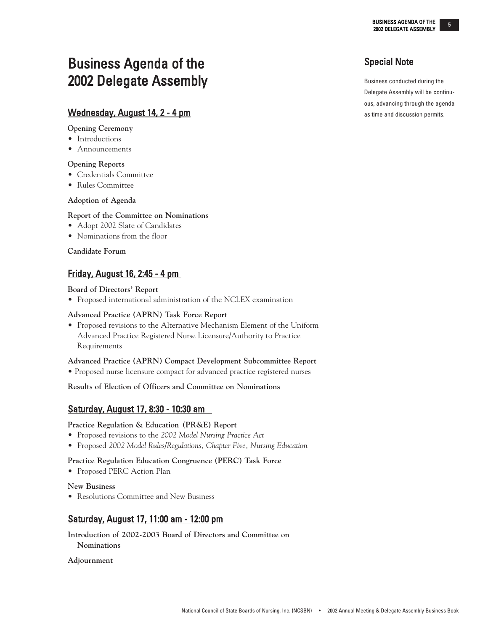# <span id="page-5-0"></span>Business Agenda of the 2002 Delegate Assembly

## Wednesday, August 14, 2 - 4 pm

**Opening Ceremony**

- Introductions
- Announcements

### **Opening Reports**

- Credentials Committee
- Rules Committee

### **Adoption of Agenda**

### **Report of the Committee on Nominations**

- Adopt 2002 Slate of Candidates
- Nominations from the floor

**Candidate Forum**

## Friday, August 16, 2:45 - 4 pm

### **Board of Directors' Report**

• Proposed international administration of the NCLEX examination

### **Advanced Practice (APRN) Task Force Report**

• Proposed revisions to the Alternative Mechanism Element of the Uniform Advanced Practice Registered Nurse Licensure/Authority to Practice Requirements

### **Advanced Practice (APRN) Compact Development Subcommittee Report**

• Proposed nurse licensure compact for advanced practice registered nurses

**Results of Election of Officers and Committee on Nominations**

## Saturday, August 17, 8:30 - 10:30 am

### **Practice Regulation & Education (PR&E) Report**

- Proposed revisions to the *2002 Model Nursing Practice Act*
- Proposed *2002 Model Rules/Regulations, Chapter Five, Nursing Education*

### **Practice Regulation Education Congruence (PERC) Task Force**

• Proposed PERC Action Plan

### **New Business**

• Resolutions Committee and New Business

## Saturday, August 17, 11:00 am - 12:00 pm

**Introduction of 2002-2003 Board of Directors and Committee on Nominations**

**Adjournment**

Special Note

Business conducted during the Delegate Assembly will be continuous, advancing through the agenda as time and discussion permits.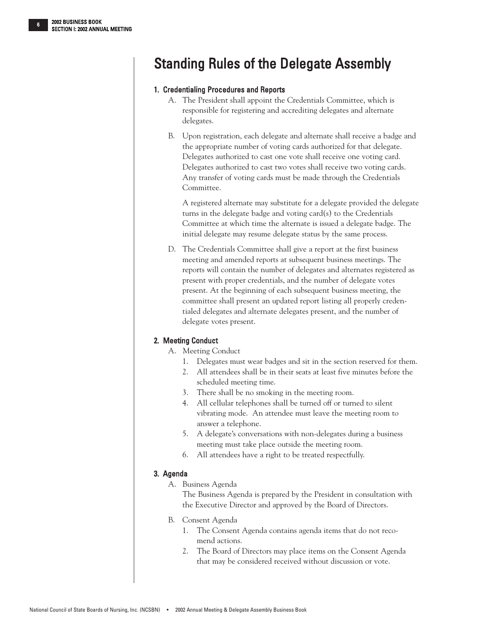## Standing Rules of the Delegate Assembly

### 1. Credentialing Procedures and Reports

- A. The President shall appoint the Credentials Committee, which is responsible for registering and accrediting delegates and alternate delegates.
- B. Upon registration, each delegate and alternate shall receive a badge and the appropriate number of voting cards authorized for that delegate. Delegates authorized to cast one vote shall receive one voting card. Delegates authorized to cast two votes shall receive two voting cards. Any transfer of voting cards must be made through the Credentials Committee.

A registered alternate may substitute for a delegate provided the delegate turns in the delegate badge and voting card(s) to the Credentials Committee at which time the alternate is issued a delegate badge. The initial delegate may resume delegate status by the same process.

D. The Credentials Committee shall give a report at the first business meeting and amended reports at subsequent business meetings. The reports will contain the number of delegates and alternates registered as present with proper credentials, and the number of delegate votes present. At the beginning of each subsequent business meeting, the committee shall present an updated report listing all properly credentialed delegates and alternate delegates present, and the number of delegate votes present.

### 2. Meeting Conduct

### A. Meeting Conduct

- 1. Delegates must wear badges and sit in the section reserved for them.
- 2. All attendees shall be in their seats at least five minutes before the scheduled meeting time.
- 3. There shall be no smoking in the meeting room.
- 4. All cellular telephones shall be turned off or turned to silent vibrating mode. An attendee must leave the meeting room to answer a telephone.
- 5. A delegate's conversations with non-delegates during a business meeting must take place outside the meeting room.
- 6. All attendees have a right to be treated respectfully.

### 3. Agenda

### A. Business Agenda

The Business Agenda is prepared by the President in consultation with the Executive Director and approved by the Board of Directors.

### B. Consent Agenda

- 1. The Consent Agenda contains agenda items that do not recomend actions.
- 2. The Board of Directors may place items on the Consent Agenda that may be considered received without discussion or vote.

<span id="page-6-0"></span>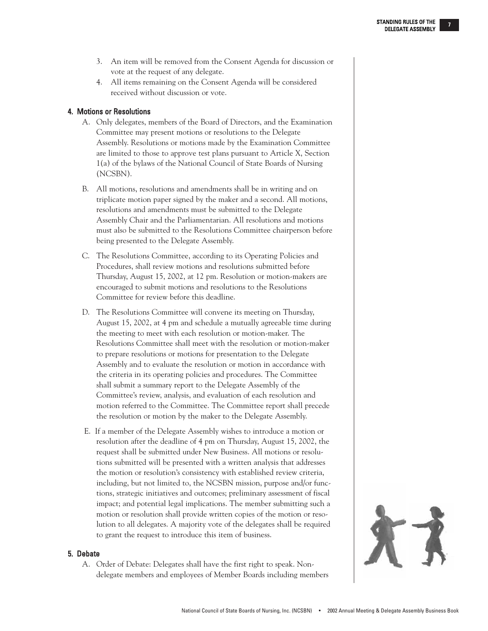- 3. An item will be removed from the Consent Agenda for discussion or vote at the request of any delegate.
- 4. All items remaining on the Consent Agenda will be considered received without discussion or vote.

### 4. Motions or Resolutions

- A. Only delegates, members of the Board of Directors, and the Examination Committee may present motions or resolutions to the Delegate Assembly. Resolutions or motions made by the Examination Committee are limited to those to approve test plans pursuant to Article X, Section 1(a) of the bylaws of the National Council of State Boards of Nursing (NCSBN).
- B. All motions, resolutions and amendments shall be in writing and on triplicate motion paper signed by the maker and a second. All motions, resolutions and amendments must be submitted to the Delegate Assembly Chair and the Parliamentarian. All resolutions and motions must also be submitted to the Resolutions Committee chairperson before being presented to the Delegate Assembly.
- C. The Resolutions Committee, according to its Operating Policies and Procedures, shall review motions and resolutions submitted before Thursday, August 15, 2002, at 12 pm. Resolution or motion-makers are encouraged to submit motions and resolutions to the Resolutions Committee for review before this deadline.
- D. The Resolutions Committee will convene its meeting on Thursday, August 15, 2002, at 4 pm and schedule a mutually agreeable time during the meeting to meet with each resolution or motion-maker. The Resolutions Committee shall meet with the resolution or motion-maker to prepare resolutions or motions for presentation to the Delegate Assembly and to evaluate the resolution or motion in accordance with the criteria in its operating policies and procedures. The Committee shall submit a summary report to the Delegate Assembly of the Committee's review, analysis, and evaluation of each resolution and motion referred to the Committee. The Committee report shall precede the resolution or motion by the maker to the Delegate Assembly.
- E. If a member of the Delegate Assembly wishes to introduce a motion or resolution after the deadline of 4 pm on Thursday, August 15, 2002, the request shall be submitted under New Business. All motions or resolutions submitted will be presented with a written analysis that addresses the motion or resolution's consistency with established review criteria, including, but not limited to, the NCSBN mission, purpose and/or functions, strategic initiatives and outcomes; preliminary assessment of fiscal impact; and potential legal implications. The member submitting such a motion or resolution shall provide written copies of the motion or resolution to all delegates. A majority vote of the delegates shall be required to grant the request to introduce this item of business.

#### 5. Debate

A. Order of Debate: Delegates shall have the first right to speak. Nondelegate members and employees of Member Boards including members

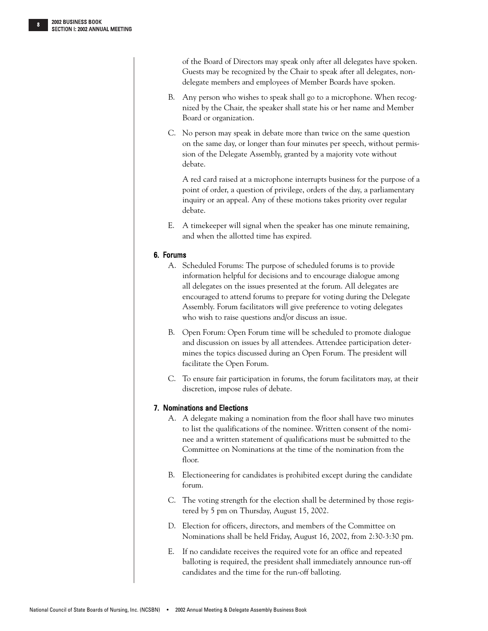of the Board of Directors may speak only after all delegates have spoken. Guests may be recognized by the Chair to speak after all delegates, nondelegate members and employees of Member Boards have spoken.

- B. Any person who wishes to speak shall go to a microphone. When recognized by the Chair, the speaker shall state his or her name and Member Board or organization.
- C. No person may speak in debate more than twice on the same question on the same day, or longer than four minutes per speech, without permission of the Delegate Assembly, granted by a majority vote without debate.

A red card raised at a microphone interrupts business for the purpose of a point of order, a question of privilege, orders of the day, a parliamentary inquiry or an appeal. Any of these motions takes priority over regular debate.

E. A timekeeper will signal when the speaker has one minute remaining, and when the allotted time has expired.

### 6. Forums

- A. Scheduled Forums: The purpose of scheduled forums is to provide information helpful for decisions and to encourage dialogue among all delegates on the issues presented at the forum. All delegates are encouraged to attend forums to prepare for voting during the Delegate Assembly. Forum facilitators will give preference to voting delegates who wish to raise questions and/or discuss an issue.
- B. Open Forum: Open Forum time will be scheduled to promote dialogue and discussion on issues by all attendees. Attendee participation determines the topics discussed during an Open Forum. The president will facilitate the Open Forum.
- C. To ensure fair participation in forums, the forum facilitators may, at their discretion, impose rules of debate.

### 7. Nominations and Elections

- A. A delegate making a nomination from the floor shall have two minutes to list the qualifications of the nominee. Written consent of the nominee and a written statement of qualifications must be submitted to the Committee on Nominations at the time of the nomination from the floor.
- B. Electioneering for candidates is prohibited except during the candidate forum.
- C. The voting strength for the election shall be determined by those registered by 5 pm on Thursday, August 15, 2002.
- D. Election for officers, directors, and members of the Committee on Nominations shall be held Friday, August 16, 2002, from 2:30-3:30 pm.
- E. If no candidate receives the required vote for an office and repeated balloting is required, the president shall immediately announce run-off candidates and the time for the run-off balloting.

National Council of State Boards of Nursing, Inc. (NCSBN) • 2002 Annual Meeting & Delegate Assembly Business Book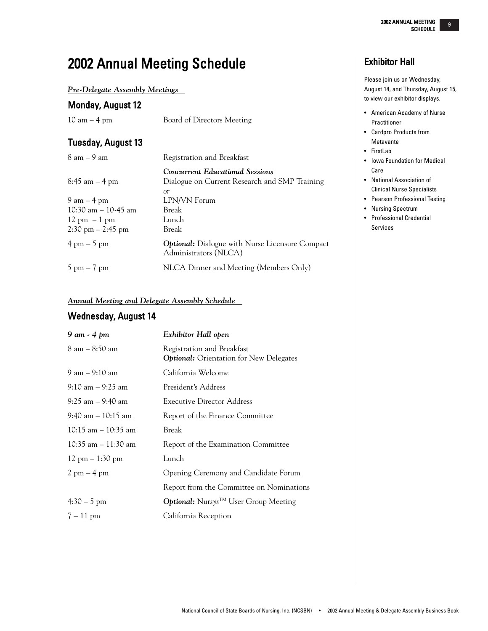## <span id="page-9-0"></span>2002 Annual Meeting Schedule

*Pre-Delegate Assembly Meetings* 

### Monday, August 12

10 am – 4 pm Board of Directors Meeting

## Tuesday, August 13

| $8 \text{ am} - 9 \text{ am}$       | Registration and Breakfast                                                      |
|-------------------------------------|---------------------------------------------------------------------------------|
|                                     | <b>Concurrent Educational Sessions</b>                                          |
| $8:45$ am $-4$ pm                   | Dialogue on Current Research and SMP Training                                   |
|                                     | or                                                                              |
| $9 \text{ am} - 4 \text{ pm}$       | LPN/VN Forum                                                                    |
| $10:30$ am $-10:45$ am              | Break                                                                           |
| $12 \text{ pm } -1 \text{ pm}$      | Lunch                                                                           |
| $2:30 \text{ pm} - 2:45 \text{ pm}$ | Break                                                                           |
| $4 \text{ pm} - 5 \text{ pm}$       | <b>Optional:</b> Dialogue with Nurse Licensure Compact<br>Administrators (NLCA) |
| $5 \text{ pm} - 7 \text{ pm}$       | NLCA Dinner and Meeting (Members Only)                                          |

### *Annual Meeting and Delegate Assembly Schedule*

## Wednesday, August 14

| 9 am - 4 pm                       | Exhibitor Hall open                                                          |
|-----------------------------------|------------------------------------------------------------------------------|
| 8 am – 8:50 am                    | Registration and Breakfast<br><b>Optional:</b> Orientation for New Delegates |
| 9 am $-9:10$ am                   | California Welcome                                                           |
| $9:10$ am $-9:25$ am              | President's Address                                                          |
| $9:25$ am $-9:40$ am              | Executive Director Address                                                   |
| 9:40 am $-10:15$ am               | Report of the Finance Committee                                              |
| 10:15 am $-$ 10:35 am             | Break                                                                        |
| 10:35 am $- 11:30$ am             | Report of the Examination Committee                                          |
| $12 \text{ pm} - 1:30 \text{ pm}$ | Lunch                                                                        |
| $2 \text{ pm} - 4 \text{ pm}$     | Opening Ceremony and Candidate Forum                                         |
|                                   | Report from the Committee on Nominations                                     |
| $4:30-5$ pm                       | Optional: Nursys™ User Group Meeting                                         |
| $7 - 11$ pm                       | California Reception                                                         |

## Exhibitor Hall

Please join us on Wednesday, August 14, and Thursday, August 15, to view our exhibitor displays.

- American Academy of Nurse Practitioner
- Cardpro Products from Metavante
- FirstLab
- Iowa Foundation for Medical Care
- National Association of Clinical Nurse Specialists
- Pearson Professional Testing
- Nursing Spectrum
- Professional Credential Services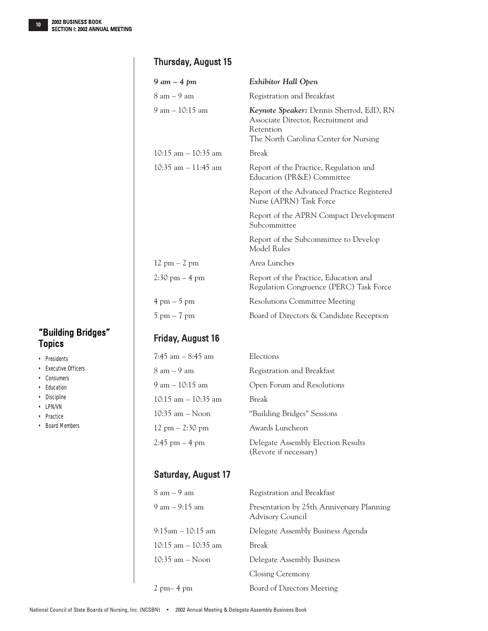## Thursday, August 15

| $9$ am $-$ 4 pm                  | <b>Exhibitor Hall Open</b>                                                                                                            |
|----------------------------------|---------------------------------------------------------------------------------------------------------------------------------------|
| $8$ am $-9$ am                   | Registration and Breakfast                                                                                                            |
| 9 am $-10:15$ am                 | Keynote Speaker: Dennis Sherrod, EdD, RN<br>Associate Director, Recruitment and<br>Retention<br>The North Carolina Center for Nursing |
| 10:15 am $-$ 10:35 am            | <b>Break</b>                                                                                                                          |
| 10:35 am $-$ 11:45 am            | Report of the Practice, Regulation and<br>Education (PR&E) Committee                                                                  |
|                                  | Report of the Advanced Practice Registered<br>Nurse (APRN) Task Force                                                                 |
|                                  | Report of the APRN Compact Development<br>Subcommittee                                                                                |
|                                  | Report of the Subcommittee to Develop<br>Model Rules                                                                                  |
| $12 \text{ pm} - 2 \text{ pm}$   | Area Lunches                                                                                                                          |
| $2:30 \text{ pm} - 4 \text{ pm}$ | Report of the Practice, Education and<br>Regulation Congruence (PERC) Task Force                                                      |
| $4 \text{ pm} - 5 \text{ pm}$    | <b>Resolutions Committee Meeting</b>                                                                                                  |
| $5 \text{ pm} - 7 \text{ pm}$    | Board of Directors & Candidate Reception                                                                                              |

## Friday, August 16

| 7:45 am – 8:45 am                 | Elections                                                   |
|-----------------------------------|-------------------------------------------------------------|
| 8 am – 9 am                       | Registration and Breakfast                                  |
| 9 am – 10:15 am                   | Open Forum and Resolutions                                  |
| $10:15$ am $-10:35$ am            | <b>Break</b>                                                |
| $10:35$ am – Noon                 | "Building Bridges" Sessions                                 |
| $12 \text{ pm} - 2:30 \text{ pm}$ | Awards Luncheon                                             |
| 2:45 pm $-4$ pm                   | Delegate Assembly Election Results<br>(Revote if necessary) |

## Saturday, August 17

| $8 \text{ am} - 9 \text{ am}$ | Registration and Breakfast                                    |
|-------------------------------|---------------------------------------------------------------|
| 9 am $-9:15$ am               | Presentation by 25th Anniversary Planning<br>Advisory Council |
| $9:15$ am $-10:15$ am         | Delegate Assembly Business Agenda                             |
| $10:15$ am $-10:35$ am        | <b>Break</b>                                                  |
| $10:35$ am – Noon             | Delegate Assembly Business                                    |
|                               | Closing Ceremony                                              |
| $2$ pm $-$ 4 pm               | Board of Directors Meeting                                    |
|                               |                                                               |

## "Building Bridges" **Topics**

- Presidents
- Executive Officers
- Consumers
- Education
- Discipline
- LPN/VN
- Practice
- Board Members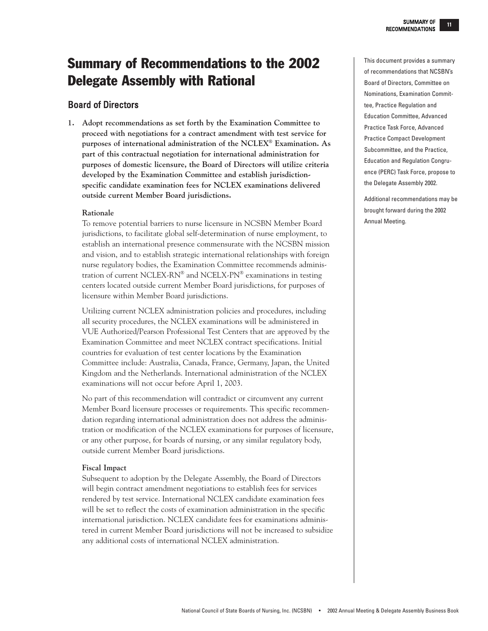## <span id="page-11-0"></span>Summary of Recommendations to the 2002 Delegate Assembly with Rational

### Board of Directors

**1. Adopt recommendations as set forth by the Examination Committee to proceed with negotiations for a contract amendment with test service for purposes of international administration of the NCLEX® Examination. As part of this contractual negotiation for international administration for purposes of domestic licensure, the Board of Directors will utilize criteria developed by the Examination Committee and establish jurisdictionspecific candidate examination fees for NCLEX examinations delivered outside current Member Board jurisdictions.** 

### **Rationale**

To remove potential barriers to nurse licensure in NCSBN Member Board jurisdictions, to facilitate global self-determination of nurse employment, to establish an international presence commensurate with the NCSBN mission and vision, and to establish strategic international relationships with foreign nurse regulatory bodies, the Examination Committee recommends administration of current NCLEX-RN® and NCELX-PN® examinations in testing centers located outside current Member Board jurisdictions, for purposes of licensure within Member Board jurisdictions.

Utilizing current NCLEX administration policies and procedures, including all security procedures, the NCLEX examinations will be administered in VUE Authorized/Pearson Professional Test Centers that are approved by the Examination Committee and meet NCLEX contract specifications. Initial countries for evaluation of test center locations by the Examination Committee include: Australia, Canada, France, Germany, Japan, the United Kingdom and the Netherlands. International administration of the NCLEX examinations will not occur before April 1, 2003.

No part of this recommendation will contradict or circumvent any current Member Board licensure processes or requirements. This specific recommendation regarding international administration does not address the administration or modification of the NCLEX examinations for purposes of licensure, or any other purpose, for boards of nursing, or any similar regulatory body, outside current Member Board jurisdictions.

### **Fiscal Impact**

Subsequent to adoption by the Delegate Assembly, the Board of Directors will begin contract amendment negotiations to establish fees for services rendered by test service. International NCLEX candidate examination fees will be set to reflect the costs of examination administration in the specific international jurisdiction. NCLEX candidate fees for examinations administered in current Member Board jurisdictions will not be increased to subsidize any additional costs of international NCLEX administration.

This document provides a summary of recommendations that NCSBN's Board of Directors, Committee on Nominations, Examination Committee, Practice Regulation and Education Committee, Advanced Practice Task Force, Advanced Practice Compact Development Subcommittee, and the Practice, Education and Regulation Congruence (PERC) Task Force, propose to the Delegate Assembly 2002.

Additional recommendations may be brought forward during the 2002 Annual Meeting.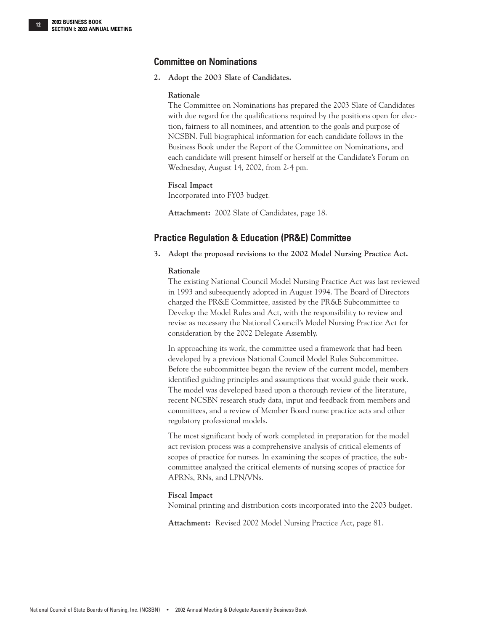### Committee on Nominations

**2. Adopt the 2003 Slate of Candidates.**

#### **Rationale**

The Committee on Nominations has prepared the 2003 Slate of Candidates with due regard for the qualifications required by the positions open for election, fairness to all nominees, and attention to the goals and purpose of NCSBN. Full biographical information for each candidate follows in the Business Book under the Report of the Committee on Nominations, and each candidate will present himself or herself at the Candidate's Forum on Wednesday, August 14, 2002, from 2-4 pm.

#### **Fiscal Impact**

Incorporated into FY03 budget.

**Attachment:** 2002 Slate of Candidates, page 18.

### Practice Regulation & Education (PR&E) Committee

**3. Adopt the proposed revisions to the 2002 Model Nursing Practice Act.**

#### **Rationale**

The existing National Council Model Nursing Practice Act was last reviewed in 1993 and subsequently adopted in August 1994. The Board of Directors charged the PR&E Committee, assisted by the PR&E Subcommittee to Develop the Model Rules and Act, with the responsibility to review and revise as necessary the National Council's Model Nursing Practice Act for consideration by the 2002 Delegate Assembly.

In approaching its work, the committee used a framework that had been developed by a previous National Council Model Rules Subcommittee. Before the subcommittee began the review of the current model, members identified guiding principles and assumptions that would guide their work. The model was developed based upon a thorough review of the literature, recent NCSBN research study data, input and feedback from members and committees, and a review of Member Board nurse practice acts and other regulatory professional models.

The most significant body of work completed in preparation for the model act revision process was a comprehensive analysis of critical elements of scopes of practice for nurses. In examining the scopes of practice, the subcommittee analyzed the critical elements of nursing scopes of practice for APRNs, RNs, and LPN/VNs.

#### **Fiscal Impact**

Nominal printing and distribution costs incorporated into the 2003 budget.

**Attachment:** Revised 2002 Model Nursing Practice Act, page 81.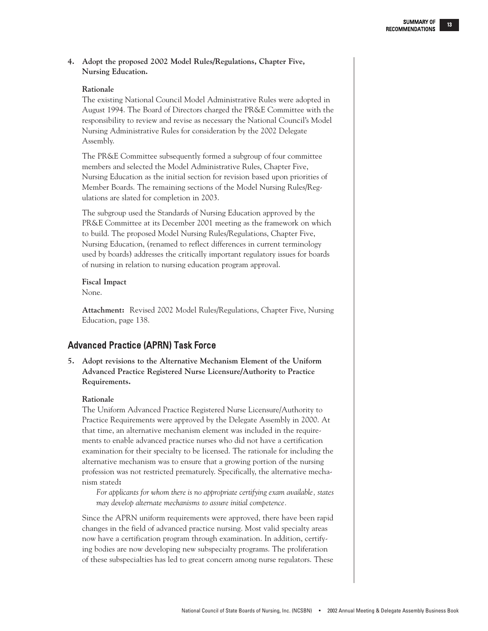### **4. Adopt the proposed 2002 Model Rules/Regulations, Chapter Five, Nursing Education.**

### **Rationale**

The existing National Council Model Administrative Rules were adopted in August 1994. The Board of Directors charged the PR&E Committee with the responsibility to review and revise as necessary the National Council's Model Nursing Administrative Rules for consideration by the 2002 Delegate Assembly.

The PR&E Committee subsequently formed a subgroup of four committee members and selected the Model Administrative Rules, Chapter Five, Nursing Education as the initial section for revision based upon priorities of Member Boards. The remaining sections of the Model Nursing Rules/Regulations are slated for completion in 2003.

The subgroup used the Standards of Nursing Education approved by the PR&E Committee at its December 2001 meeting as the framework on which to build. The proposed Model Nursing Rules/Regulations, Chapter Five, Nursing Education, (renamed to reflect differences in current terminology used by boards) addresses the critically important regulatory issues for boards of nursing in relation to nursing education program approval.

#### **Fiscal Impact**

None.

**Attachment:** Revised 2002 Model Rules/Regulations, Chapter Five, Nursing Education, page 138.

## Advanced Practice (APRN) Task Force

**5. Adopt revisions to the Alternative Mechanism Element of the Uniform Advanced Practice Registered Nurse Licensure/Authority to Practice Requirements.**

### **Rationale**

The Uniform Advanced Practice Registered Nurse Licensure/Authority to Practice Requirements were approved by the Delegate Assembly in 2000. At that time, an alternative mechanism element was included in the requirements to enable advanced practice nurses who did not have a certification examination for their specialty to be licensed. The rationale for including the alternative mechanism was to ensure that a growing portion of the nursing profession was not restricted prematurely. Specifically, the alternative mechanism stated**:**

*For applicants for whom there is no appropriate certifying exam available, states may develop alternate mechanisms to assure initial competence.*

Since the APRN uniform requirements were approved, there have been rapid changes in the field of advanced practice nursing. Most valid specialty areas now have a certification program through examination. In addition, certifying bodies are now developing new subspecialty programs. The proliferation of these subspecialties has led to great concern among nurse regulators. These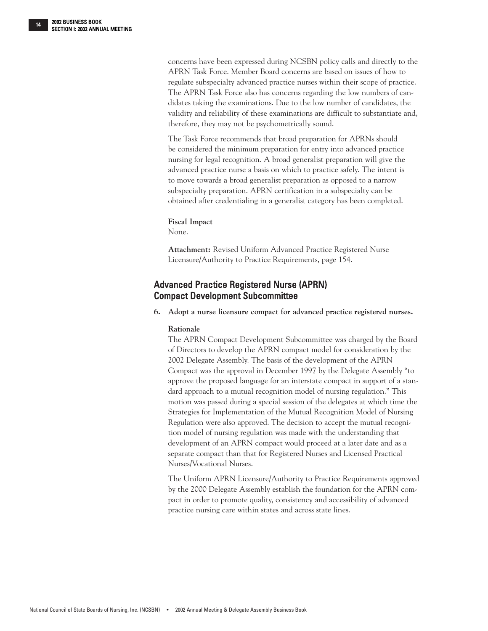concerns have been expressed during NCSBN policy calls and directly to the APRN Task Force. Member Board concerns are based on issues of how to regulate subspecialty advanced practice nurses within their scope of practice. The APRN Task Force also has concerns regarding the low numbers of candidates taking the examinations. Due to the low number of candidates, the validity and reliability of these examinations are difficult to substantiate and, therefore, they may not be psychometrically sound.

The Task Force recommends that broad preparation for APRNs should be considered the minimum preparation for entry into advanced practice nursing for legal recognition. A broad generalist preparation will give the advanced practice nurse a basis on which to practice safely. The intent is to move towards a broad generalist preparation as opposed to a narrow subspecialty preparation. APRN certification in a subspecialty can be obtained after credentialing in a generalist category has been completed.

### **Fiscal Impact**

None.

**Attachment:** Revised Uniform Advanced Practice Registered Nurse Licensure/Authority to Practice Requirements, page 154.

### Advanced Practice Registered Nurse (APRN) Compact Development Subcommittee

**6. Adopt a nurse licensure compact for advanced practice registered nurses.**

### **Rationale**

The APRN Compact Development Subcommittee was charged by the Board of Directors to develop the APRN compact model for consideration by the 2002 Delegate Assembly. The basis of the development of the APRN Compact was the approval in December 1997 by the Delegate Assembly "to approve the proposed language for an interstate compact in support of a standard approach to a mutual recognition model of nursing regulation." This motion was passed during a special session of the delegates at which time the Strategies for Implementation of the Mutual Recognition Model of Nursing Regulation were also approved. The decision to accept the mutual recognition model of nursing regulation was made with the understanding that development of an APRN compact would proceed at a later date and as a separate compact than that for Registered Nurses and Licensed Practical Nurses/Vocational Nurses.

The Uniform APRN Licensure/Authority to Practice Requirements approved by the 2000 Delegate Assembly establish the foundation for the APRN compact in order to promote quality, consistency and accessibility of advanced practice nursing care within states and across state lines.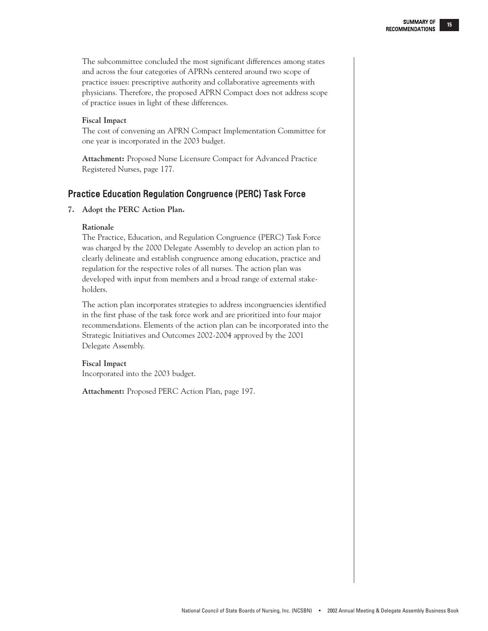The subcommittee concluded the most significant differences among states and across the four categories of APRNs centered around two scope of practice issues: prescriptive authority and collaborative agreements with physicians. Therefore, the proposed APRN Compact does not address scope of practice issues in light of these differences.

### **Fiscal Impact**

The cost of convening an APRN Compact Implementation Committee for one year is incorporated in the 2003 budget.

**Attachment:** Proposed Nurse Licensure Compact for Advanced Practice Registered Nurses, page 177.

### Practice Education Regulation Congruence (PERC) Task Force

### **7. Adopt the PERC Action Plan.**

### **Rationale**

The Practice, Education, and Regulation Congruence (PERC) Task Force was charged by the 2000 Delegate Assembly to develop an action plan to clearly delineate and establish congruence among education, practice and regulation for the respective roles of all nurses. The action plan was developed with input from members and a broad range of external stakeholders.

The action plan incorporates strategies to address incongruencies identified in the first phase of the task force work and are prioritized into four major recommendations. Elements of the action plan can be incorporated into the Strategic Initiatives and Outcomes 2002-2004 approved by the 2001 Delegate Assembly.

#### **Fiscal Impact**

Incorporated into the 2003 budget.

**Attachment:** Proposed PERC Action Plan, page 197.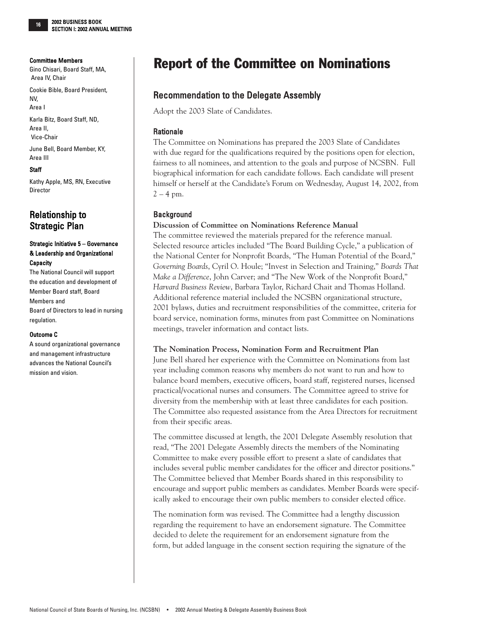#### <span id="page-16-0"></span>Committee Members

Gino Chisari, Board Staff, MA, Area IV, Chair

Cookie Bible, Board President, NV,

Area I

Karla Bitz, Board Staff, ND, Area II, Vice-Chair

June Bell, Board Member, KY, Area III

#### Staff

Kathy Apple, MS, RN, Executive Director

### Relationship to Strategic Plan

### Strategic Initiative 5 – Governance & Leadership and Organizational **Capacity**

The National Council will support the education and development of Member Board staff, Board Members and Board of Directors to lead in nursing regulation.

#### Outcome C

A sound organizational governance and management infrastructure advances the National Council's mission and vision.

## Report of the Committee on Nominations

### Recommendation to the Delegate Assembly

Adopt the 2003 Slate of Candidates.

#### Rationale

The Committee on Nominations has prepared the 2003 Slate of Candidates with due regard for the qualifications required by the positions open for election, fairness to all nominees, and attention to the goals and purpose of NCSBN. Full biographical information for each candidate follows. Each candidate will present himself or herself at the Candidate's Forum on Wednesday, August 14, 2002, from  $2 - 4$  pm.

### **Background**

#### **Discussion of Committee on Nominations Reference Manual**

The committee reviewed the materials prepared for the reference manual. Selected resource articles included "The Board Building Cycle," a publication of the National Center for Nonprofit Boards, "The Human Potential of the Board," *Governing Boards*, Cyril O. Houle; "Invest in Selection and Training," *Boards That Make a Difference*, John Carver; and "The New Work of the Nonprofit Board," *Harvard Business Review*, Barbara Taylor, Richard Chait and Thomas Holland. Additional reference material included the NCSBN organizational structure, 2001 bylaws, duties and recruitment responsibilities of the committee, criteria for board service, nomination forms, minutes from past Committee on Nominations meetings, traveler information and contact lists.

#### **The Nomination Process, Nomination Form and Recruitment Plan**

June Bell shared her experience with the Committee on Nominations from last year including common reasons why members do not want to run and how to balance board members, executive officers, board staff, registered nurses, licensed practical/vocational nurses and consumers. The Committee agreed to strive for diversity from the membership with at least three candidates for each position. The Committee also requested assistance from the Area Directors for recruitment from their specific areas.

The committee discussed at length, the 2001 Delegate Assembly resolution that read, "The 2001 Delegate Assembly directs the members of the Nominating Committee to make every possible effort to present a slate of candidates that includes several public member candidates for the officer and director positions." The Committee believed that Member Boards shared in this responsibility to encourage and support public members as candidates. Member Boards were specifically asked to encourage their own public members to consider elected office.

The nomination form was revised. The Committee had a lengthy discussion regarding the requirement to have an endorsement signature. The Committee decided to delete the requirement for an endorsement signature from the form, but added language in the consent section requiring the signature of the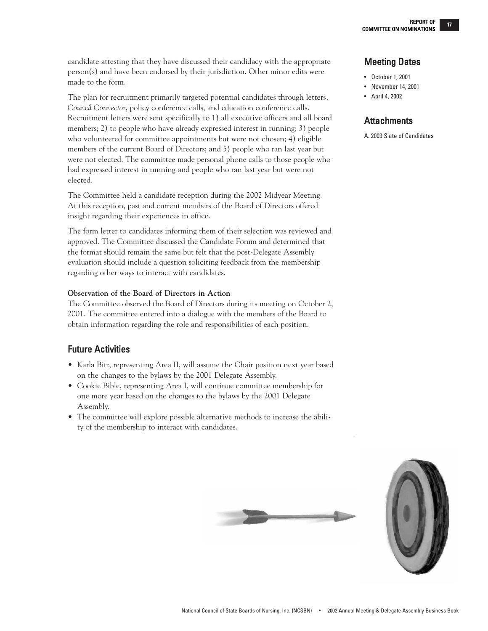candidate attesting that they have discussed their candidacy with the appropriate person(s) and have been endorsed by their jurisdiction. Other minor edits were made to the form.

The plan for recruitment primarily targeted potential candidates through letters*, Council Connector*, policy conference calls, and education conference calls. Recruitment letters were sent specifically to 1) all executive officers and all board members; 2) to people who have already expressed interest in running; 3) people who volunteered for committee appointments but were not chosen; 4) eligible members of the current Board of Directors; and 5) people who ran last year but were not elected. The committee made personal phone calls to those people who had expressed interest in running and people who ran last year but were not elected.

The Committee held a candidate reception during the 2002 Midyear Meeting. At this reception, past and current members of the Board of Directors offered insight regarding their experiences in office.

The form letter to candidates informing them of their selection was reviewed and approved. The Committee discussed the Candidate Forum and determined that the format should remain the same but felt that the post-Delegate Assembly evaluation should include a question soliciting feedback from the membership regarding other ways to interact with candidates.

### **Observation of the Board of Directors in Action**

The Committee observed the Board of Directors during its meeting on October 2, 2001. The committee entered into a dialogue with the members of the Board to obtain information regarding the role and responsibilities of each position.

## Future Activities

- Karla Bitz, representing Area II, will assume the Chair position next year based on the changes to the bylaws by the 2001 Delegate Assembly.
- Cookie Bible, representing Area I, will continue committee membership for one more year based on the changes to the bylaws by the 2001 Delegate Assembly.
- The committee will explore possible alternative methods to increase the ability of the membership to interact with candidates.

## Meeting Dates

- October 1, 2001
- November 14, 2001
- April 4, 2002

### **Attachments**

A. 2003 Slate of Candidates



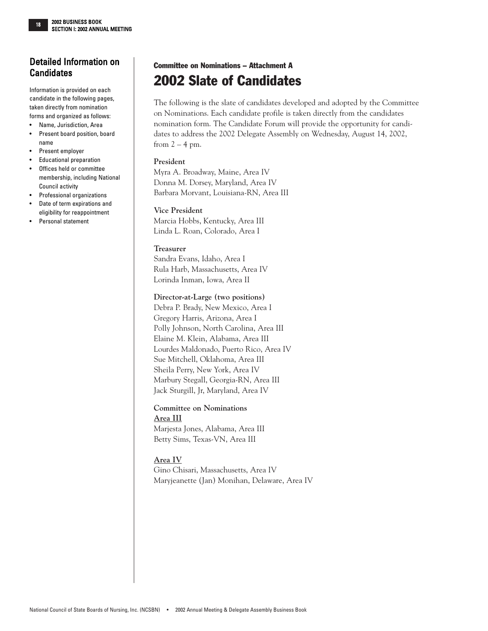## <span id="page-18-0"></span>Detailed Information on **Candidates**

Information is provided on each candidate in the following pages, taken directly from nomination forms and organized as follows:

- Name, Jurisdiction, Area
- Present board position, board name
- Present employer
- Educational preparation
- Offices held or committee membership, including National Council activity
- Professional organizations
- Date of term expirations and eligibility for reappointment
- Personal statement

## Committee on Nominations – Attachment A 2002 Slate of Candidates

The following is the slate of candidates developed and adopted by the Committee on Nominations. Each candidate profile is taken directly from the candidates nomination form. The Candidate Forum will provide the opportunity for candidates to address the 2002 Delegate Assembly on Wednesday, August 14, 2002, from  $2 - 4$  pm.

### **President**

Myra A. Broadway, Maine, Area IV Donna M. Dorsey, Maryland, Area IV Barbara Morvant, Louisiana-RN, Area III

## **Vice President**

Marcia Hobbs, Kentucky, Area III Linda L. Roan, Colorado, Area I

### **Treasurer**

Sandra Evans, Idaho, Area I Rula Harb, Massachusetts, Area IV Lorinda Inman, Iowa, Area II

### **Director-at-Large (two positions)**

Debra P. Brady, New Mexico, Area I Gregory Harris, Arizona, Area I Polly Johnson, North Carolina, Area III Elaine M. Klein, Alabama, Area III Lourdes Maldonado, Puerto Rico, Area IV Sue Mitchell, Oklahoma, Area III Sheila Perry, New York, Area IV Marbury Stegall, Georgia-RN, Area III Jack Sturgill, Jr, Maryland, Area IV

### **Committee on Nominations Area III**

Marjesta Jones, Alabama, Area III Betty Sims, Texas-VN, Area III

### **Area IV**

Gino Chisari, Massachusetts, Area IV Maryjeanette (Jan) Monihan, Delaware, Area IV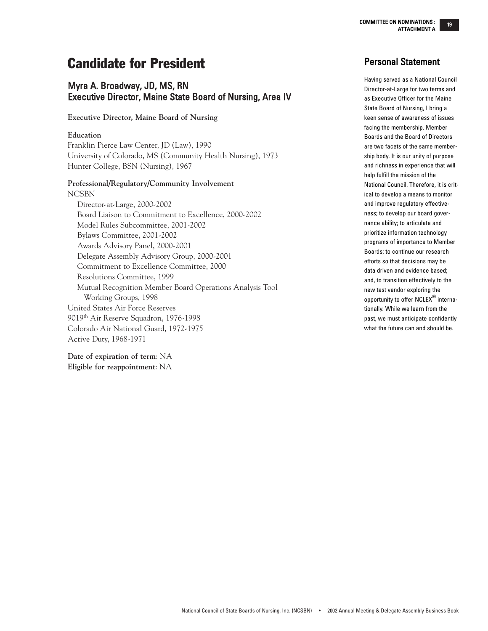## Candidate for President

## Myra A. Broadway, JD, MS, RN Executive Director, Maine State Board of Nursing, Area IV

### **Executive Director, Maine Board of Nursing**

### **Education**

Franklin Pierce Law Center, JD (Law), 1990 University of Colorado, MS (Community Health Nursing), 1973 Hunter College, BSN (Nursing), 1967

### **Professional/Regulatory/Community Involvement**

NCSBN Director-at-Large, 2000-2002 Board Liaison to Commitment to Excellence, 2000-2002 Model Rules Subcommittee, 2001-2002 Bylaws Committee, 2001-2002 Awards Advisory Panel, 2000-2001 Delegate Assembly Advisory Group, 2000-2001 Commitment to Excellence Committee, 2000 Resolutions Committee, 1999 Mutual Recognition Member Board Operations Analysis Tool Working Groups, 1998 United States Air Force Reserves 9019th Air Reserve Squadron, 1976-1998 Colorado Air National Guard, 1972-1975 Active Duty, 1968-1971

**Date of expiration of term**: NA **Eligible for reappointment**: NA

## Personal Statement

Having served as a National Council Director-at-Large for two terms and as Executive Officer for the Maine State Board of Nursing, I bring a keen sense of awareness of issues facing the membership. Member Boards and the Board of Directors are two facets of the same membership body. It is our unity of purpose and richness in experience that will help fulfill the mission of the National Council. Therefore, it is critical to develop a means to monitor and improve regulatory effectiveness; to develop our board governance ability; to articulate and prioritize information technology programs of importance to Member Boards; to continue our research efforts so that decisions may be data driven and evidence based; and, to transition effectively to the new test vendor exploring the opportunity to offer NCLEX<sup>®</sup> internationally. While we learn from the past, we must anticipate confidently what the future can and should be.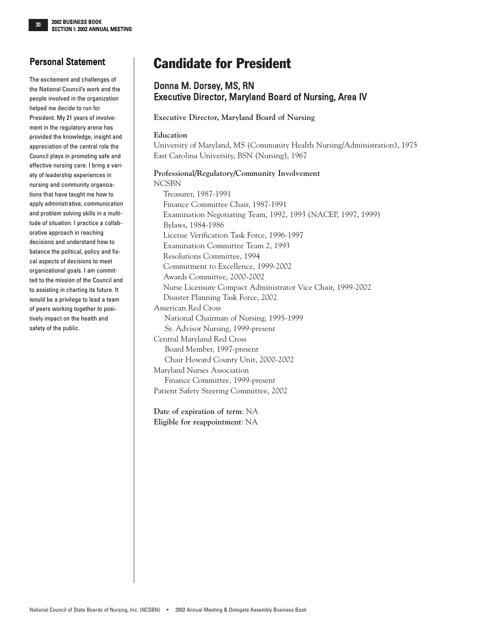The excitement and challenges of the National Council's work and the people involved in the organization helped me decide to run for President. My 21 years of involvement in the regulatory arena has provided the knowledge, insight and appreciation of the central role the Council plays in promoting safe and effective nursing care. I bring a variety of leadership experiences in nursing and community organizations that have taught me how to apply administrative, communication and problem solving skills in a multitude of situation. I practice a collaborative approach in reaching decisions and understand how to balance the political, policy and fiscal aspects of decisions to meet organizational goals. I am committed to the mission of the Council and to assisting in charting its future. It would be a privilege to lead a team of peers working together to positively impact on the health and safety of the public.

## Candidate for President

### Donna M. Dorsey, MS, RN Executive Director, Maryland Board of Nursing, Area IV

#### **Executive Director, Maryland Board of Nursing**

#### **Education**

University of Maryland, MS (Community Health Nursing/Administration), 1975 East Carolina University, BSN (Nursing), 1967

### **Professional/Regulatory/Community Involvement**

**NCSBN** Treasurer, 1987-1991 Finance Committee Chair, 1987-1991 Examination Negotiating Team, 1992, 1993 (NACEP, 1997, 1999) Bylaws, 1984-1986 License Verification Task Force, 1996-1997 Examination Committee Team 2, 1993 Resolutions Committee, 1994 Commitment to Excellence, 1999-2002 Awards Committee, 2000-2002 Nurse Licensure Compact Administrator Vice Chair, 1999-2002 Disaster Planning Task Force, 2002 American Red Cross National Chairman of Nursing, 1995-1999 Sr. Advisor Nursing, 1999-present Central Maryland Red Cross Board Member, 1997-present Chair Howard County Unit, 2000-2002 Maryland Nurses Association Finance Committee, 1999-present Patient Safety Steering Committee, 2002

**Date of expiration of term**: NA **Eligible for reappointment**: NA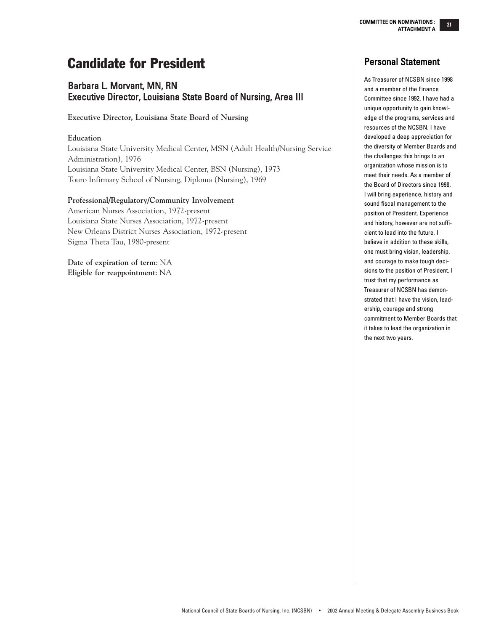## Candidate for President

## Barbara L. Morvant, MN, RN Executive Director, Louisiana State Board of Nursing, Area III

### **Executive Director, Louisiana State Board of Nursing**

### **Education**

Louisiana State University Medical Center, MSN (Adult Health/Nursing Service Administration), 1976 Louisiana State University Medical Center, BSN (Nursing), 1973 Touro Infirmary School of Nursing, Diploma (Nursing), 1969

### **Professional/Regulatory/Community Involvement**

American Nurses Association, 1972-present Louisiana State Nurses Association, 1972-present New Orleans District Nurses Association, 1972-present Sigma Theta Tau, 1980-present

**Date of expiration of term**: NA **Eligible for reappointment**: NA

## Personal Statement

As Treasurer of NCSBN since 1998 and a member of the Finance Committee since 1992, I have had a unique opportunity to gain knowledge of the programs, services and resources of the NCSBN. I have developed a deep appreciation for the diversity of Member Boards and the challenges this brings to an organization whose mission is to meet their needs. As a member of the Board of Directors since 1998, I will bring experience, history and sound fiscal management to the position of President. Experience and history, however are not sufficient to lead into the future. I believe in addition to these skills, one must bring vision, leadership, and courage to make tough decisions to the position of President. I trust that my performance as Treasurer of NCSBN has demonstrated that I have the vision, leadership, courage and strong commitment to Member Boards that it takes to lead the organization in the next two years.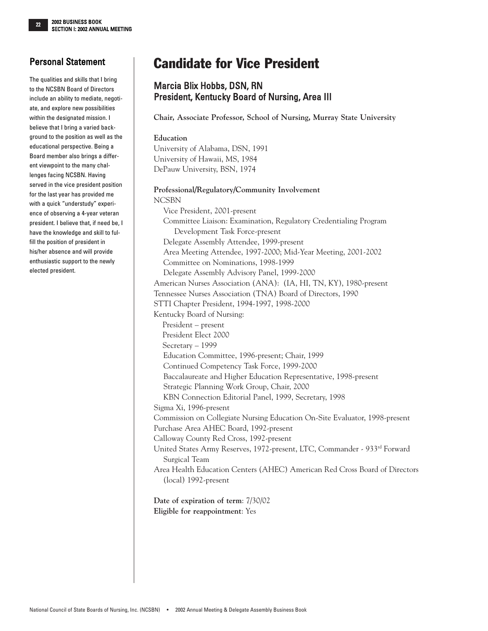The qualities and skills that I bring to the NCSBN Board of Directors include an ability to mediate, negotiate, and explore new possibilities within the designated mission. I believe that I bring a varied background to the position as well as the educational perspective. Being a Board member also brings a different viewpoint to the many challenges facing NCSBN. Having served in the vice president position for the last year has provided me with a quick "understudy" experience of observing a 4-year veteran president. I believe that, if need be, I have the knowledge and skill to fulfill the position of president in his/her absence and will provide enthusiastic support to the newly elected president.

## Candidate for Vice President

### Marcia Blix Hobbs, DSN, RN President, Kentucky Board of Nursing, Area III

**Chair, Associate Professor, School of Nursing, Murray State University** 

#### **Education**

University of Alabama, DSN, 1991 University of Hawaii, MS, 1984 DePauw University, BSN, 1974

#### **Professional/Regulatory/Community Involvement**

NCSBN Vice President, 2001-present Committee Liaison: Examination, Regulatory Credentialing Program Development Task Force-present Delegate Assembly Attendee, 1999-present Area Meeting Attendee, 1997-2000; Mid-Year Meeting, 2001-2002 Committee on Nominations, 1998-1999 Delegate Assembly Advisory Panel, 1999-2000 American Nurses Association (ANA): (IA, HI, TN, KY), 1980-present Tennessee Nurses Association (TNA) Board of Directors, 1990 STTI Chapter President, 1994-1997, 1998-2000 Kentucky Board of Nursing: President – present President Elect 2000 Secretary – 1999 Education Committee, 1996-present; Chair, 1999 Continued Competency Task Force, 1999-2000 Baccalaureate and Higher Education Representative, 1998-present Strategic Planning Work Group, Chair, 2000 KBN Connection Editorial Panel, 1999, Secretary, 1998 Sigma Xi, 1996-present Commission on Collegiate Nursing Education On-Site Evaluator, 1998-present Purchase Area AHEC Board, 1992-present Calloway County Red Cross, 1992-present United States Army Reserves, 1972-present, LTC, Commander - 933rd Forward Surgical Team Area Health Education Centers (AHEC) American Red Cross Board of Directors (local) 1992-present **Date of expiration of term**: 7/30/02 **Eligible for reappointment**: Yes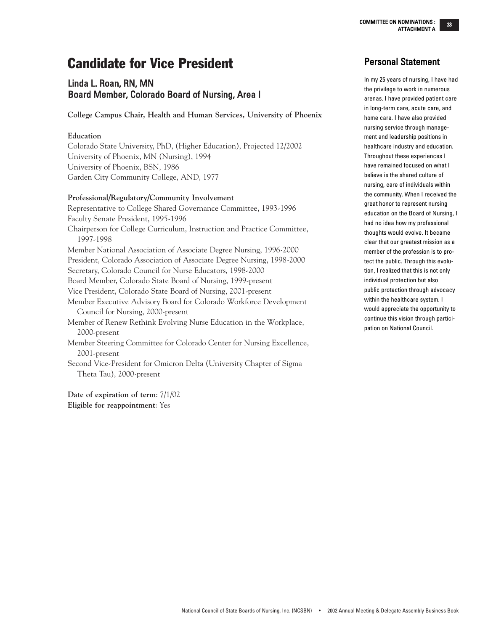## Candidate for Vice President

## Linda L. Roan, RN, MN Board Member, Colorado Board of Nursing, Area I

**College Campus Chair, Health and Human Services, University of Phoenix**

### **Education**

Colorado State University, PhD, (Higher Education), Projected 12/2002 University of Phoenix, MN (Nursing), 1994 University of Phoenix, BSN, 1986 Garden City Community College, AND, 1977

### **Professional/Regulatory/Community Involvement**

Representative to College Shared Governance Committee, 1993-1996 Faculty Senate President, 1995-1996 Chairperson for College Curriculum, Instruction and Practice Committee, 1997-1998 Member National Association of Associate Degree Nursing, 1996-2000 President, Colorado Association of Associate Degree Nursing, 1998-2000 Secretary, Colorado Council for Nurse Educators, 1998-2000 Board Member, Colorado State Board of Nursing, 1999-present Vice President, Colorado State Board of Nursing, 2001-present Member Executive Advisory Board for Colorado Workforce Development Council for Nursing, 2000-present Member of Renew Rethink Evolving Nurse Education in the Workplace, 2000-present Member Steering Committee for Colorado Center for Nursing Excellence, 2001-present Second Vice-President for Omicron Delta (University Chapter of Sigma Theta Tau), 2000-present

**Date of expiration of term**: 7/1/02 **Eligible for reappointment**: Yes

## Personal Statement

In my 25 years of nursing, I have had the privilege to work in numerous arenas. I have provided patient care in long-term care, acute care, and home care. I have also provided nursing service through management and leadership positions in healthcare industry and education. Throughout these experiences I have remained focused on what I believe is the shared culture of nursing, care of individuals within the community. When I received the great honor to represent nursing education on the Board of Nursing, I had no idea how my professional thoughts would evolve. It became clear that our greatest mission as a member of the profession is to protect the public. Through this evolution, I realized that this is not only individual protection but also public protection through advocacy within the healthcare system. I would appreciate the opportunity to continue this vision through participation on National Council.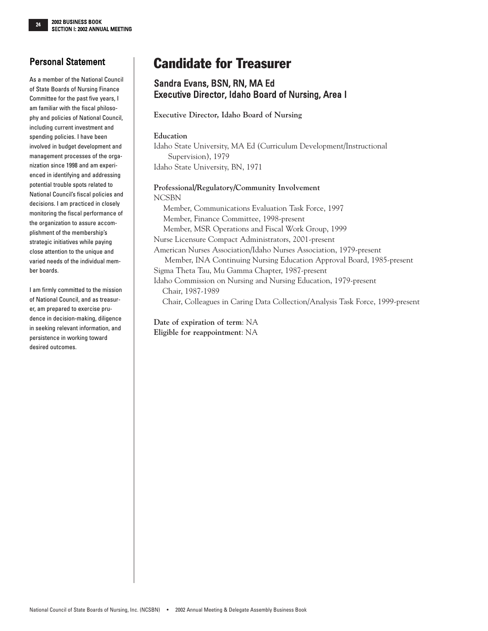As a member of the National Council of State Boards of Nursing Finance Committee for the past five years, I am familiar with the fiscal philosophy and policies of National Council, including current investment and spending policies. I have been involved in budget development and management processes of the organization since 1998 and am experienced in identifying and addressing potential trouble spots related to National Council's fiscal policies and decisions. I am practiced in closely monitoring the fiscal performance of the organization to assure accomplishment of the membership's strategic initiatives while paying close attention to the unique and varied needs of the individual member boards.

I am firmly committed to the mission of National Council, and as treasurer, am prepared to exercise prudence in decision-making, diligence in seeking relevant information, and persistence in working toward desired outcomes.

## Candidate for Treasurer

### Sandra Evans, BSN, RN, MA Ed Executive Director, Idaho Board of Nursing, Area I

#### **Executive Director, Idaho Board of Nursing**

### **Education**

Idaho State University, MA Ed (Curriculum Development/Instructional Supervision), 1979 Idaho State University, BN, 1971

### **Professional/Regulatory/Community Involvement**

**NCSBN** Member, Communications Evaluation Task Force, 1997 Member, Finance Committee, 1998-present Member, MSR Operations and Fiscal Work Group, 1999 Nurse Licensure Compact Administrators, 2001-present American Nurses Association/Idaho Nurses Association, 1979-present Member, INA Continuing Nursing Education Approval Board, 1985-present Sigma Theta Tau, Mu Gamma Chapter, 1987-present Idaho Commission on Nursing and Nursing Education, 1979-present Chair, 1987-1989 Chair, Colleagues in Caring Data Collection/Analysis Task Force, 1999-present

**Date of expiration of term**: NA **Eligible for reappointment**: NA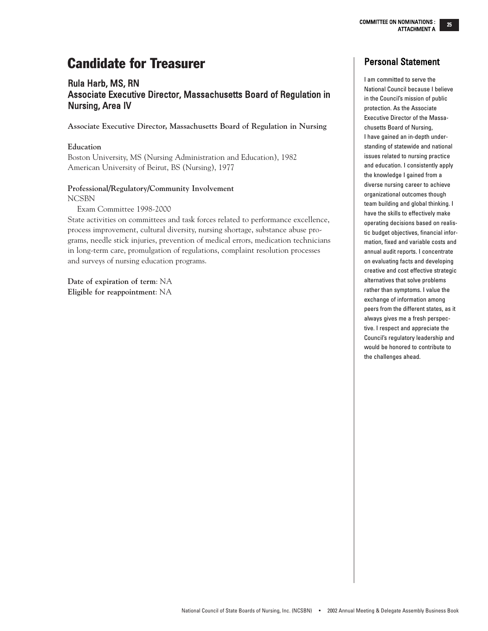## Candidate for Treasurer

### Rula Harb, MS, RN Associate Executive Director, Massachusetts Board of Regulation in Nursing, Area IV

**Associate Executive Director, Massachusetts Board of Regulation in Nursing**

### **Education**

Boston University, MS (Nursing Administration and Education), 1982 American University of Beirut, BS (Nursing), 1977

### **Professional/Regulatory/Community Involvement**

### NCSBN

Exam Committee 1998-2000

State activities on committees and task forces related to performance excellence, process improvement, cultural diversity, nursing shortage, substance abuse programs, needle stick injuries, prevention of medical errors, medication technicians in long-term care, promulgation of regulations, complaint resolution processes and surveys of nursing education programs.

**Date of expiration of term**: NA **Eligible for reappointment**: NA

## Personal Statement

I am committed to serve the National Council because I believe in the Council's mission of public protection. As the Associate Executive Director of the Massachusetts Board of Nursing, I have gained an in-depth understanding of statewide and national issues related to nursing practice and education. I consistently apply the knowledge I gained from a diverse nursing career to achieve organizational outcomes though team building and global thinking. I have the skills to effectively make operating decisions based on realistic budget objectives, financial information, fixed and variable costs and annual audit reports. I concentrate on evaluating facts and developing creative and cost effective strategic alternatives that solve problems rather than symptoms. I value the exchange of information among peers from the different states, as it always gives me a fresh perspective. I respect and appreciate the Council's regulatory leadership and would be honored to contribute to the challenges ahead.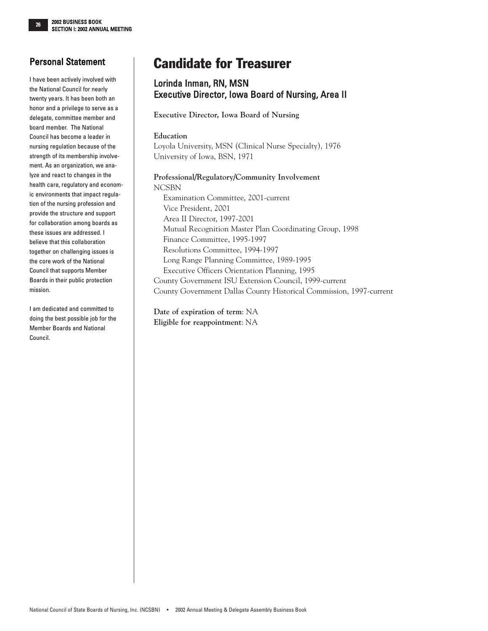I have been actively involved with the National Council for nearly twenty years. It has been both an honor and a privilege to serve as a delegate, committee member and board member. The National Council has become a leader in nursing regulation because of the strength of its membership involvement. As an organization, we analyze and react to changes in the health care, regulatory and economic environments that impact regulation of the nursing profession and provide the structure and support for collaboration among boards as these issues are addressed. I believe that this collaboration together on challenging issues is the core work of the National Council that supports Member Boards in their public protection mission.

I am dedicated and committed to doing the best possible job for the Member Boards and National Council.

## Candidate for Treasurer

### Lorinda Inman, RN, MSN Executive Director, Iowa Board of Nursing, Area II

**Executive Director, Iowa Board of Nursing**

### **Education**

Loyola University, MSN (Clinical Nurse Specialty), 1976 University of Iowa, BSN, 1971

#### **Professional/Regulatory/Community Involvement NCSBN**

Examination Committee, 2001-current Vice President, 2001 Area II Director, 1997-2001 Mutual Recognition Master Plan Coordinating Group, 1998 Finance Committee, 1995-1997 Resolutions Committee, 1994-1997 Long Range Planning Committee, 1989-1995 Executive Officers Orientation Planning, 1995 County Government ISU Extension Council, 1999-current County Government Dallas County Historical Commission, 1997-current

**Date of expiration of term**: NA **Eligible for reappointment**: NA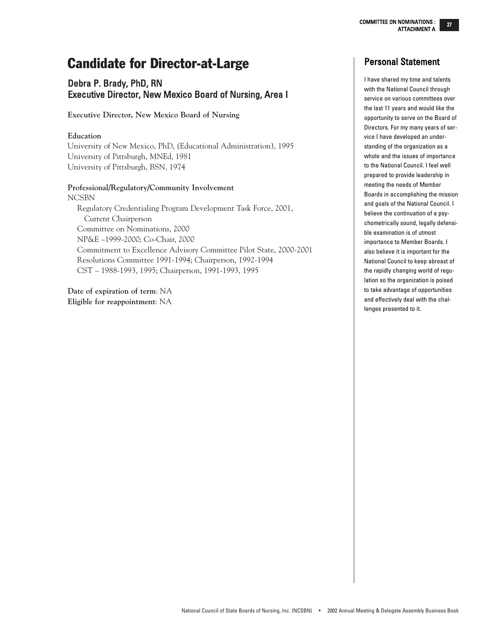## Candidate for Director-at-Large

## Debra P. Brady, PhD, RN Executive Director, New Mexico Board of Nursing, Area I

**Executive Director, New Mexico Board of Nursing**

### **Education**

University of New Mexico, PhD, (Educational Administration), 1995 University of Pittsburgh, MNEd, 1981 University of Pittsburgh, BSN, 1974

### **Professional/Regulatory/Community Involvement**

NCSBN Regulatory Credentialing Program Development Task Force, 2001, Current Chairperson Committee on Nominations, 2000 NP&E –1999-2000; Co-Chair, 2000 Commitment to Excellence Advisory Committee Pilot State, 2000-2001 Resolutions Committee 1991-1994; Chairperson, 1992-1994 CST – 1988-1993, 1995; Chairperson, 1991-1993, 1995

**Date of expiration of term**: NA **Eligible for reappointment**: NA

## Personal Statement

I have shared my time and talents with the National Council through service on various committees over the last 11 years and would like the opportunity to serve on the Board of Directors. For my many years of service I have developed an understanding of the organization as a whole and the issues of importance to the National Council. I feel well prepared to provide leadership in meeting the needs of Member Boards in accomplishing the mission and goals of the National Council. I believe the continuation of a psychometrically sound, legally defensible examination is of utmost importance to Member Boards. I also believe it is important for the National Council to keep abreast of the rapidly changing world of regulation so the organization is poised to take advantage of opportunities and effectively deal with the challenges presented to it.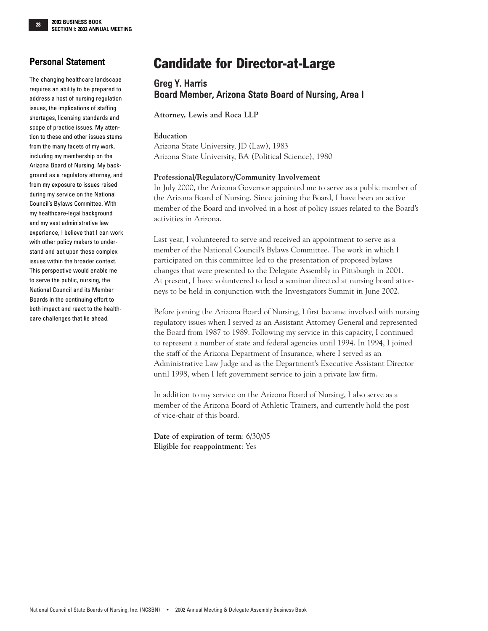The changing healthcare landscape requires an ability to be prepared to address a host of nursing regulation issues, the implications of staffing shortages, licensing standards and scope of practice issues. My attention to these and other issues stems from the many facets of my work, including my membership on the Arizona Board of Nursing. My background as a regulatory attorney, and from my exposure to issues raised during my service on the National Council's Bylaws Committee. With my healthcare-legal background and my vast administrative law experience, I believe that I can work with other policy makers to understand and act upon these complex issues within the broader context. This perspective would enable me to serve the public, nursing, the National Council and its Member Boards in the continuing effort to both impact and react to the healthcare challenges that lie ahead.

## Candidate for Director-at-Large

### Greg Y. Harris Board Member, Arizona State Board of Nursing, Area I

### **Attorney, Lewis and Roca LLP**

### **Education**

Arizona State University, JD (Law), 1983 Arizona State University, BA (Political Science), 1980

### **Professional/Regulatory/Community Involvement**

In July 2000, the Arizona Governor appointed me to serve as a public member of the Arizona Board of Nursing. Since joining the Board, I have been an active member of the Board and involved in a host of policy issues related to the Board's activities in Arizona.

Last year, I volunteered to serve and received an appointment to serve as a member of the National Council's Bylaws Committee. The work in which I participated on this committee led to the presentation of proposed bylaws changes that were presented to the Delegate Assembly in Pittsburgh in 2001. At present, I have volunteered to lead a seminar directed at nursing board attorneys to be held in conjunction with the Investigators Summit in June 2002.

Before joining the Arizona Board of Nursing, I first became involved with nursing regulatory issues when I served as an Assistant Attorney General and represented the Board from 1987 to 1989. Following my service in this capacity, I continued to represent a number of state and federal agencies until 1994. In 1994, I joined the staff of the Arizona Department of Insurance, where I served as an Administrative Law Judge and as the Department's Executive Assistant Director until 1998, when I left government service to join a private law firm.

In addition to my service on the Arizona Board of Nursing, I also serve as a member of the Arizona Board of Athletic Trainers, and currently hold the post of vice-chair of this board.

**Date of expiration of term**: 6/30/05 **Eligible for reappointment**: Yes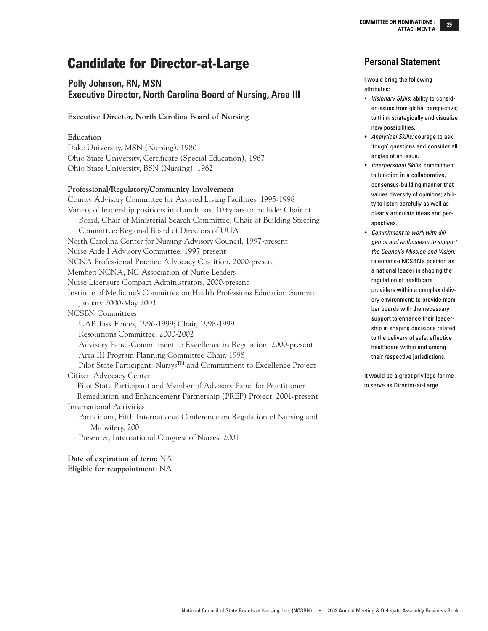## Candidate for Director-at-Large

## Polly Johnson, RN, MSN Executive Director, North Carolina Board of Nursing, Area III

**Executive Director, North Carolina Board of Nursing**

### **Education**

Duke University, MSN (Nursing), 1980 Ohio State University, Certificate (Special Education), 1967 Ohio State University, BSN (Nursing), 1962

### **Professional/Regulatory/Community Involvement**

County Advisory Committee for Assisted Living Facilities, 1995-1998 Variety of leadership positions in church past 10+years to include: Chair of Board, Chair of Ministerial Search Committee; Chair of Building Steering Committee: Regional Board of Directors of UUA North Carolina Center for Nursing Advisory Council, 1997-present Nurse Aide I Advisory Committee, 1997-present NCNA Professional Practice Advocacy Coalition, 2000-present Member: NCNA, NC Association of Nurse Leaders Nurse Licensure Compact Administrators, 2000-present Institute of Medicine's Committee on Health Professions Education Summit: January 2000-May 2003 NCSBN Committees UAP Task Forces, 1996-1999; Chair, 1998-1999 Resolutions Committee, 2000-2002 Advisory Panel-Commitment to Excellence in Regulation, 2000-present Area III Program Planning Committee Chair, 1998 Pilot State Participant: Nursys<sup>TM</sup> and Commitment to Excellence Project Citizen Advocacy Center Pilot State Participant and Member of Advisory Panel for Practitioner Remediation and Enhancement Partnership (PREP) Project, 2001-present International Activities Participant, Fifth International Conference on Regulation of Nursing and Midwifery, 2001 Presenter, International Congress of Nurses, 2001

**Date of expiration of term**: NA **Eligible for reappointment**: NA

## Personal Statement

I would bring the following attributes:

- Visionary Skills: ability to consider issues from global perspective; to think strategically and visualize new possibilities.
- Analytical Skills: courage to ask 'tough' questions and consider all angles of an issue.
- Interpersonal Skills: commitment to function in a collaborative, consensus-building manner that values diversity of opinions; ability to listen carefully as well as clearly articulate ideas and perspectives.
- Commitment to work with diligence and enthusiasm to support the Council's Mission and Vision: to enhance NCSBN's position as a national leader in shaping the regulation of healthcare providers within a complex delivery environment; to provide member boards with the necessary support to enhance their leadership in shaping decisions related to the delivery of safe, effective healthcare within and among their respective jurisdictions.

It would be a great privilege for me to serve as Director-at-Large.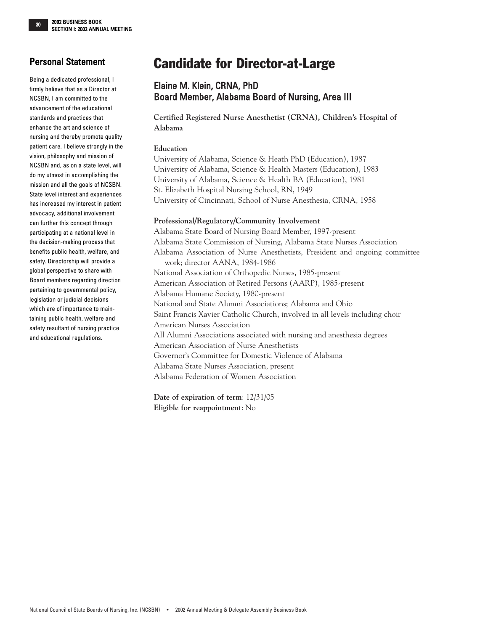Being a dedicated professional, I firmly believe that as a Director at NCSBN, I am committed to the advancement of the educational standards and practices that enhance the art and science of nursing and thereby promote quality patient care. I believe strongly in the vision, philosophy and mission of NCSBN and, as on a state level, will do my utmost in accomplishing the mission and all the goals of NCSBN. State level interest and experiences has increased my interest in patient advocacy, additional involvement can further this concept through participating at a national level in the decision-making process that benefits public health, welfare, and safety. Directorship will provide a global perspective to share with Board members regarding direction pertaining to governmental policy, legislation or judicial decisions which are of importance to maintaining public health, welfare and safety resultant of nursing practice and educational regulations.

## Candidate for Director-at-Large

### Elaine M. Klein, CRNA, PhD Board Member, Alabama Board of Nursing, Area III

**Certified Registered Nurse Anesthetist (CRNA), Children's Hospital of Alabama** 

### **Education**

University of Alabama, Science & Heath PhD (Education), 1987 University of Alabama, Science & Health Masters (Education), 1983 University of Alabama, Science & Health BA (Education), 1981 St. Elizabeth Hospital Nursing School, RN, 1949 University of Cincinnati, School of Nurse Anesthesia, CRNA, 1958

### **Professional/Regulatory/Community Involvement**

Alabama State Board of Nursing Board Member, 1997-present Alabama State Commission of Nursing, Alabama State Nurses Association Alabama Association of Nurse Anesthetists, President and ongoing committee work; director AANA, 1984-1986 National Association of Orthopedic Nurses, 1985-present American Association of Retired Persons (AARP), 1985-present Alabama Humane Society, 1980-present National and State Alumni Associations; Alabama and Ohio Saint Francis Xavier Catholic Church, involved in all levels including choir American Nurses Association All Alumni Associations associated with nursing and anesthesia degrees American Association of Nurse Anesthetists Governor's Committee for Domestic Violence of Alabama Alabama State Nurses Association, present Alabama Federation of Women Association

**Date of expiration of term**: 12/31/05 **Eligible for reappointment**: No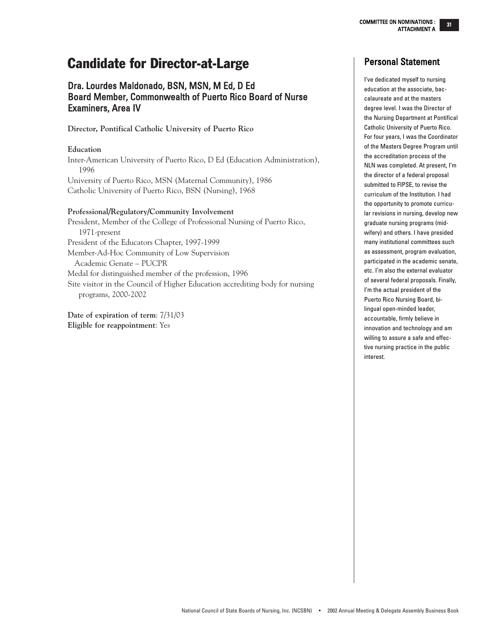## Candidate for Director-at-Large

## Dra. Lourdes Maldonado, BSN, MSN, M Ed, D Ed Board Member, Commonwealth of Puerto Rico Board of Nurse Examiners, Area IV

**Director, Pontifical Catholic University of Puerto Rico**

### **Education**

Inter-American University of Puerto Rico, D Ed (Education Administration), 1996 University of Puerto Rico, MSN (Maternal Community), 1986 Catholic University of Puerto Rico, BSN (Nursing), 1968

### **Professional/Regulatory/Community Involvement**

President, Member of the College of Professional Nursing of Puerto Rico, 1971-present President of the Educators Chapter, 1997-1999 Member-Ad-Hoc Community of Low Supervision Academic Genate – PUCPR Medal for distinguished member of the profession, 1996 Site visitor in the Council of Higher Education accrediting body for nursing programs, 2000-2002

**Date of expiration of term**: 7/31/03 **Eligible for reappointment**: Yes

## Personal Statement

I've dedicated myself to nursing education at the associate, baccalaureate and at the masters degree level. I was the Director of the Nursing Department at Pontifical Catholic University of Puerto Rico. For four years, I was the Coordinator of the Masters Degree Program until the accreditation process of the NLN was completed. At present, I'm the director of a federal proposal submitted to FIPSE, to revise the curriculum of the Institution. I had the opportunity to promote curricular revisions in nursing, develop new graduate nursing programs (midwifery) and others. I have presided many institutional committees such as assessment, program evaluation, participated in the academic senate, etc. I'm also the external evaluator of several federal proposals. Finally, I'm the actual president of the Puerto Rico Nursing Board, bilingual open-minded leader, accountable, firmly believe in innovation and technology and am willing to assure a safe and effective nursing practice in the public interest.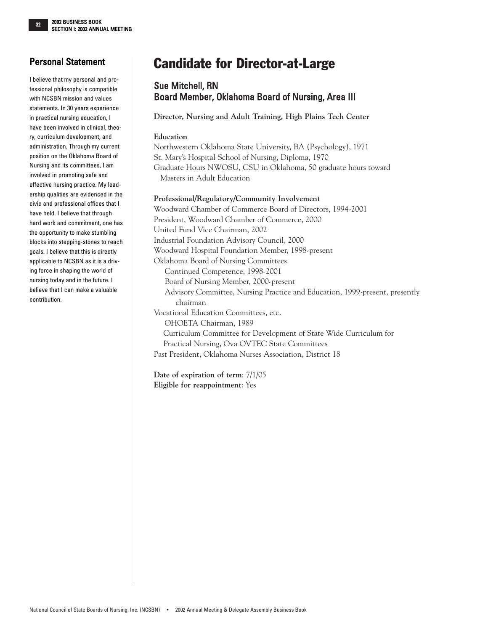I believe that my personal and professional philosophy is compatible with NCSBN mission and values statements. In 30 years experience in practical nursing education, I have been involved in clinical, theory, curriculum development, and administration. Through my current position on the Oklahoma Board of Nursing and its committees, I am involved in promoting safe and effective nursing practice. My leadership qualities are evidenced in the civic and professional offices that I have held. I believe that through hard work and commitment, one has the opportunity to make stumbling blocks into stepping-stones to reach goals. I believe that this is directly applicable to NCSBN as it is a driving force in shaping the world of nursing today and in the future. I believe that I can make a valuable contribution.

## Candidate for Director-at-Large

### Sue Mitchell, RN Board Member, Oklahoma Board of Nursing, Area III

**Director, Nursing and Adult Training, High Plains Tech Center** 

### **Education**

Northwestern Oklahoma State University, BA (Psychology), 1971 St. Mary's Hospital School of Nursing, Diploma, 1970 Graduate Hours NWOSU, CSU in Oklahoma, 50 graduate hours toward Masters in Adult Education

### **Professional/Regulatory/Community Involvement**

Woodward Chamber of Commerce Board of Directors, 1994-2001 President, Woodward Chamber of Commerce, 2000 United Fund Vice Chairman, 2002 Industrial Foundation Advisory Council, 2000 Woodward Hospital Foundation Member, 1998-present Oklahoma Board of Nursing Committees Continued Competence, 1998-2001 Board of Nursing Member, 2000-present Advisory Committee, Nursing Practice and Education, 1999-present, presently chairman Vocational Education Committees, etc. OHOETA Chairman, 1989 Curriculum Committee for Development of State Wide Curriculum for Practical Nursing, Ova OVTEC State Committees Past President, Oklahoma Nurses Association, District 18

**Date of expiration of term**: 7/1/05 **Eligible for reappointment**: Yes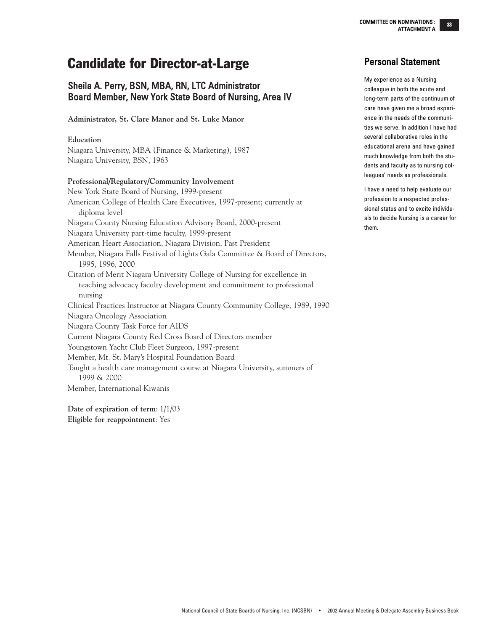## Candidate for Director-at-Large

## Sheila A. Perry, BSN, MBA, RN, LTC Administrator Board Member, New York State Board of Nursing, Area IV

**Administrator, St. Clare Manor and St. Luke Manor** 

### **Education**

Niagara University, MBA (Finance & Marketing), 1987 Niagara University, BSN, 1963

### **Professional/Regulatory/Community Involvement**

New York State Board of Nursing, 1999-present American College of Health Care Executives, 1997-present; currently at diploma level Niagara County Nursing Education Advisory Board, 2000-present Niagara University part-time faculty, 1999-present American Heart Association, Niagara Division, Past President Member, Niagara Falls Festival of Lights Gala Committee & Board of Directors, 1995, 1996, 2000 Citation of Merit Niagara University College of Nursing for excellence in teaching advocacy faculty development and commitment to professional nursing Clinical Practices Instructor at Niagara County Community College, 1989, 1990 Niagara Oncology Association Niagara County Task Force for AIDS Current Niagara County Red Cross Board of Directors member Youngstown Yacht Club Fleet Surgeon, 1997-present Member, Mt. St. Mary's Hospital Foundation Board Taught a health care management course at Niagara University, summers of 1999 & 2000 Member, International Kiwanis

**Date of expiration of term**: 1/1/03 **Eligible for reappointment**: Yes

## Personal Statement

My experience as a Nursing colleague in both the acute and long-term parts of the continuum of care have given me a broad experience in the needs of the communities we serve. In addition I have had several collaborative roles in the educational arena and have gained much knowledge from both the students and faculty as to nursing colleagues' needs as professionals.

I have a need to help evaluate our profession to a respected professional status and to excite individuals to decide Nursing is a career for them.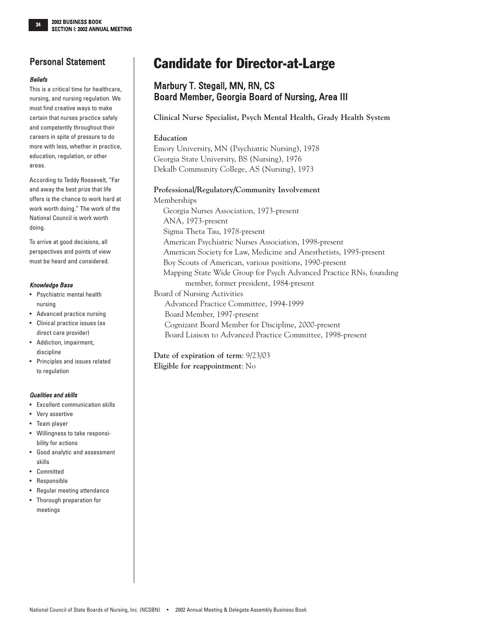#### Beliefs

This is a critical time for healthcare, nursing, and nursing regulation. We must find creative ways to make certain that nurses practice safely and competently throughout their careers in spite of pressure to do more with less, whether in practice, education, regulation, or other areas.

According to Teddy Roosevelt, "Far and away the best prize that life offers is the chance to work hard at work worth doing." The work of the National Council is work worth doing.

To arrive at good decisions, all perspectives and points of view must be heard and considered.

#### Knowledge Base

- Psychiatric mental health nursing
- Advanced practice nursing • Clinical practice issues (as direct care provider)
- Addiction, impairment, discipline
- Principles and issues related to regulation

#### Qualities and skills

- Excellent communication skills
- Very assertive
- Team player
- Willingness to take responsibility for actions
- Good analytic and assessment skills
- Committed
- Responsible
- Regular meeting attendance
- Thorough preparation for meetings

## Candidate for Director-at-Large

## Marbury T. Stegall, MN, RN, CS Board Member, Georgia Board of Nursing, Area III

### **Clinical Nurse Specialist, Psych Mental Health, Grady Health System**

#### **Education**

Emory University, MN (Psychiatric Nursing), 1978 Georgia State University, BS (Nursing), 1976 Dekalb Community College, AS (Nursing), 1973

#### **Professional/Regulatory/Community Involvement**

Memberships Georgia Nurses Association, 1973-present ANA, 1973-present Sigma Theta Tau, 1978-present American Psychiatric Nurses Association, 1998-present American Society for Law, Medicine and Anesthetists, 1995-present Boy Scouts of American, various positions, 1990-present Mapping State Wide Group for Psych Advanced Practice RNs, founding member, former president, 1984-present Board of Nursing Activities Advanced Practice Committee, 1994-1999 Board Member, 1997-present Cognizant Board Member for Discipline, 2000-present Board Liaison to Advanced Practice Committee, 1998-present

**Date of expiration of term**: 9/23/03 **Eligible for reappointment**: No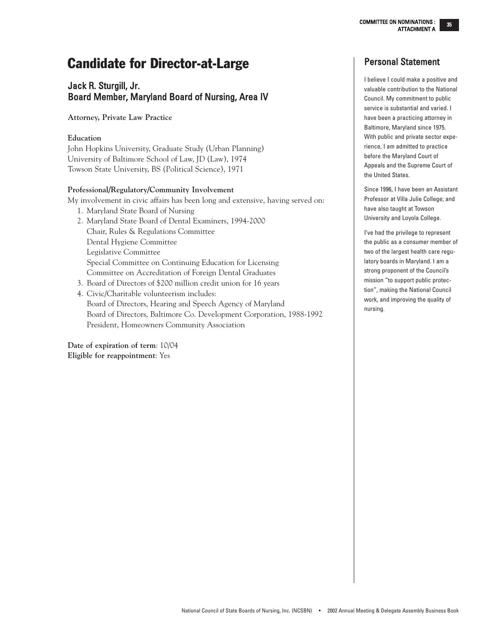## Candidate for Director-at-Large

## Jack R. Sturgill, Jr. Board Member, Maryland Board of Nursing, Area IV

### **Attorney, Private Law Practice**

### **Education**

John Hopkins University, Graduate Study (Urban Planning) University of Baltimore School of Law, JD (Law), 1974 Towson State University, BS (Political Science), 1971

### **Professional/Regulatory/Community Involvement**

My involvement in civic affairs has been long and extensive, having served on:

- 1. Maryland State Board of Nursing
- 2. Maryland State Board of Dental Examiners, 1994-2000 Chair, Rules & Regulations Committee Dental Hygiene Committee Legislative Committee Special Committee on Continuing Education for Licensing Committee on Accreditation of Foreign Dental Graduates
- 3. Board of Directors of \$200 million credit union for 16 years
- 4. Civic/Charitable volunteerism includes: Board of Directors, Hearing and Speech Agency of Maryland Board of Directors, Baltimore Co. Development Corporation, 1988-1992 President, Homeowners Community Association

**Date of expiration of term**: 10/04 **Eligible for reappointment**: Yes

## Personal Statement

I believe I could make a positive and valuable contribution to the National Council. My commitment to public service is substantial and varied. I have been a practicing attorney in Baltimore, Maryland since 1975. With public and private sector experience, I am admitted to practice before the Maryland Court of Appeals and the Supreme Court of the United States.

Since 1996, I have been an Assistant Professor at Villa Julie College; and have also taught at Towson University and Loyola College.

I've had the privilege to represent the public as a consumer member of two of the largest health care regulatory boards in Maryland. I am a strong proponent of the Council's mission "to support public protection", making the National Council work, and improving the quality of nursing.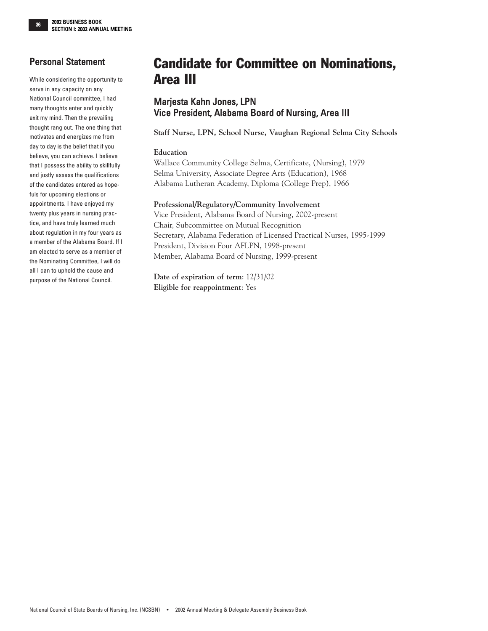# Personal Statement

While considering the opportunity to serve in any capacity on any National Council committee, I had many thoughts enter and quickly exit my mind. Then the prevailing thought rang out. The one thing that motivates and energizes me from day to day is the belief that if you believe, you can achieve. I believe that I possess the ability to skillfully and justly assess the qualifications of the candidates entered as hopefuls for upcoming elections or appointments. I have enjoyed my twenty plus years in nursing practice, and have truly learned much about regulation in my four years as a member of the Alabama Board. If I am elected to serve as a member of the Nominating Committee, I will do all I can to uphold the cause and purpose of the National Council.

# Candidate for Committee on Nominations, Area III

# Marjesta Kahn Jones, LPN Vice President, Alabama Board of Nursing, Area III

**Staff Nurse, LPN, School Nurse, Vaughan Regional Selma City Schools** 

# **Education**

Wallace Community College Selma, Certificate, (Nursing), 1979 Selma University, Associate Degree Arts (Education), 1968 Alabama Lutheran Academy, Diploma (College Prep), 1966

# **Professional/Regulatory/Community Involvement**

Vice President, Alabama Board of Nursing, 2002-present Chair, Subcommittee on Mutual Recognition Secretary, Alabama Federation of Licensed Practical Nurses, 1995-1999 President, Division Four AFLPN, 1998-present Member, Alabama Board of Nursing, 1999-present

**Date of expiration of term**: 12/31/02 **Eligible for reappointment**: Yes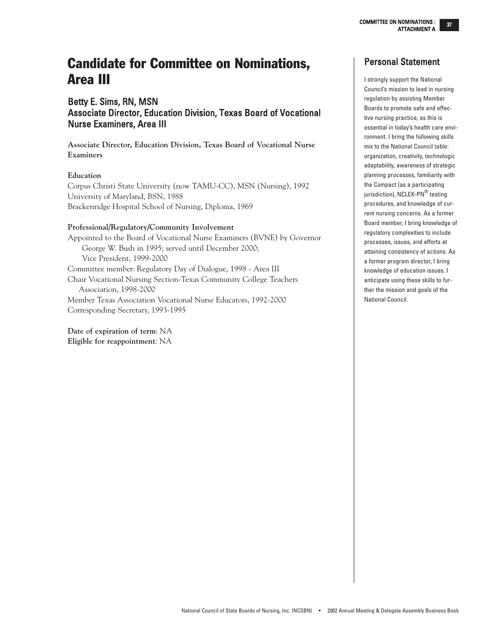# Candidate for Committee on Nominations, Area III

# Betty E. Sims, RN, MSN Associate Director, Education Division, Texas Board of Vocational Nurse Examiners, Area III

**Associate Director, Education Division, Texas Board of Vocational Nurse Examiners**

# **Education**

Corpus Christi State University (now TAMU-CC), MSN (Nursing), 1992 University of Maryland, BSN, 1988 Brackenridge Hospital School of Nursing, Diploma, 1969

### **Professional/Regulatory/Community Involvement**

Appointed to the Board of Vocational Nurse Examiners (BVNE) by Governor George W. Bush in 1995; served until December 2000; Vice President, 1999-2000 Committee member: Regulatory Day of Dialogue, 1998 - Area III Chair Vocational Nursing Section-Texas Community College Teachers Association, 1998-2000 Member Texas Association Vocational Nurse Educators, 1992-2000 Corresponding Secretary, 1993-1995

**Date of expiration of term**: NA **Eligible for reappointment**: NA

# Personal Statement

I strongly support the National Council's mission to lead in nursing regulation by assisting Member Boards to promote safe and effective nursing practice, as this is essential in today's health care environment. I bring the following skills mix to the National Council table: organization, creativity, technologic adaptability, awareness of strategic planning processes, familiarity with the Compact (as a participating jurisdiction), NCLEX-PN® testing procedures, and knowledge of current nursing concerns. As a former Board member, I bring knowledge of regulatory complexities to include processes, issues, and efforts at attaining consistency of actions. As a former program director, I bring knowledge of education issues. I anticipate using these skills to further the mission and goals of the National Council.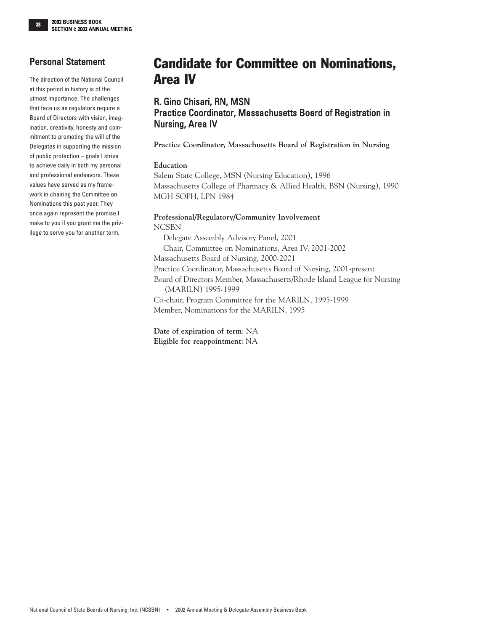# Personal Statement

The direction of the National Council at this period in history is of the utmost importance. The challenges that face us as regulators require a Board of Directors with vision, imagination, creativity, honesty and commitment to promoting the will of the Delegates in supporting the mission of public protection – goals I strive to achieve daily in both my personal and professional endeavors. These values have served as my framework in chairing the Committee on Nominations this past year. They once again represent the promise I make to you if you grant me the privilege to serve you for another term.

# Candidate for Committee on Nominations, Area IV

# R. Gino Chisari, RN, MSN Practice Coordinator, Massachusetts Board of Registration in Nursing, Area IV

**Practice Coordinator, Massachusetts Board of Registration in Nursing**

# **Education**

Salem State College, MSN (Nursing Education), 1996 Massachusetts College of Pharmacy & Allied Health, BSN (Nursing), 1990 MGH SOPH, LPN 1984

# **Professional/Regulatory/Community Involvement** NCSBN

Delegate Assembly Advisory Panel, 2001 Chair, Committee on Nominations, Area IV, 2001-2002 Massachusetts Board of Nursing, 2000-2001 Practice Coordinator, Massachusetts Board of Nursing, 2001-present Board of Directors Member, Massachusetts/Rhode Island League for Nursing (MARILN) 1995-1999 Co-chair, Program Committee for the MARILN, 1995-1999 Member, Nominations for the MARILN, 1995

**Date of expiration of term**: NA **Eligible for reappointment**: NA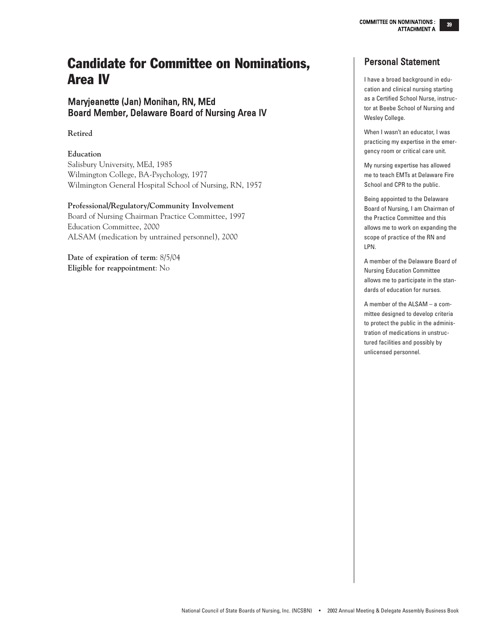# Candidate for Committee on Nominations, Area IV

# Maryjeanette (Jan) Monihan, RN, MEd Board Member, Delaware Board of Nursing Area IV

# **Retired**

# **Education**

Salisbury University, MEd, 1985 Wilmington College, BA-Psychology, 1977 Wilmington General Hospital School of Nursing, RN, 1957

# **Professional/Regulatory/Community Involvement**

Board of Nursing Chairman Practice Committee, 1997 Education Committee, 2000 ALSAM (medication by untrained personnel), 2000

**Date of expiration of term**: 8/5/04 **Eligible for reappointment**: No

# Personal Statement

I have a broad background in education and clinical nursing starting as a Certified School Nurse, instructor at Beebe School of Nursing and Wesley College.

When I wasn't an educator, I was practicing my expertise in the emergency room or critical care unit.

My nursing expertise has allowed me to teach EMTs at Delaware Fire School and CPR to the public.

Being appointed to the Delaware Board of Nursing, I am Chairman of the Practice Committee and this allows me to work on expanding the scope of practice of the RN and LPN.

A member of the Delaware Board of Nursing Education Committee allows me to participate in the standards of education for nurses.

A member of the ALSAM – a committee designed to develop criteria to protect the public in the administration of medications in unstructured facilities and possibly by unlicensed personnel.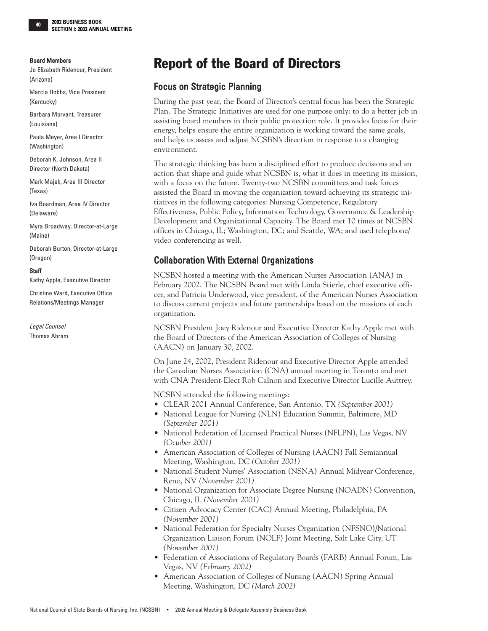#### Board Members

Jo Elizabeth Ridenour, President (Arizona)

Marcia Hobbs, Vice President (Kentucky)

Barbara Morvant, Treasurer (Louisiana)

Paula Meyer, Area I Director (Washington)

Deborah K. Johnson, Area II Director (North Dakota)

Mark Majek, Area III Director (Texas)

Iva Boardman, Area IV Director (Delaware)

Myra Broadway, Director-at-Large (Maine)

Deborah Burton, Director-at-Large (Oregon)

#### **Staff**

Kathy Apple, Executive Director

Christine Ward, Executive Office Relations/Meetings Manager

Legal Counsel Thomas Abram

# Report of the Board of Directors

# Focus on Strategic Planning

During the past year, the Board of Director's central focus has been the Strategic Plan. The Strategic Initiatives are used for one purpose only: to do a better job in assisting board members in their public protection role. It provides focus for their energy, helps ensure the entire organization is working toward the same goals, and helps us assess and adjust NCSBN's direction in response to a changing environment.

The strategic thinking has been a disciplined effort to produce decisions and an action that shape and guide what NCSBN is, what it does in meeting its mission, with a focus on the future. Twenty-two NCSBN committees and task forces assisted the Board in moving the organization toward achieving its strategic initiatives in the following categories: Nursing Competence, Regulatory Effectiveness, Public Policy, Information Technology, Governance & Leadership Development and Organizational Capacity. The Board met 10 times at NCSBN offices in Chicago, IL; Washington, DC; and Seattle, WA; and used telephone/ video conferencing as well.

# Collaboration With External Organizations

NCSBN hosted a meeting with the American Nurses Association (ANA) in February 2002. The NCSBN Board met with Linda Stierle, chief executive officer, and Patricia Underwood, vice president, of the American Nurses Association to discuss current projects and future partnerships based on the missions of each organization.

NCSBN President Joey Ridenour and Executive Director Kathy Apple met with the Board of Directors of the American Association of Colleges of Nursing (AACN) on January 30, 2002.

On June 24, 2002, President Ridenour and Executive Director Apple attended the Canadian Nurses Association (CNA) annual meeting in Toronto and met with CNA President-Elect Rob Calnon and Executive Director Lucille Auttrey.

NCSBN attended the following meetings:

- CLEAR 2001 Annual Conference, San Antonio, TX *(September 2001)*
- National League for Nursing (NLN) Education Summit, Baltimore, MD *(September 2001)*
- National Federation of Licensed Practical Nurses (NFLPN), Las Vegas, NV *(October 2001)*
- American Association of Colleges of Nursing (AACN) Fall Semiannual Meeting, Washington, DC *(October 2001)*
- National Student Nurses' Association (NSNA) Annual Midyear Conference, Reno, NV *(November 2001)*
- National Organization for Associate Degree Nursing (NOADN) Convention, Chicago, IL *(November 2001)*
- Citizen Advocacy Center (CAC) Annual Meeting, Philadelphia, PA *(November 2001)*
- National Federation for Specialty Nurses Organization (NFSNO)/National Organization Liaison Forum (NOLF) Joint Meeting, Salt Lake City, UT *(November 2001)*
- Federation of Associations of Regulatory Boards (FARB) Annual Forum, Las Vegas, NV *(February 2002)*
- American Association of Colleges of Nursing (AACN) Spring Annual Meeting, Washington, DC *(March 2002)*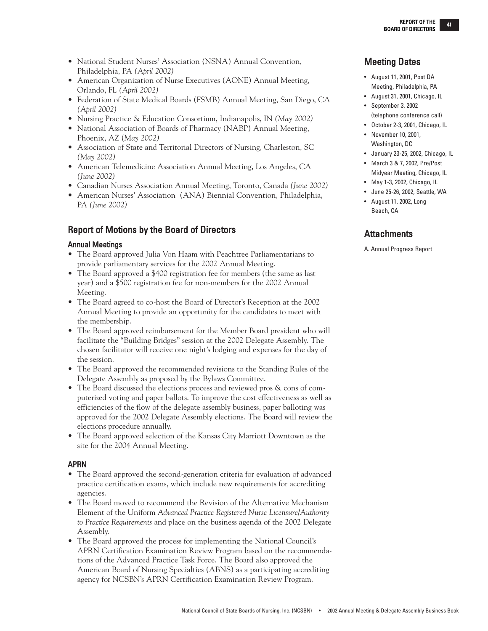- National Student Nurses' Association (NSNA) Annual Convention, Philadelphia, PA *(April 2002)*
- American Organization of Nurse Executives (AONE) Annual Meeting, Orlando, FL *(April 2002)*
- Federation of State Medical Boards (FSMB) Annual Meeting, San Diego, CA *(April 2002)*
- Nursing Practice & Education Consortium, Indianapolis, IN *(May 2002)*
- National Association of Boards of Pharmacy (NABP) Annual Meeting, Phoenix, AZ (*May 2002)*
- Association of State and Territorial Directors of Nursing, Charleston, SC *(May 2002)*
- American Telemedicine Association Annual Meeting, Los Angeles, CA *(June 2002)*
- Canadian Nurses Association Annual Meeting, Toronto, Canada *(June 2002)*
- American Nurses' Association (ANA) Biennial Convention, Philadelphia, PA *(June 2002)*

# Report of Motions by the Board of Directors

# Annual Meetings

- The Board approved Julia Von Haam with Peachtree Parliamentarians to provide parliamentary services for the 2002 Annual Meeting.
- The Board approved a \$400 registration fee for members (the same as last year) and a \$500 registration fee for non-members for the 2002 Annual Meeting.
- The Board agreed to co-host the Board of Director's Reception at the 2002 Annual Meeting to provide an opportunity for the candidates to meet with the membership.
- The Board approved reimbursement for the Member Board president who will facilitate the "Building Bridges" session at the 2002 Delegate Assembly. The chosen facilitator will receive one night's lodging and expenses for the day of the session.
- The Board approved the recommended revisions to the Standing Rules of the Delegate Assembly as proposed by the Bylaws Committee.
- The Board discussed the elections process and reviewed pros & cons of computerized voting and paper ballots. To improve the cost effectiveness as well as efficiencies of the flow of the delegate assembly business, paper balloting was approved for the 2002 Delegate Assembly elections. The Board will review the elections procedure annually.
- The Board approved selection of the Kansas City Marriott Downtown as the site for the 2004 Annual Meeting.

# APRN

- The Board approved the second-generation criteria for evaluation of advanced practice certification exams, which include new requirements for accrediting agencies.
- The Board moved to recommend the Revision of the Alternative Mechanism Element of the Uniform *Advanced Practice Registered Nurse Licensure/Authority to Practice Requirements* and place on the business agenda of the 2002 Delegate Assembly.
- The Board approved the process for implementing the National Council's APRN Certification Examination Review Program based on the recommendations of the Advanced Practice Task Force. The Board also approved the American Board of Nursing Specialties (ABNS) as a participating accrediting agency for NCSBN's APRN Certification Examination Review Program.

# Meeting Dates

- August 11, 2001, Post DA Meeting, Philadelphia, PA
- August 31, 2001, Chicago, IL
- September 3, 2002 (telephone conference call)
- October 2-3, 2001, Chicago, IL
- November 10, 2001, Washington, DC
- January 23-25, 2002, Chicago, IL
- March 3 & 7, 2002, Pre/Post Midyear Meeting, Chicago, IL
- May 1-3, 2002, Chicago, IL
- June 25-26, 2002, Seattle, WA
- August 11, 2002, Long Beach, CA

# **Attachments**

A. Annual Progress Report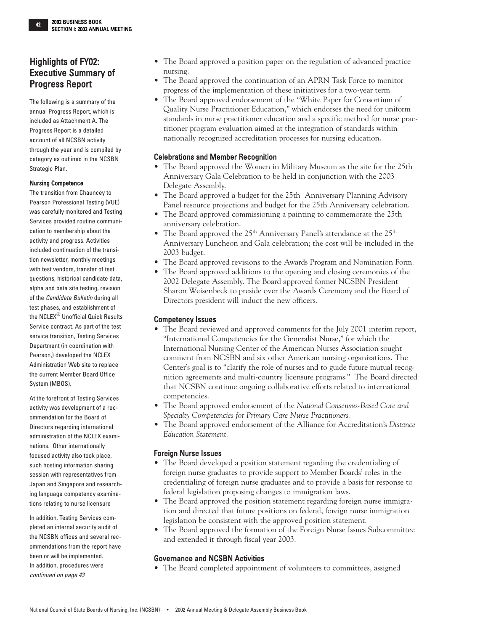# Highlights of FY02: Executive Summary of Progress Report

The following is a summary of the annual Progress Report, which is included as Attachment A. The Progress Report is a detailed account of all NCSBN activity through the year and is compiled by category as outlined in the NCSBN Strategic Plan.

# Nursing Competence

The transition from Chauncey to Pearson Professional Testing (VUE) was carefully monitored and Testing Services provided routine communication to membership about the activity and progress. Activities included continuation of the transition newsletter, monthly meetings with test vendors, transfer of test questions, historical candidate data, alpha and beta site testing, revision of the Candidate Bulletin during all test phases, and establishment of the NCLEX® Unofficial Quick Results Service contract. As part of the test service transition, Testing Services Department (in coordination with Pearson,) developed the NCLEX Administration Web site to replace the current Member Board Office System (MBOS).

At the forefront of Testing Services activity was development of a recommendation for the Board of Directors regarding international administration of the NCLEX examinations. Other internationally focused activity also took place, such hosting information sharing session with representatives from Japan and Singapore and researching language competency examinations relating to nurse licensure

In addition, Testing Services completed an internal security audit of the NCSBN offices and several recommendations from the report have been or will be implemented. In addition, procedures were continued on page 43

- The Board approved a position paper on the regulation of advanced practice nursing.
- The Board approved the continuation of an APRN Task Force to monitor progress of the implementation of these initiatives for a two-year term.
- The Board approved endorsement of the "White Paper for Consortium of Quality Nurse Practitioner Education," which endorses the need for uniform standards in nurse practitioner education and a specific method for nurse practitioner program evaluation aimed at the integration of standards within nationally recognized accreditation processes for nursing education.

# Celebrations and Member Recognition

- The Board approved the Women in Military Museum as the site for the 25th Anniversary Gala Celebration to be held in conjunction with the 2003 Delegate Assembly.
- The Board approved a budget for the 25th Anniversary Planning Advisory Panel resource projections and budget for the 25th Anniversary celebration.
- The Board approved commissioning a painting to commemorate the 25th anniversary celebration.
- The Board approved the  $25<sup>th</sup>$  Anniversary Panel's attendance at the  $25<sup>th</sup>$ Anniversary Luncheon and Gala celebration; the cost will be included in the 2003 budget.
- The Board approved revisions to the Awards Program and Nomination Form.
- The Board approved additions to the opening and closing ceremonies of the 2002 Delegate Assembly. The Board approved former NCSBN President Sharon Weisenbeck to preside over the Awards Ceremony and the Board of Directors president will induct the new officers.

# Competency Issues

- The Board reviewed and approved comments for the July 2001 interim report, "International Competencies for the Generalist Nurse," for which the International Nursing Center of the American Nurses Association sought comment from NCSBN and six other American nursing organizations. The Center's goal is to "clarify the role of nurses and to guide future mutual recognition agreements and multi-country licensure programs." The Board directed that NCSBN continue ongoing collaborative efforts related to international competencies.
- The Board approved endorsement of the *National Consensus-Based Core and Specialty Competencies for Primary Care Nurse Practitioners.*
- The Board approved endorsement of the Alliance for Accreditation's *Distance Education Statement*.

## Foreign Nurse Issues

- The Board developed a position statement regarding the credentialing of foreign nurse graduates to provide support to Member Boards' roles in the credentialing of foreign nurse graduates and to provide a basis for response to federal legislation proposing changes to immigration laws.
- The Board approved the position statement regarding foreign nurse immigration and directed that future positions on federal, foreign nurse immigration legislation be consistent with the approved position statement.
- The Board approved the formation of the Foreign Nurse Issues Subcommittee and extended it through fiscal year 2003.

## Governance and NCSBN Activities

• The Board completed appointment of volunteers to committees, assigned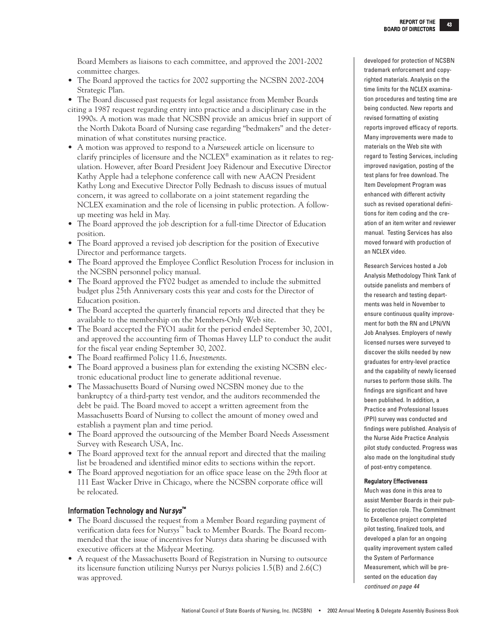Board Members as liaisons to each committee, and approved the 2001-2002 committee charges.

- The Board approved the tactics for 2002 supporting the NCSBN 2002-2004 Strategic Plan.
- The Board discussed past requests for legal assistance from Member Boards
- citing a 1987 request regarding entry into practice and a disciplinary case in the 1990s. A motion was made that NCSBN provide an amicus brief in support of the North Dakota Board of Nursing case regarding "bedmakers" and the determination of what constitutes nursing practice.
- A motion was approved to respond to a *Nurseweek* article on licensure to clarify principles of licensure and the NCLEX® examination as it relates to regulation. However, after Board President Joey Ridenour and Executive Director Kathy Apple had a telephone conference call with new AACN President Kathy Long and Executive Director Polly Bednash to discuss issues of mutual concern, it was agreed to collaborate on a joint statement regarding the NCLEX examination and the role of licensing in public protection. A followup meeting was held in May.
- The Board approved the job description for a full-time Director of Education position.
- The Board approved a revised job description for the position of Executive Director and performance targets.
- The Board approved the Employee Conflict Resolution Process for inclusion in the NCSBN personnel policy manual.
- The Board approved the FY02 budget as amended to include the submitted budget plus 25th Anniversary costs this year and costs for the Director of Education position.
- The Board accepted the quarterly financial reports and directed that they be available to the membership on the Members-Only Web site.
- The Board accepted the FYO1 audit for the period ended September 30, 2001, and approved the accounting firm of Thomas Havey LLP to conduct the audit for the fiscal year ending September 30, 2002.
- The Board reaffirmed Policy 11.6, *Investments*.
- The Board approved a business plan for extending the existing NCSBN electronic educational product line to generate additional revenue.
- The Massachusetts Board of Nursing owed NCSBN money due to the bankruptcy of a third-party test vendor, and the auditors recommended the debt be paid. The Board moved to accept a written agreement from the Massachusetts Board of Nursing to collect the amount of money owed and establish a payment plan and time period.
- The Board approved the outsourcing of the Member Board Needs Assessment Survey with Research USA, Inc.
- The Board approved text for the annual report and directed that the mailing list be broadened and identified minor edits to sections within the report.
- The Board approved negotiation for an office space lease on the 29th floor at 111 East Wacker Drive in Chicago, where the NCSBN corporate office will be relocated.

# Information Technology and Nursys™

- The Board discussed the request from a Member Board regarding payment of verification data fees for Nur*sys™* back to Member Boards. The Board recommended that the issue of incentives for Nur*sys* data sharing be discussed with executive officers at the Midyear Meeting.
- A request of the Massachusetts Board of Registration in Nursing to outsource its licensure function utilizing Nur*sys* per Nur*sys* policies 1.5(B) and 2.6(C) was approved.

developed for protection of NCSBN trademark enforcement and copyrighted materials. Analysis on the time limits for the NCLEX examination procedures and testing time are being conducted. New reports and revised formatting of existing reports improved efficacy of reports. Many improvements were made to materials on the Web site with regard to Testing Services, including improved navigation, posting of the test plans for free download. The Item Development Program was enhanced with different activity such as revised operational definitions for item coding and the creation of an item writer and reviewer manual. Testing Services has also moved forward with production of an NCLEX video.

Research Services hosted a Job Analysis Methodology Think Tank of outside panelists and members of the research and testing departments was held in November to ensure continuous quality improvement for both the RN and LPN/VN Job Analyses. Employers of newly licensed nurses were surveyed to discover the skills needed by new graduates for entry-level practice and the capability of newly licensed nurses to perform those skills. The findings are significant and have been published. In addition, a Practice and Professional Issues (PPI) survey was conducted and findings were published. Analysis of the Nurse Aide Practice Analysis pilot study conducted. Progress was also made on the longitudinal study of post-entry competence.

#### Regulatory Effectiveness

Much was done in this area to assist Member Boards in their public protection role. The Commitment to Excellence project completed pilot testing, finalized tools, and developed a plan for an ongoing quality improvement system called the System of Performance Measurement, which will be presented on the education day continued on page 44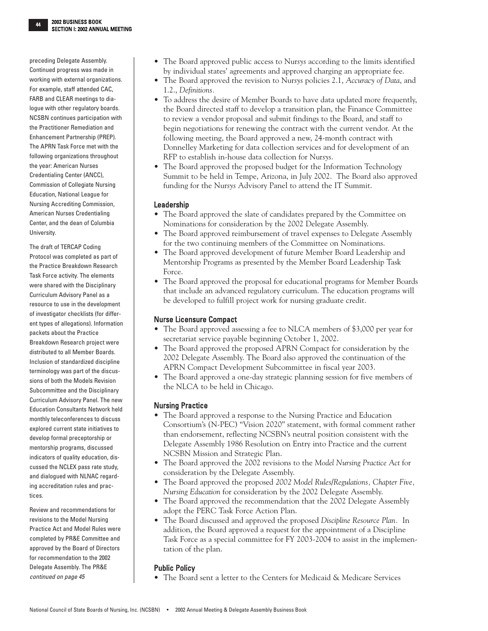preceding Delegate Assembly. Continued progress was made in working with external organizations. For example, staff attended CAC, FARB and CLEAR meetings to dialogue with other regulatory boards. NCSBN continues participation with the Practitioner Remediation and Enhancement Partnership (PREP). The APRN Task Force met with the following organizations throughout the year: American Nurses Credentialing Center (ANCC), Commission of Collegiate Nursing Education, National League for Nursing Accrediting Commission, American Nurses Credentialing Center, and the dean of Columbia University.

The draft of TERCAP Coding

Protocol was completed as part of the Practice Breakdown Research Task Force activity. The elements were shared with the Disciplinary Curriculum Advisory Panel as a resource to use in the development of investigator checklists (for different types of allegations). Information packets about the Practice Breakdown Research project were distributed to all Member Boards. Inclusion of standardized discipline terminology was part of the discussions of both the Models Revision Subcommittee and the Disciplinary Curriculum Advisory Panel. The new Education Consultants Network held monthly teleconferences to discuss explored current state initiatives to develop formal preceptorship or mentorship programs, discussed indicators of quality education, discussed the NCLEX pass rate study, and dialogued with NLNAC regarding accreditation rules and practices.

Review and recommendations for revisions to the Model Nursing Practice Act and Model Rules were completed by PR&E Committee and approved by the Board of Directors for recommendation to the 2002 Delegate Assembly. The PR&E continued on page 45

- The Board approved public access to Nur*sys* according to the limits identified by individual states' agreements and approved charging an appropriate fee.
- The Board approved the revision to Nur*sys* policies 2.1, *Accuracy of Data*, and 1.2., *Definitions.*
- To address the desire of Member Boards to have data updated more frequently, the Board directed staff to develop a transition plan, the Finance Committee to review a vendor proposal and submit findings to the Board, and staff to begin negotiations for renewing the contract with the current vendor. At the following meeting, the Board approved a new, 24-month contract with Donnelley Marketing for data collection services and for development of an RFP to establish in-house data collection for Nur*sys*.
- The Board approved the proposed budget for the Information Technology Summit to be held in Tempe, Arizona, in July 2002. The Board also approved funding for the Nur*sys* Advisory Panel to attend the IT Summit.

# Leadership

- The Board approved the slate of candidates prepared by the Committee on Nominations for consideration by the 2002 Delegate Assembly.
- The Board approved reimbursement of travel expenses to Delegate Assembly for the two continuing members of the Committee on Nominations.
- The Board approved development of future Member Board Leadership and Mentorship Programs as presented by the Member Board Leadership Task Force.
- The Board approved the proposal for educational programs for Member Boards that include an advanced regulatory curriculum. The education programs will be developed to fulfill project work for nursing graduate credit.

# Nurse Licensure Compact

- The Board approved assessing a fee to NLCA members of \$3,000 per year for secretariat service payable beginning October 1, 2002.
- The Board approved the proposed APRN Compact for consideration by the 2002 Delegate Assembly. The Board also approved the continuation of the APRN Compact Development Subcommittee in fiscal year 2003.
- The Board approved a one-day strategic planning session for five members of the NLCA to be held in Chicago.

# Nursing Practice

- The Board approved a response to the Nursing Practice and Education Consortium's (N-PEC) "Vision 2020" statement, with formal comment rather than endorsement, reflecting NCSBN's neutral position consistent with the Delegate Assembly 1986 Resolution on Entry into Practice and the current NCSBN Mission and Strategic Plan.
- The Board approved the 2002 revisions to the *Model Nursing Practice Act* for consideration by the Delegate Assembly.
- The Board approved the proposed *2002 Model Rules/Regulations, Chapter Five, Nursing Education* for consideration by the 2002 Delegate Assembly.
- The Board approved the recommendation that the 2002 Delegate Assembly adopt the PERC Task Force Action Plan.
- The Board discussed and approved the proposed *Discipline Resource Plan.* In addition, the Board approved a request for the appointment of a Discipline Task Force as a special committee for FY 2003-2004 to assist in the implementation of the plan.

# Public Policy

• The Board sent a letter to the Centers for Medicaid & Medicare Services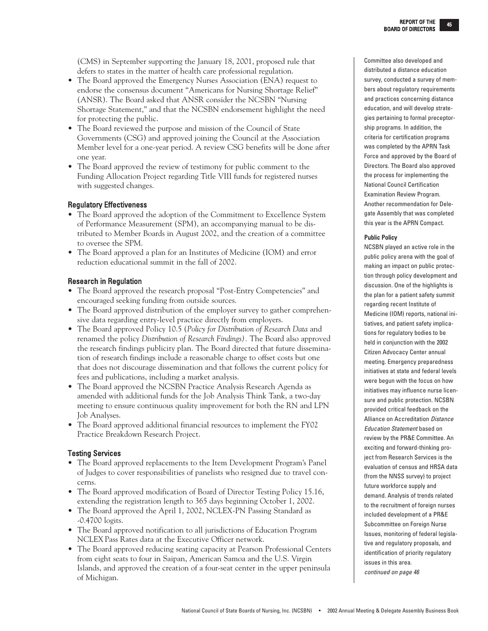(CMS) in September supporting the January 18, 2001, proposed rule that defers to states in the matter of health care professional regulation.

- The Board approved the Emergency Nurses Association (ENA) request to endorse the consensus document "Americans for Nursing Shortage Relief" (ANSR). The Board asked that ANSR consider the NCSBN "Nursing Shortage Statement," and that the NCSBN endorsement highlight the need for protecting the public.
- The Board reviewed the purpose and mission of the Council of State Governments (CSG) and approved joining the Council at the Association Member level for a one-year period. A review CSG benefits will be done after one year.
- The Board approved the review of testimony for public comment to the Funding Allocation Project regarding Title VIII funds for registered nurses with suggested changes.

# Regulatory Effectiveness

- The Board approved the adoption of the Commitment to Excellence System of Performance Measurement (SPM), an accompanying manual to be distributed to Member Boards in August 2002, and the creation of a committee to oversee the SPM.
- The Board approved a plan for an Institutes of Medicine (IOM) and error reduction educational summit in the fall of 2002.

# Research in Regulation

- The Board approved the research proposal "Post-Entry Competencies" and encouraged seeking funding from outside sources.
- The Board approved distribution of the employer survey to gather comprehensive data regarding entry-level practice directly from employers.
- The Board approved Policy 10.5 (*Policy for Distribution of Research Data* and renamed the policy *Distribution of Research Findings).* The Board also approved the research findings publicity plan. The Board directed that future dissemination of research findings include a reasonable charge to offset costs but one that does not discourage dissemination and that follows the current policy for fees and publications, including a market analysis.
- The Board approved the NCSBN Practice Analysis Research Agenda as amended with additional funds for the Job Analysis Think Tank, a two-day meeting to ensure continuous quality improvement for both the RN and LPN Job Analyses.
- The Board approved additional financial resources to implement the FY02 Practice Breakdown Research Project.

# Testing Services

- The Board approved replacements to the Item Development Program's Panel of Judges to cover responsibilities of panelists who resigned due to travel concerns.
- The Board approved modification of Board of Director Testing Policy 15.16, extending the registration length to 365 days beginning October 1, 2002.
- The Board approved the April 1, 2002, NCLEX-PN Passing Standard as -0.4700 logits.
- The Board approved notification to all jurisdictions of Education Program NCLEX Pass Rates data at the Executive Officer network.
- The Board approved reducing seating capacity at Pearson Professional Centers from eight seats to four in Saipan, American Samoa and the U.S. Virgin Islands, and approved the creation of a four-seat center in the upper peninsula of Michigan.

Committee also developed and distributed a distance education survey, conducted a survey of members about regulatory requirements and practices concerning distance education, and will develop strategies pertaining to formal preceptorship programs. In addition, the criteria for certification programs was completed by the APRN Task Force and approved by the Board of Directors. The Board also approved the process for implementing the National Council Certification Examination Review Program. Another recommendation for Delegate Assembly that was completed this year is the APRN Compact.

#### Public Policy

NCSBN played an active role in the public policy arena with the goal of making an impact on public protection through policy development and discussion. One of the highlights is the plan for a patient safety summit regarding recent Institute of Medicine (IOM) reports, national initiatives, and patient safety implications for regulatory bodies to be held in conjunction with the 2002 Citizen Advocacy Center annual meeting. Emergency preparedness initiatives at state and federal levels were begun with the focus on how initiatives may influence nurse licensure and public protection. NCSBN provided critical feedback on the Alliance on Accreditation Distance Education Statement based on review by the PR&E Committee. An exciting and forward-thinking project from Research Services is the evaluation of census and HRSA data (from the NNSS survey) to project future workforce supply and demand. Analysis of trends related to the recruitment of foreign nurses included development of a PR&E Subcommittee on Foreign Nurse Issues, monitoring of federal legislative and regulatory proposals, and identification of priority regulatory issues in this area. continued on page 46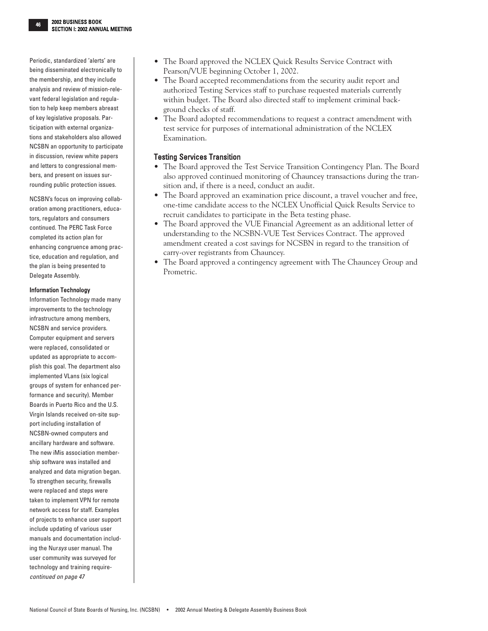Periodic, standardized 'alerts' are being disseminated electronically to the membership, and they include analysis and review of mission-relevant federal legislation and regulation to help keep members abreast of key legislative proposals. Participation with external organizations and stakeholders also allowed NCSBN an opportunity to participate in discussion, review white papers and letters to congressional members, and present on issues surrounding public protection issues.

NCSBN's focus on improving collaboration among practitioners, educators, regulators and consumers continued. The PERC Task Force completed its action plan for enhancing congruence among practice, education and regulation, and the plan is being presented to Delegate Assembly.

#### Information Technology

Information Technology made many improvements to the technology infrastructure among members, NCSBN and service providers. Computer equipment and servers were replaced, consolidated or updated as appropriate to accomplish this goal. The department also implemented VLans (six logical groups of system for enhanced performance and security). Member Boards in Puerto Rico and the U.S. Virgin Islands received on-site support including installation of NCSBN-owned computers and ancillary hardware and software. The new iMis association membership software was installed and analyzed and data migration began. To strengthen security, firewalls were replaced and steps were taken to implement VPN for remote network access for staff. Examples of projects to enhance user support include updating of various user manuals and documentation including the Nursys user manual. The user community was surveyed for technology and training requirecontinued on page 47

- The Board approved the NCLEX Quick Results Service Contract with Pearson/VUE beginning October 1, 2002.
- The Board accepted recommendations from the security audit report and authorized Testing Services staff to purchase requested materials currently within budget. The Board also directed staff to implement criminal background checks of staff.
- The Board adopted recommendations to request a contract amendment with test service for purposes of international administration of the NCLEX Examination.

# Testing Services Transition

- The Board approved the Test Service Transition Contingency Plan. The Board also approved continued monitoring of Chauncey transactions during the transition and, if there is a need, conduct an audit.
- The Board approved an examination price discount, a travel voucher and free, one-time candidate access to the NCLEX Unofficial Quick Results Service to recruit candidates to participate in the Beta testing phase.
- The Board approved the VUE Financial Agreement as an additional letter of understanding to the NCSBN-VUE Test Services Contract. The approved amendment created a cost savings for NCSBN in regard to the transition of carry-over registrants from Chauncey.
- The Board approved a contingency agreement with The Chauncey Group and Prometric.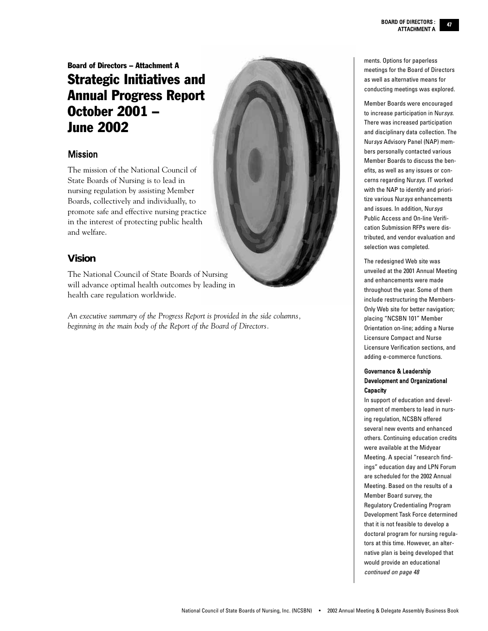Board of Directors – Attachment A Strategic Initiatives and Annual Progress Report October 2001 – June 2002

# Mission

The mission of the National Council of State Boards of Nursing is to lead in nursing regulation by assisting Member Boards, collectively and individually, to promote safe and effective nursing practice in the interest of protecting public health and welfare.

# **Vision**

The National Council of State Boards of Nursing will advance optimal health outcomes by leading in health care regulation worldwide.

*An executive summary of the Progress Report is provided in the side columns, beginning in the main body of the Report of the Board of Directors.*

ments. Options for paperless meetings for the Board of Directors as well as alternative means for conducting meetings was explored.

Member Boards were encouraged to increase participation in Nursys. There was increased participation and disciplinary data collection. The Nursys Advisory Panel (NAP) members personally contacted various Member Boards to discuss the benefits, as well as any issues or concerns regarding Nursys. IT worked with the NAP to identify and prioritize various Nursys enhancements and issues. In addition, Nursys Public Access and On-line Verification Submission RFPs were distributed, and vendor evaluation and selection was completed.

The redesigned Web site was unveiled at the 2001 Annual Meeting and enhancements were made throughout the year. Some of them include restructuring the Members-Only Web site for better navigation; placing "NCSBN 101" Member Orientation on-line; adding a Nurse Licensure Compact and Nurse Licensure Verification sections, and adding e-commerce functions.

# Governance & Leadership Development and Organizational **Capacity**

In support of education and development of members to lead in nursing regulation, NCSBN offered several new events and enhanced others. Continuing education credits were available at the Midyear Meeting. A special "research findings" education day and LPN Forum are scheduled for the 2002 Annual Meeting. Based on the results of a Member Board survey, the Regulatory Credentialing Program Development Task Force determined that it is not feasible to develop a doctoral program for nursing regulators at this time. However, an alternative plan is being developed that would provide an educational continued on page 48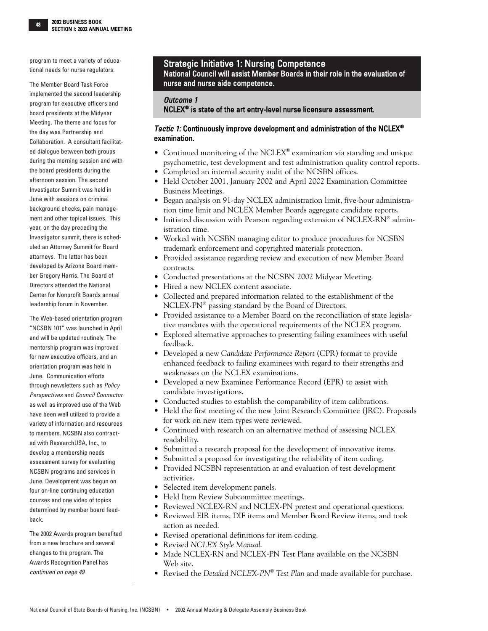program to meet a variety of educational needs for nurse regulators.

The Member Board Task Force implemented the second leadership program for executive officers and board presidents at the Midyear Meeting. The theme and focus for the day was Partnership and Collaboration. A consultant facilitated dialogue between both groups during the morning session and with the board presidents during the afternoon session. The second Investigator Summit was held in June with sessions on criminal background checks, pain management and other topical issues. This year, on the day preceding the Investigator summit, there is scheduled an Attorney Summit for Board attorneys. The latter has been developed by Arizona Board member Gregory Harris. The Board of Directors attended the National Center for Nonprofit Boards annual leadership forum in November.

The Web-based orientation program "NCSBN 101" was launched in April and will be updated routinely. The mentorship program was improved for new executive officers, and an orientation program was held in June. Communication efforts through newsletters such as Policy Perspectives and Council Connector as well as improved use of the Web have been well utilized to provide a variety of information and resources to members. NCSBN also contracted with ResearchUSA, Inc., to develop a membership needs assessment survey for evaluating NCSBN programs and services in June. Development was begun on four on-line continuing education courses and one video of topics determined by member board feedback.

The 2002 Awards program benefited from a new brochure and several changes to the program. The Awards Recognition Panel has continued on page 49

# Strategic Initiative 1: Nursing Competence National Council will assist Member Boards in their role in the evaluation of nurse and nurse aide competence.

## Outcome 1 NCLEX® is state of the art entry-level nurse licensure assessment.

# Tactic 1: Continuously improve development and administration of the NCLEX<sup>®</sup> examination.

- Continued monitoring of the NCLEX<sup>®</sup> examination via standing and unique psychometric, test development and test administration quality control reports.
- Completed an internal security audit of the NCSBN offices.
- Held October 2001, January 2002 and April 2002 Examination Committee Business Meetings.
- Began analysis on 91-day NCLEX administration limit, five-hour administration time limit and NCLEX Member Boards aggregate candidate reports.
- Initiated discussion with Pearson regarding extension of NCLEX-RN® administration time.
- Worked with NCSBN managing editor to produce procedures for NCSBN trademark enforcement and copyrighted materials protection.
- Provided assistance regarding review and execution of new Member Board contracts.
- Conducted presentations at the NCSBN 2002 Midyear Meeting.
- Hired a new NCLEX content associate.
- Collected and prepared information related to the establishment of the NCLEX-PN® passing standard by the Board of Directors.
- Provided assistance to a Member Board on the reconciliation of state legislative mandates with the operational requirements of the NCLEX program.
- Explored alternative approaches to presenting failing examinees with useful feedback.
- Developed a new *Candidate Performance Report* (CPR) format to provide enhanced feedback to failing examinees with regard to their strengths and weaknesses on the NCLEX examinations.
- Developed a new Examinee Performance Record (EPR) to assist with candidate investigations.
- Conducted studies to establish the comparability of item calibrations.
- Held the first meeting of the new Joint Research Committee (JRC). Proposals for work on new item types were reviewed.
- Continued with research on an alternative method of assessing NCLEX readability.
- Submitted a research proposal for the development of innovative items.
- Submitted a proposal for investigating the reliability of item coding.
- Provided NCSBN representation at and evaluation of test development activities.
- Selected item development panels.
- Held Item Review Subcommittee meetings.
- Reviewed NCLEX-RN and NCLEX-PN pretest and operational questions.
- Reviewed EIR items, DIF items and Member Board Review items, and took action as needed.
- Revised operational definitions for item coding.
- Revised *NCLEX Style Manual*.
- Made NCLEX-RN and NCLEX-PN Test Plans available on the NCSBN Web site.
- Revised the *Detailed NCLEX-PN® Test Plan* and made available for purchase.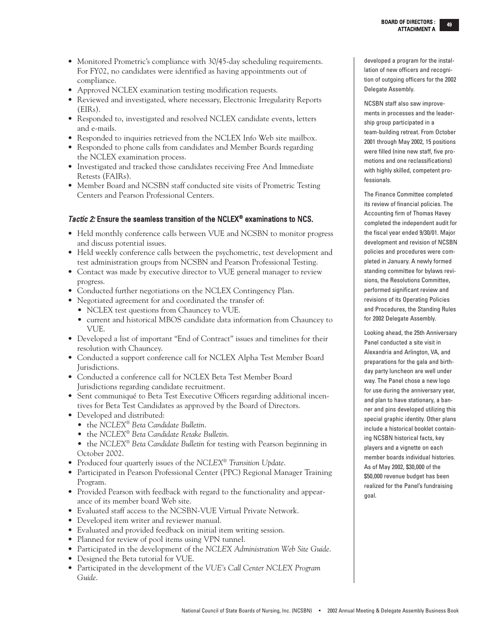National Council of State Boards of Nursing, Inc. (NCSBN) • 2002 Annual Meeting & Delegate Assembly Business Book

- Monitored Prometric's compliance with 30/45-day scheduling requirements. For FY02, no candidates were identified as having appointments out of compliance.
- Approved NCLEX examination testing modification requests.
- Reviewed and investigated, where necessary, Electronic Irregularity Reports (EIRs).
- Responded to, investigated and resolved NCLEX candidate events, letters and e-mails.
- Responded to inquiries retrieved from the NCLEX Info Web site mailbox.
- Responded to phone calls from candidates and Member Boards regarding the NCLEX examination process.
- Investigated and tracked those candidates receiving Free And Immediate Retests (FAIRs).
- Member Board and NCSBN staff conducted site visits of Prometric Testing Centers and Pearson Professional Centers.

# Tactic 2: Ensure the seamless transition of the NCLEX<sup>®</sup> examinations to NCS.

- Held monthly conference calls between VUE and NCSBN to monitor progress and discuss potential issues.
- Held weekly conference calls between the psychometric, test development and test administration groups from NCSBN and Pearson Professional Testing.
- Contact was made by executive director to VUE general manager to review progress.
- Conducted further negotiations on the NCLEX Contingency Plan.
- Negotiated agreement for and coordinated the transfer of:
	- NCLEX test questions from Chauncey to VUE.
	- current and historical MBOS candidate data information from Chauncey to VUE.
- Developed a list of important "End of Contract" issues and timelines for their resolution with Chauncey.
- Conducted a support conference call for NCLEX Alpha Test Member Board Jurisdictions.
- Conducted a conference call for NCLEX Beta Test Member Board Jurisdictions regarding candidate recruitment.
- Sent communiqué to Beta Test Executive Officers regarding additional incentives for Beta Test Candidates as approved by the Board of Directors.
- Developed and distributed:
	- the *NCLEX® Beta Candidate Bulletin*.
	- the *NCLEX® Beta Candidate Retake Bulletin*.
	- the *NCLEX® Beta Candidate Bulletin* for testing with Pearson beginning in October 2002.
- Produced four quarterly issues of the *NCLEX® Transition Update*.
- Participated in Pearson Professional Center (PPC) Regional Manager Training Program.
- Provided Pearson with feedback with regard to the functionality and appearance of its member board Web site.
- Evaluated staff access to the NCSBN-VUE Virtual Private Network.
- Developed item writer and reviewer manual.
- Evaluated and provided feedback on initial item writing session.
- Planned for review of pool items using VPN tunnel.
- Participated in the development of the *NCLEX Administration Web Site Guide*.
- Designed the Beta tutorial for VUE.
- Participated in the development of the *VUE's Call Center NCLEX Program Guide*.

developed a program for the installation of new officers and recognition of outgoing officers for the 2002 Delegate Assembly.

NCSBN staff also saw improvements in processes and the leadership group participated in a team-building retreat. From October 2001 through May 2002, 15 positions were filled (nine new staff, five promotions and one reclassifications) with highly skilled, competent professionals.

The Finance Committee completed its review of financial policies. The Accounting firm of Thomas Havey completed the independent audit for the fiscal year ended 9/30/01. Major development and revision of NCSBN policies and procedures were completed in January. A newly formed standing committee for bylaws revisions, the Resolutions Committee, performed significant review and revisions of its Operating Policies and Procedures, the Standing Rules for 2002 Delegate Assembly.

Looking ahead, the 25th Anniversary Panel conducted a site visit in Alexandria and Arlington, VA, and preparations for the gala and birthday party luncheon are well under way. The Panel chose a new logo for use during the anniversary year, and plan to have stationary, a banner and pins developed utilizing this special graphic identity. Other plans include a historical booklet containing NCSBN historical facts, key players and a vignette on each member boards individual histories. As of May 2002, \$30,000 of the \$50,000 revenue budget has been realized for the Panel's fundraising goal.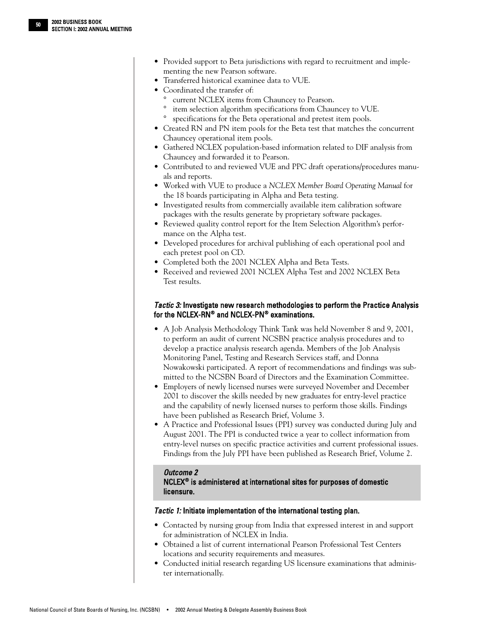- Provided support to Beta jurisdictions with regard to recruitment and implementing the new Pearson software.
- Transferred historical examinee data to VUE.
- Coordinated the transfer of:
	- current NCLEX items from Chauncey to Pearson.
	- item selection algorithm specifications from Chauncey to VUE.
	- specifications for the Beta operational and pretest item pools.
- Created RN and PN item pools for the Beta test that matches the concurrent Chauncey operational item pools.
- Gathered NCLEX population-based information related to DIF analysis from Chauncey and forwarded it to Pearson.
- Contributed to and reviewed VUE and PPC draft operations/procedures manuals and reports.
- Worked with VUE to produce a *NCLEX Member Board Operating Manual* for the 18 boards participating in Alpha and Beta testing.
- Investigated results from commercially available item calibration software packages with the results generate by proprietary software packages.
- Reviewed quality control report for the Item Selection Algorithm's performance on the Alpha test.
- Developed procedures for archival publishing of each operational pool and each pretest pool on CD.
- Completed both the 2001 NCLEX Alpha and Beta Tests.
- Received and reviewed 2001 NCLEX Alpha Test and 2002 NCLEX Beta Test results.

# Tactic 3: Investigate new research methodologies to perform the Practice Analysis for the NCLEX-RN® and NCLEX-PN® examinations.

- A Job Analysis Methodology Think Tank was held November 8 and 9, 2001, to perform an audit of current NCSBN practice analysis procedures and to develop a practice analysis research agenda. Members of the Job Analysis Monitoring Panel, Testing and Research Services staff, and Donna Nowakowski participated. A report of recommendations and findings was submitted to the NCSBN Board of Directors and the Examination Committee.
- Employers of newly licensed nurses were surveyed November and December 2001 to discover the skills needed by new graduates for entry-level practice and the capability of newly licensed nurses to perform those skills. Findings have been published as Research Brief, Volume 3.
- A Practice and Professional Issues (PPI) survey was conducted during July and August 2001. The PPI is conducted twice a year to collect information from entry-level nurses on specific practice activities and current professional issues. Findings from the July PPI have been published as Research Brief, Volume 2.

# Outcome 2

# NCLEX® is administered at international sites for purposes of domestic licensure.

## Tactic 1: Initiate implementation of the international testing plan.

- Contacted by nursing group from India that expressed interest in and support for administration of NCLEX in India.
- Obtained a list of current international Pearson Professional Test Centers locations and security requirements and measures.
- Conducted initial research regarding US licensure examinations that administer internationally.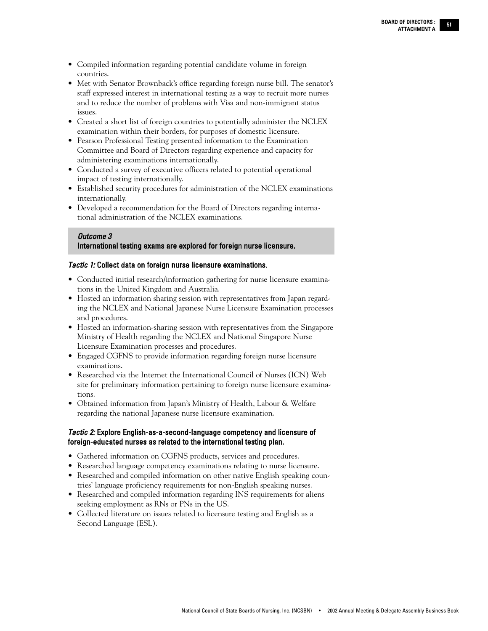- Compiled information regarding potential candidate volume in foreign countries.
- Met with Senator Brownback's office regarding foreign nurse bill. The senator's staff expressed interest in international testing as a way to recruit more nurses and to reduce the number of problems with Visa and non-immigrant status issues.
- Created a short list of foreign countries to potentially administer the NCLEX examination within their borders, for purposes of domestic licensure.
- Pearson Professional Testing presented information to the Examination Committee and Board of Directors regarding experience and capacity for administering examinations internationally.
- Conducted a survey of executive officers related to potential operational impact of testing internationally.
- Established security procedures for administration of the NCLEX examinations internationally.
- Developed a recommendation for the Board of Directors regarding international administration of the NCLEX examinations.

# International testing exams are explored for foreign nurse licensure.

# Tactic 1: Collect data on foreign nurse licensure examinations.

- Conducted initial research/information gathering for nurse licensure examinations in the United Kingdom and Australia.
- Hosted an information sharing session with representatives from Japan regarding the NCLEX and National Japanese Nurse Licensure Examination processes and procedures.
- Hosted an information-sharing session with representatives from the Singapore Ministry of Health regarding the NCLEX and National Singapore Nurse Licensure Examination processes and procedures.
- Engaged CGFNS to provide information regarding foreign nurse licensure examinations.
- Researched via the Internet the International Council of Nurses (ICN) Web site for preliminary information pertaining to foreign nurse licensure examinations.
- Obtained information from Japan's Ministry of Health, Labour & Welfare regarding the national Japanese nurse licensure examination.

# Tactic 2: Explore English-as-a-second-language competency and licensure of foreign-educated nurses as related to the international testing plan.

- Gathered information on CGFNS products, services and procedures.
- Researched language competency examinations relating to nurse licensure.
- Researched and compiled information on other native English speaking countries' language proficiency requirements for non-English speaking nurses.
- Researched and compiled information regarding INS requirements for aliens seeking employment as RNs or PNs in the US.
- Collected literature on issues related to licensure testing and English as a Second Language (ESL).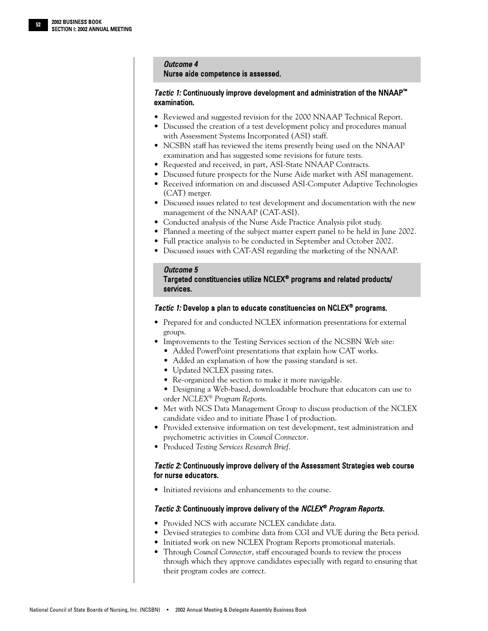Nurse aide competence is assessed.

# Tactic 1: Continuously improve development and administration of the NNAAP<sup>™</sup> examination.

- Reviewed and suggested revision for the 2000 NNAAP Technical Report.
- Discussed the creation of a test development policy and procedures manual with Assessment Systems Incorporated (ASI) staff.
- NCSBN staff has reviewed the items presently being used on the NNAAP examination and has suggested some revisions for future tests.
- Requested and received, in part, ASI-State NNAAP Contracts.
- Discussed future prospects for the Nurse Aide market with ASI management.
- Received information on and discussed ASI-Computer Adaptive Technologies (CAT) merger.
- Discussed issues related to test development and documentation with the new management of the NNAAP (CAT-ASI).
- Conducted analysis of the Nurse Aide Practice Analysis pilot study.
- Planned a meeting of the subject matter expert panel to be held in June 2002.
- Full practice analysis to be conducted in September and October 2002.
- Discussed issues with CAT-ASI regarding the marketing of the NNAAP.

# Outcome 5 Targeted constituencies utilize NCLEX® programs and related products/ services.

# Tactic 1: Develop a plan to educate constituencies on NCLEX<sup>®</sup> programs.

- Prepared for and conducted NCLEX information presentations for external groups.
- Improvements to the Testing Services section of the NCSBN Web site:
	- Added PowerPoint presentations that explain how CAT works.
	- Added an explanation of how the passing standard is set.
	- Updated NCLEX passing rates.
	- Re-organized the section to make it more navigable.
	- Designing a Web-based, downloadable brochure that educators can use to order *NCLEX® Program Report*s.
- Met with NCS Data Management Group to discuss production of the NCLEX candidate video and to initiate Phase I of production.
- Provided extensive information on test development, test administration and psychometric activities in *Council Connector*.
- Produced *Testing Services Research Brief*.

# Tactic 2: Continuously improve delivery of the Assessment Strategies web course for nurse educators.

• Initiated revisions and enhancements to the course.

# Tactic 3: Continuously improve delivery of the NCLEX® Program Reports.

- Provided NCS with accurate NCLEX candidate data.
- Devised strategies to combine data from CGI and VUE during the Beta period.
- Initiated work on new NCLEX Program Reports promotional materials.
- Through *Council Connector*, staff encouraged boards to review the process through which they approve candidates especially with regard to ensuring that their program codes are correct.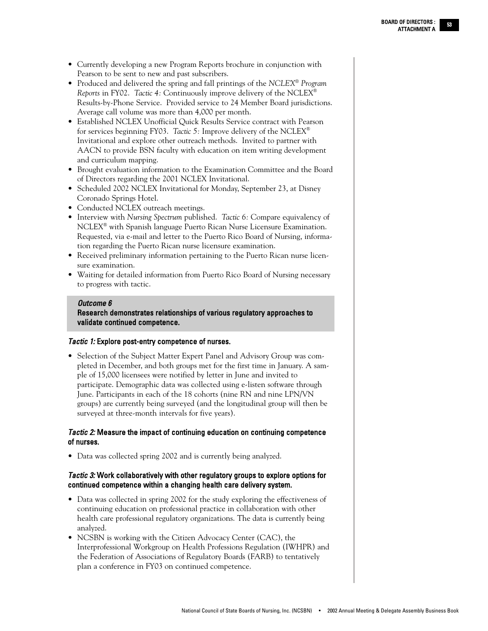- Currently developing a new Program Reports brochure in conjunction with Pearson to be sent to new and past subscribers.
- Produced and delivered the spring and fall printings of the *NCLEX® Program Reports* in FY02. *Tactic 4:* Continuously improve delivery of the NCLEX® Results-by-Phone Service. Provided service to 24 Member Board jurisdictions. Average call volume was more than 4,000 per month.
- Established NCLEX Unofficial Quick Results Service contract with Pearson for services beginning FY03. *Tactic 5:* Improve delivery of the NCLEX® Invitational and explore other outreach methods. Invited to partner with AACN to provide BSN faculty with education on item writing development and curriculum mapping.
- Brought evaluation information to the Examination Committee and the Board of Directors regarding the 2001 NCLEX Invitational.
- Scheduled 2002 NCLEX Invitational for Monday, September 23, at Disney Coronado Springs Hotel.
- Conducted NCLEX outreach meetings.
- Interview with *Nursing Spectrum* published. *Tactic 6:* Compare equivalency of NCLEX® with Spanish language Puerto Rican Nurse Licensure Examination. Requested, via e-mail and letter to the Puerto Rico Board of Nursing, information regarding the Puerto Rican nurse licensure examination.
- Received preliminary information pertaining to the Puerto Rican nurse licensure examination.
- Waiting for detailed information from Puerto Rico Board of Nursing necessary to progress with tactic.

# Research demonstrates relationships of various regulatory approaches to validate continued competence.

# Tactic 1: Explore post-entry competence of nurses.

• Selection of the Subject Matter Expert Panel and Advisory Group was completed in December, and both groups met for the first time in January. A sample of 15,000 licensees were notified by letter in June and invited to participate. Demographic data was collected using e-listen software through June. Participants in each of the 18 cohorts (nine RN and nine LPN/VN groups) are currently being surveyed (and the longitudinal group will then be surveyed at three-month intervals for five years).

# Tactic 2: Measure the impact of continuing education on continuing competence of nurses.

• Data was collected spring 2002 and is currently being analyzed.

# Tactic 3: Work collaboratively with other regulatory groups to explore options for continued competence within a changing health care delivery system.

- Data was collected in spring 2002 for the study exploring the effectiveness of continuing education on professional practice in collaboration with other health care professional regulatory organizations. The data is currently being analyzed.
- NCSBN is working with the Citizen Advocacy Center (CAC), the Interprofessional Workgroup on Health Professions Regulation (IWHPR) and the Federation of Associations of Regulatory Boards (FARB) to tentatively plan a conference in FY03 on continued competence.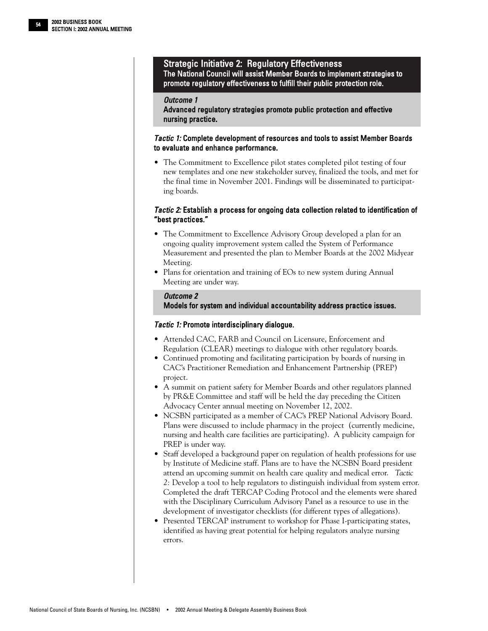Strategic Initiative 2: Regulatory Effectiveness The National Council will assist Member Boards to implement strategies to promote regulatory effectiveness to fulfill their public protection role.

#### Outcome 1

Advanced regulatory strategies promote public protection and effective nursing practice.

# Tactic 1: Complete development of resources and tools to assist Member Boards to evaluate and enhance performance.

• The Commitment to Excellence pilot states completed pilot testing of four new templates and one new stakeholder survey, finalized the tools, and met for the final time in November 2001. Findings will be disseminated to participating boards.

# Tactic 2: Establish a process for ongoing data collection related to identification of "best practices."

- The Commitment to Excellence Advisory Group developed a plan for an ongoing quality improvement system called the System of Performance Measurement and presented the plan to Member Boards at the 2002 Midyear Meeting.
- Plans for orientation and training of EOs to new system during Annual Meeting are under way.

#### Outcome 2

Models for system and individual accountability address practice issues.

# Tactic 1: Promote interdisciplinary dialogue.

- Attended CAC, FARB and Council on Licensure, Enforcement and Regulation (CLEAR) meetings to dialogue with other regulatory boards.
- Continued promoting and facilitating participation by boards of nursing in CAC's Practitioner Remediation and Enhancement Partnership (PREP) project.
- A summit on patient safety for Member Boards and other regulators planned by PR&E Committee and staff will be held the day preceding the Citizen Advocacy Center annual meeting on November 12, 2002.
- NCSBN participated as a member of CAC's PREP National Advisory Board. Plans were discussed to include pharmacy in the project (currently medicine, nursing and health care facilities are participating). A publicity campaign for PREP is under way.
- Staff developed a background paper on regulation of health professions for use by Institute of Medicine staff. Plans are to have the NCSBN Board president attend an upcoming summit on health care quality and medical error. *Tactic 2:* Develop a tool to help regulators to distinguish individual from system error. Completed the draft TERCAP Coding Protocol and the elements were shared with the Disciplinary Curriculum Advisory Panel as a resource to use in the development of investigator checklists (for different types of allegations).
- Presented TERCAP instrument to workshop for Phase I-participating states, identified as having great potential for helping regulators analyze nursing errors.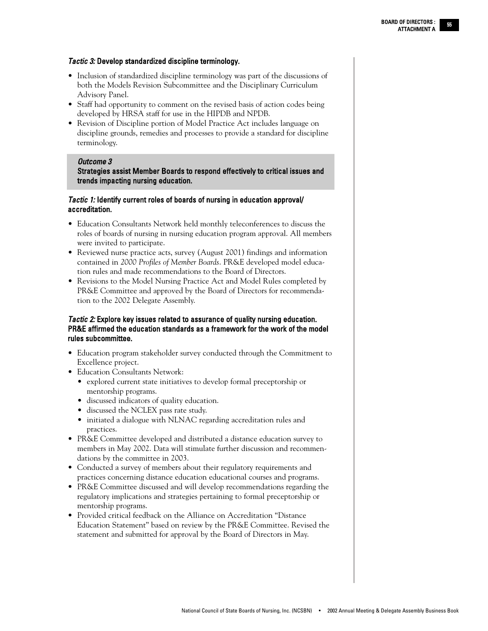# Tactic 3: Develop standardized discipline terminology.

- Inclusion of standardized discipline terminology was part of the discussions of both the Models Revision Subcommittee and the Disciplinary Curriculum Advisory Panel.
- Staff had opportunity to comment on the revised basis of action codes being developed by HRSA staff for use in the HIPDB and NPDB.
- Revision of Discipline portion of Model Practice Act includes language on discipline grounds, remedies and processes to provide a standard for discipline terminology.

# Outcome 3

Strategies assist Member Boards to respond effectively to critical issues and trends impacting nursing education.

# Tactic 1: Identify current roles of boards of nursing in education approval/ accreditation.

- Education Consultants Network held monthly teleconferences to discuss the roles of boards of nursing in nursing education program approval. All members were invited to participate.
- Reviewed nurse practice acts, survey (August 2001) findings and information contained in *2000 Profiles of Member Boards*. PR&E developed model education rules and made recommendations to the Board of Directors.
- Revisions to the Model Nursing Practice Act and Model Rules completed by PR&E Committee and approved by the Board of Directors for recommendation to the 2002 Delegate Assembly.

# Tactic 2: Explore key issues related to assurance of quality nursing education. PR&E affirmed the education standards as a framework for the work of the model rules subcommittee.

- Education program stakeholder survey conducted through the Commitment to Excellence project.
- Education Consultants Network:
	- explored current state initiatives to develop formal preceptorship or mentorship programs.
	- discussed indicators of quality education.
	- discussed the NCLEX pass rate study.
	- initiated a dialogue with NLNAC regarding accreditation rules and practices.
- PR&E Committee developed and distributed a distance education survey to members in May 2002. Data will stimulate further discussion and recommendations by the committee in 2003.
- Conducted a survey of members about their regulatory requirements and practices concerning distance education educational courses and programs.
- PR&E Committee discussed and will develop recommendations regarding the regulatory implications and strategies pertaining to formal preceptorship or mentorship programs.
- Provided critical feedback on the Alliance on Accreditation "Distance Education Statement" based on review by the PR&E Committee. Revised the statement and submitted for approval by the Board of Directors in May.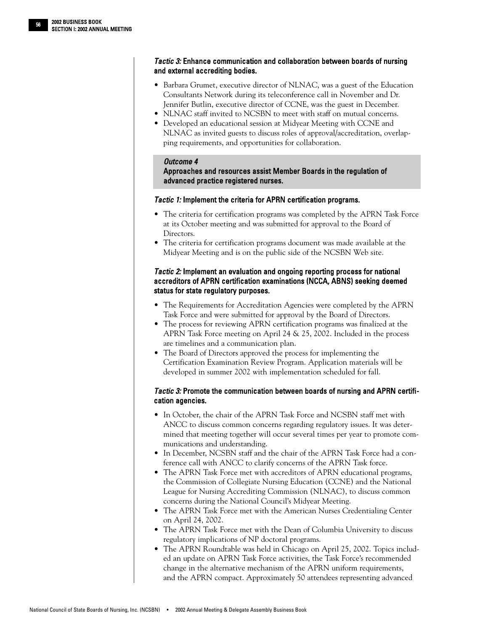# Tactic 3: Enhance communication and collaboration between boards of nursing and external accrediting bodies.

- Barbara Grumet, executive director of NLNAC, was a guest of the Education Consultants Network during its teleconference call in November and Dr. Jennifer Butlin, executive director of CCNE, was the guest in December.
- NLNAC staff invited to NCSBN to meet with staff on mutual concerns.
- Developed an educational session at Midyear Meeting with CCNE and NLNAC as invited guests to discuss roles of approval/accreditation, overlapping requirements, and opportunities for collaboration.

## Outcome 4

# Approaches and resources assist Member Boards in the regulation of advanced practice registered nurses.

# Tactic 1: Implement the criteria for APRN certification programs.

- The criteria for certification programs was completed by the APRN Task Force at its October meeting and was submitted for approval to the Board of Directors.
- The criteria for certification programs document was made available at the Midyear Meeting and is on the public side of the NCSBN Web site.

# Tactic 2: Implement an evaluation and ongoing reporting process for national accreditors of APRN certification examinations (NCCA, ABNS) seeking deemed status for state regulatory purposes.

- The Requirements for Accreditation Agencies were completed by the APRN Task Force and were submitted for approval by the Board of Directors.
- The process for reviewing APRN certification programs was finalized at the APRN Task Force meeting on April 24 & 25, 2002. Included in the process are timelines and a communication plan.
- The Board of Directors approved the process for implementing the Certification Examination Review Program. Application materials will be developed in summer 2002 with implementation scheduled for fall.

# Tactic 3: Promote the communication between boards of nursing and APRN certification agencies.

- In October, the chair of the APRN Task Force and NCSBN staff met with ANCC to discuss common concerns regarding regulatory issues. It was determined that meeting together will occur several times per year to promote communications and understanding.
- In December, NCSBN staff and the chair of the APRN Task Force had a conference call with ANCC to clarify concerns of the APRN Task force.
- The APRN Task Force met with accreditors of APRN educational programs, the Commission of Collegiate Nursing Education (CCNE) and the National League for Nursing Accrediting Commission (NLNAC), to discuss common concerns during the National Council's Midyear Meeting.
- The APRN Task Force met with the American Nurses Credentialing Center on April 24, 2002.
- The APRN Task Force met with the Dean of Columbia University to discuss regulatory implications of NP doctoral programs.
- The APRN Roundtable was held in Chicago on April 25, 2002. Topics included an update on APRN Task Force activities, the Task Force's recommended change in the alternative mechanism of the APRN uniform requirements, and the APRN compact. Approximately 50 attendees representing advanced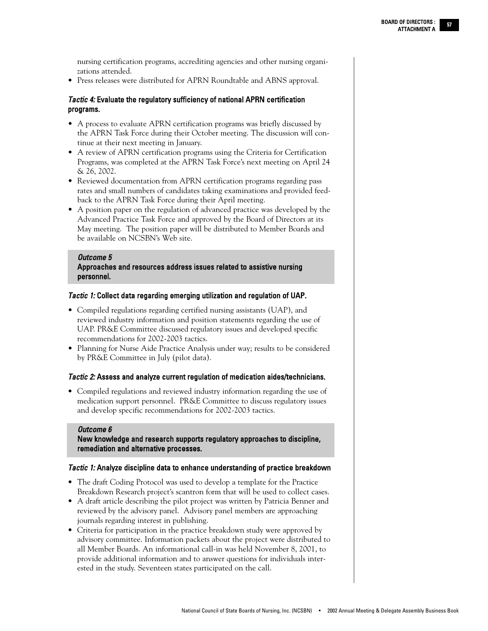nursing certification programs, accrediting agencies and other nursing organizations attended.

• Press releases were distributed for APRN Roundtable and ABNS approval.

# Tactic 4: Evaluate the regulatory sufficiency of national APRN certification programs.

- A process to evaluate APRN certification programs was briefly discussed by the APRN Task Force during their October meeting. The discussion will continue at their next meeting in January.
- A review of APRN certification programs using the Criteria for Certification Programs, was completed at the APRN Task Force's next meeting on April 24 & 26, 2002.
- Reviewed documentation from APRN certification programs regarding pass rates and small numbers of candidates taking examinations and provided feedback to the APRN Task Force during their April meeting.
- A position paper on the regulation of advanced practice was developed by the Advanced Practice Task Force and approved by the Board of Directors at its May meeting. The position paper will be distributed to Member Boards and be available on NCSBN's Web site.

# Outcome 5

Approaches and resources address issues related to assistive nursing personnel.

# Tactic 1: Collect data regarding emerging utilization and regulation of UAP.

- Compiled regulations regarding certified nursing assistants (UAP), and reviewed industry information and position statements regarding the use of UAP. PR&E Committee discussed regulatory issues and developed specific recommendations for 2002-2003 tactics.
- Planning for Nurse Aide Practice Analysis under way; results to be considered by PR&E Committee in July (pilot data).

# Tactic 2: Assess and analyze current regulation of medication aides/technicians.

• Compiled regulations and reviewed industry information regarding the use of medication support personnel. PR&E Committee to discuss regulatory issues and develop specific recommendations for 2002-2003 tactics.

# Outcome 6

New knowledge and research supports regulatory approaches to discipline, remediation and alternative processes.

## Tactic 1: Analyze discipline data to enhance understanding of practice breakdown

- The draft Coding Protocol was used to develop a template for the Practice Breakdown Research project's scantron form that will be used to collect cases.
- A draft article describing the pilot project was written by Patricia Benner and reviewed by the advisory panel. Advisory panel members are approaching journals regarding interest in publishing.
- Criteria for participation in the practice breakdown study were approved by advisory committee. Information packets about the project were distributed to all Member Boards. An informational call-in was held November 8, 2001, to provide additional information and to answer questions for individuals interested in the study. Seventeen states participated on the call.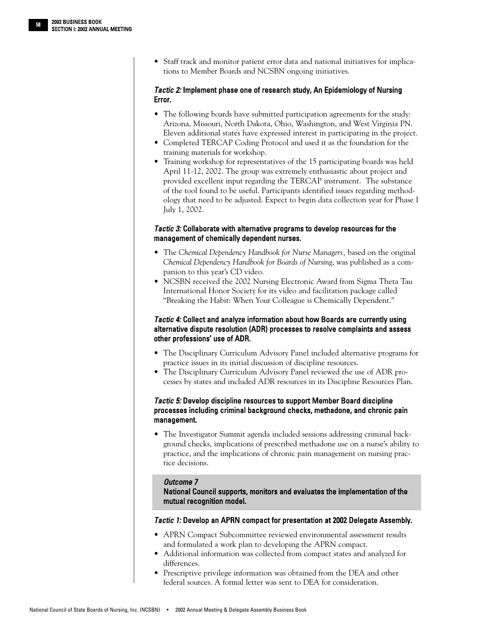• Staff track and monitor patient error data and national initiatives for implications to Member Boards and NCSBN ongoing initiatives.

# Tactic 2: Implement phase one of research study, An Epidemiology of Nursing Error.

- The following boards have submitted participation agreements for the study: Arizona, Missouri, North Dakota, Ohio, Washington, and West Virginia PN. Eleven additional states have expressed interest in participating in the project.
- Completed TERCAP Coding Protocol and used it as the foundation for the training materials for workshop.
- Training workshop for representatives of the 15 participating boards was held April 11-12, 2002. The group was extremely enthusiastic about project and provided excellent input regarding the TERCAP instrument. The substance of the tool found to be useful. Participants identified issues regarding methodology that need to be adjusted. Expect to begin data collection year for Phase I July 1, 2002.

# Tactic 3: Collaborate with alternative programs to develop resources for the management of chemically dependent nurses.

- The *Chemical Dependency Handbook for Nurse Managers,* based on the original *Chemical Dependency Handbook for Boards of Nursing*, was published as a companion to this year's CD video.
- NCSBN received the 2002 Nursing Electronic Award from Sigma Theta Tau International Honor Society for its video and facilitation package called "Breaking the Habit: When Your Colleague is Chemically Dependent."

# Tactic 4: Collect and analyze information about how Boards are currently using alternative dispute resolution (ADR) processes to resolve complaints and assess other professions' use of ADR.

- The Disciplinary Curriculum Advisory Panel included alternative programs for practice issues in its initial discussion of discipline resources.
- The Disciplinary Curriculum Advisory Panel reviewed the use of ADR processes by states and included ADR resources in its Discipline Resources Plan.

# Tactic 5: Develop discipline resources to support Member Board discipline processes including criminal background checks, methadone, and chronic pain management.

• The Investigator Summit agenda included sessions addressing criminal background checks, implications of prescribed methadone use on a nurse's ability to practice, and the implications of chronic pain management on nursing practice decisions.

# Outcome 7

National Council supports, monitors and evaluates the implementation of the mutual recognition model.

## Tactic 1: Develop an APRN compact for presentation at 2002 Delegate Assembly.

- APRN Compact Subcommittee reviewed environmental assessment results and formulated a work plan to developing the APRN compact.
- Additional information was collected from compact states and analyzed for differences.
- Prescriptive privilege information was obtained from the DEA and other federal sources. A formal letter was sent to DEA for consideration.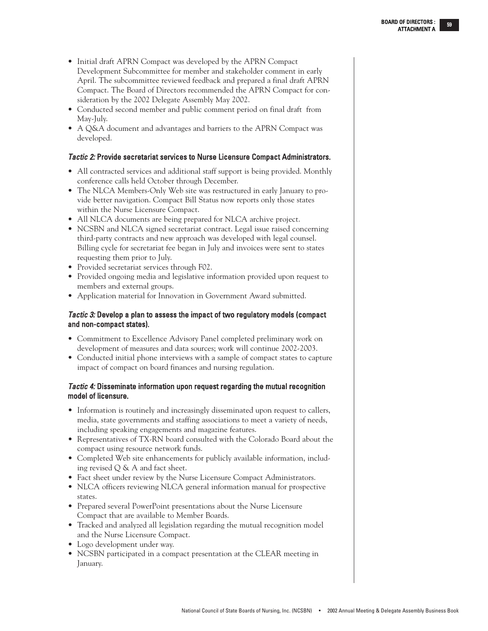- Initial draft APRN Compact was developed by the APRN Compact Development Subcommittee for member and stakeholder comment in early April. The subcommittee reviewed feedback and prepared a final draft APRN Compact. The Board of Directors recommended the APRN Compact for consideration by the 2002 Delegate Assembly May 2002.
- Conducted second member and public comment period on final draft from May-July.
- A Q&A document and advantages and barriers to the APRN Compact was developed.

# Tactic 2: Provide secretariat services to Nurse Licensure Compact Administrators.

- All contracted services and additional staff support is being provided. Monthly conference calls held October through December.
- The NLCA Members-Only Web site was restructured in early January to provide better navigation. Compact Bill Status now reports only those states within the Nurse Licensure Compact.
- All NLCA documents are being prepared for NLCA archive project.
- NCSBN and NLCA signed secretariat contract. Legal issue raised concerning third-party contracts and new approach was developed with legal counsel. Billing cycle for secretariat fee began in July and invoices were sent to states requesting them prior to July.
- Provided secretariat services through F02.
- Provided ongoing media and legislative information provided upon request to members and external groups.
- Application material for Innovation in Government Award submitted.

# Tactic 3: Develop a plan to assess the impact of two regulatory models (compact and non-compact states).

- Commitment to Excellence Advisory Panel completed preliminary work on development of measures and data sources; work will continue 2002-2003.
- Conducted initial phone interviews with a sample of compact states to capture impact of compact on board finances and nursing regulation.

# Tactic 4: Disseminate information upon request regarding the mutual recognition model of licensure.

- Information is routinely and increasingly disseminated upon request to callers, media, state governments and staffing associations to meet a variety of needs, including speaking engagements and magazine features.
- Representatives of TX-RN board consulted with the Colorado Board about the compact using resource network funds.
- Completed Web site enhancements for publicly available information, including revised  $\bigcirc$  & A and fact sheet.
- Fact sheet under review by the Nurse Licensure Compact Administrators.
- NLCA officers reviewing NLCA general information manual for prospective states.
- Prepared several PowerPoint presentations about the Nurse Licensure Compact that are available to Member Boards.
- Tracked and analyzed all legislation regarding the mutual recognition model and the Nurse Licensure Compact.
- Logo development under way.
- NCSBN participated in a compact presentation at the CLEAR meeting in January.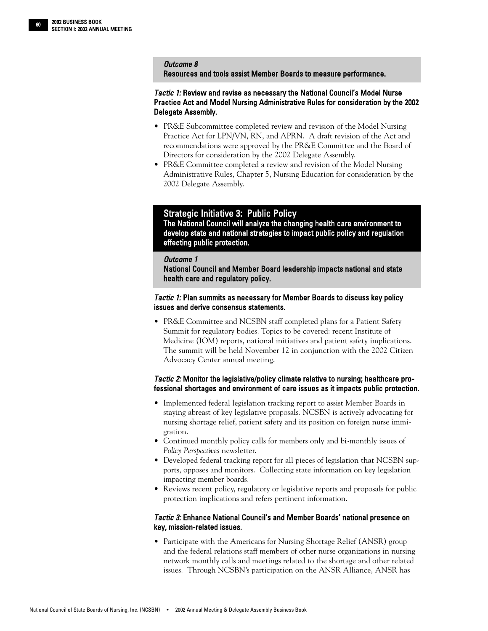Resources and tools assist Member Boards to measure performance.

# Tactic 1: Review and revise as necessary the National Council's Model Nurse Practice Act and Model Nursing Administrative Rules for consideration by the 2002 Delegate Assembly.

- PR&E Subcommittee completed review and revision of the Model Nursing Practice Act for LPN/VN, RN, and APRN. A draft revision of the Act and recommendations were approved by the PR&E Committee and the Board of Directors for consideration by the 2002 Delegate Assembly.
- PR&E Committee completed a review and revision of the Model Nursing Administrative Rules, Chapter 5, Nursing Education for consideration by the 2002 Delegate Assembly.

# Strategic Initiative 3: Public Policy

The National Council will analyze the changing health care environment to develop state and national strategies to impact public policy and regulation effecting public protection.

#### Outcome 1

National Council and Member Board leadership impacts national and state health care and regulatory policy.

# Tactic 1: Plan summits as necessary for Member Boards to discuss key policy issues and derive consensus statements.

• PR&E Committee and NCSBN staff completed plans for a Patient Safety Summit for regulatory bodies. Topics to be covered: recent Institute of Medicine (IOM) reports, national initiatives and patient safety implications. The summit will be held November 12 in conjunction with the 2002 Citizen Advocacy Center annual meeting.

# Tactic 2: Monitor the legislative/policy climate relative to nursing; healthcare professional shortages and environment of care issues as it impacts public protection.

- Implemented federal legislation tracking report to assist Member Boards in staying abreast of key legislative proposals. NCSBN is actively advocating for nursing shortage relief, patient safety and its position on foreign nurse immigration.
- Continued monthly policy calls for members only and bi-monthly issues of *Policy Perspectives* newsletter.
- Developed federal tracking report for all pieces of legislation that NCSBN supports, opposes and monitors. Collecting state information on key legislation impacting member boards.
- Reviews recent policy, regulatory or legislative reports and proposals for public protection implications and refers pertinent information.

# Tactic 3: Enhance National Council's and Member Boards' national presence on key, mission-related issues.

• Participate with the Americans for Nursing Shortage Relief (ANSR) group and the federal relations staff members of other nurse organizations in nursing network monthly calls and meetings related to the shortage and other related issues. Through NCSBN's participation on the ANSR Alliance, ANSR has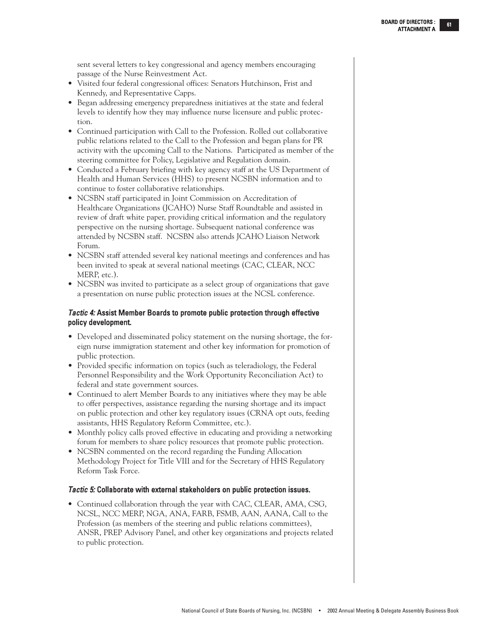sent several letters to key congressional and agency members encouraging passage of the Nurse Reinvestment Act.

- Visited four federal congressional offices: Senators Hutchinson, Frist and Kennedy, and Representative Capps.
- Began addressing emergency preparedness initiatives at the state and federal levels to identify how they may influence nurse licensure and public protection.
- Continued participation with Call to the Profession. Rolled out collaborative public relations related to the Call to the Profession and began plans for PR activity with the upcoming Call to the Nations. Participated as member of the steering committee for Policy, Legislative and Regulation domain.
- Conducted a February briefing with key agency staff at the US Department of Health and Human Services (HHS) to present NCSBN information and to continue to foster collaborative relationships.
- NCSBN staff participated in Joint Commission on Accreditation of Healthcare Organizations (JCAHO) Nurse Staff Roundtable and assisted in review of draft white paper, providing critical information and the regulatory perspective on the nursing shortage. Subsequent national conference was attended by NCSBN staff. NCSBN also attends JCAHO Liaison Network Forum.
- NCSBN staff attended several key national meetings and conferences and has been invited to speak at several national meetings (CAC, CLEAR, NCC MERP, etc.).
- NCSBN was invited to participate as a select group of organizations that gave a presentation on nurse public protection issues at the NCSL conference.

# Tactic 4: Assist Member Boards to promote public protection through effective policy development.

- Developed and disseminated policy statement on the nursing shortage, the foreign nurse immigration statement and other key information for promotion of public protection.
- Provided specific information on topics (such as teleradiology, the Federal Personnel Responsibility and the Work Opportunity Reconciliation Act) to federal and state government sources.
- Continued to alert Member Boards to any initiatives where they may be able to offer perspectives, assistance regarding the nursing shortage and its impact on public protection and other key regulatory issues (CRNA opt outs, feeding assistants, HHS Regulatory Reform Committee, etc.).
- Monthly policy calls proved effective in educating and providing a networking forum for members to share policy resources that promote public protection.
- NCSBN commented on the record regarding the Funding Allocation Methodology Project for Title VIII and for the Secretary of HHS Regulatory Reform Task Force.

# Tactic 5: Collaborate with external stakeholders on public protection issues.

• Continued collaboration through the year with CAC, CLEAR, AMA, CSG, NCSL, NCC MERP, NGA, ANA, FARB, FSMB, AAN, AANA, Call to the Profession (as members of the steering and public relations committees), ANSR, PREP Advisory Panel, and other key organizations and projects related to public protection.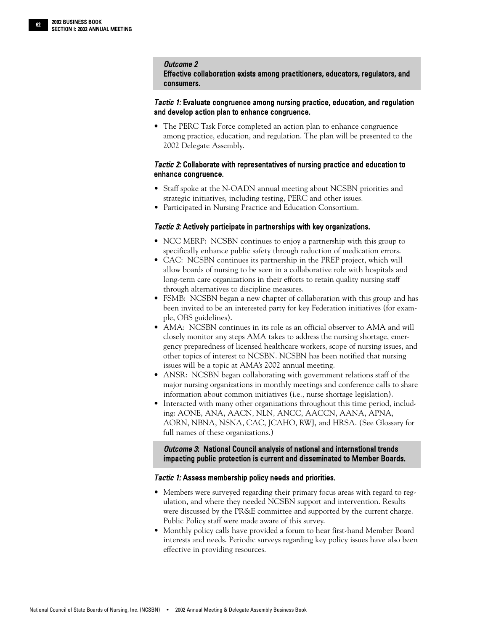Effective collaboration exists among practitioners, educators, regulators, and consumers.

### Tactic 1: Evaluate congruence among nursing practice, education, and regulation and develop action plan to enhance congruence.

• The PERC Task Force completed an action plan to enhance congruence among practice, education, and regulation. The plan will be presented to the 2002 Delegate Assembly.

# Tactic 2: Collaborate with representatives of nursing practice and education to enhance congruence.

- Staff spoke at the N-OADN annual meeting about NCSBN priorities and strategic initiatives, including testing, PERC and other issues.
- Participated in Nursing Practice and Education Consortium.

#### Tactic 3: Actively participate in partnerships with key organizations.

- NCC MERP: NCSBN continues to enjoy a partnership with this group to specifically enhance public safety through reduction of medication errors.
- CAC: NCSBN continues its partnership in the PREP project, which will allow boards of nursing to be seen in a collaborative role with hospitals and long-term care organizations in their efforts to retain quality nursing staff through alternatives to discipline measures.
- FSMB: NCSBN began a new chapter of collaboration with this group and has been invited to be an interested party for key Federation initiatives (for example, OBS guidelines).
- AMA: NCSBN continues in its role as an official observer to AMA and will closely monitor any steps AMA takes to address the nursing shortage, emergency preparedness of licensed healthcare workers, scope of nursing issues, and other topics of interest to NCSBN. NCSBN has been notified that nursing issues will be a topic at AMA's 2002 annual meeting.
- ANSR: NCSBN began collaborating with government relations staff of the major nursing organizations in monthly meetings and conference calls to share information about common initiatives (i.e., nurse shortage legislation).
- Interacted with many other organizations throughout this time period, including: AONE, ANA, AACN, NLN, ANCC, AACCN, AANA, APNA, AORN, NBNA, NSNA, CAC, JCAHO, RWJ, and HRSA. (See Glossary for full names of these organizations.)

**Outcome 3: National Council analysis of national and international trends** impacting public protection is current and disseminated to Member Boards.

### Tactic 1: Assess membership policy needs and priorities.

- Members were surveyed regarding their primary focus areas with regard to regulation, and where they needed NCSBN support and intervention. Results were discussed by the PR&E committee and supported by the current charge. Public Policy staff were made aware of this survey.
- Monthly policy calls have provided a forum to hear first-hand Member Board interests and needs. Periodic surveys regarding key policy issues have also been effective in providing resources.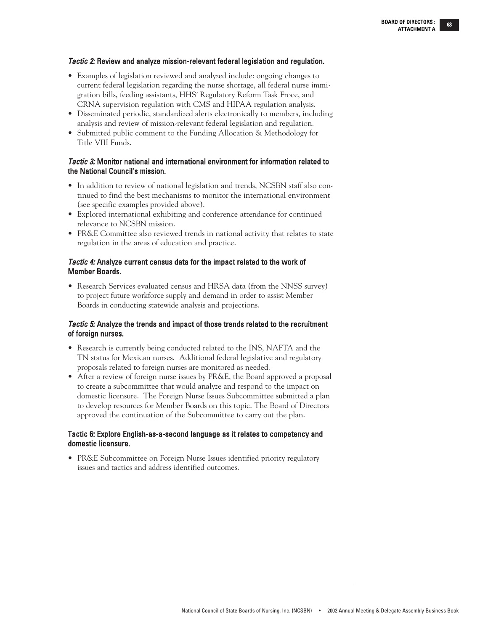# Tactic 2: Review and analyze mission-relevant federal legislation and regulation.

- Examples of legislation reviewed and analyzed include: ongoing changes to current federal legislation regarding the nurse shortage, all federal nurse immigration bills, feeding assistants, HHS' Regulatory Reform Task Froce, and CRNA supervision regulation with CMS and HIPAA regulation analysis.
- Disseminated periodic, standardized alerts electronically to members, including analysis and review of mission-relevant federal legislation and regulation.
- Submitted public comment to the Funding Allocation & Methodology for Title VIII Funds.

## Tactic 3: Monitor national and international environment for information related to the National Council's mission.

- In addition to review of national legislation and trends, NCSBN staff also continued to find the best mechanisms to monitor the international environment (see specific examples provided above).
- Explored international exhibiting and conference attendance for continued relevance to NCSBN mission.
- PR&E Committee also reviewed trends in national activity that relates to state regulation in the areas of education and practice.

# Tactic 4: Analyze current census data for the impact related to the work of Member Boards.

• Research Services evaluated census and HRSA data (from the NNSS survey) to project future workforce supply and demand in order to assist Member Boards in conducting statewide analysis and projections.

# Tactic 5: Analyze the trends and impact of those trends related to the recruitment of foreign nurses.

- Research is currently being conducted related to the INS, NAFTA and the TN status for Mexican nurses. Additional federal legislative and regulatory proposals related to foreign nurses are monitored as needed.
- After a review of foreign nurse issues by PR&E, the Board approved a proposal to create a subcommittee that would analyze and respond to the impact on domestic licensure. The Foreign Nurse Issues Subcommittee submitted a plan to develop resources for Member Boards on this topic. The Board of Directors approved the continuation of the Subcommittee to carry out the plan.

# Tactic 6: Explore English-as-a-second language as it relates to competency and domestic licensure.

• PR&E Subcommittee on Foreign Nurse Issues identified priority regulatory issues and tactics and address identified outcomes.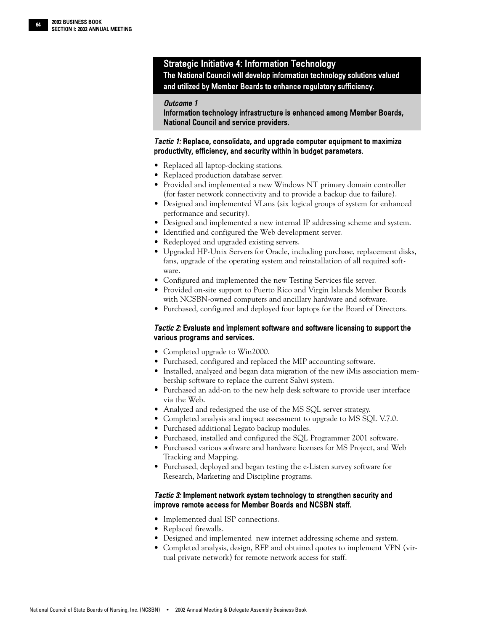# Strategic Initiative 4: Information Technology

The National Council will develop information technology solutions valued and utilized by Member Boards to enhance regulatory sufficiency.

#### Outcome 1

Information technology infrastructure is enhanced among Member Boards, National Council and service providers.

# Tactic 1: Replace, consolidate, and upgrade computer equipment to maximize productivity, efficiency, and security within in budget parameters.

- Replaced all laptop-docking stations.
- Replaced production database server.
- Provided and implemented a new Windows NT primary domain controller (for faster network connectivity and to provide a backup due to failure).
- Designed and implemented VLans (six logical groups of system for enhanced performance and security).
- Designed and implemented a new internal IP addressing scheme and system.
- Identified and configured the Web development server.
- Redeployed and upgraded existing servers.
- Upgraded HP-Unix Servers for Oracle, including purchase, replacement disks, fans, upgrade of the operating system and reinstallation of all required software.
- Configured and implemented the new Testing Services file server.
- Provided on-site support to Puerto Rico and Virgin Islands Member Boards with NCSBN-owned computers and ancillary hardware and software.
- Purchased, configured and deployed four laptops for the Board of Directors.

# Tactic 2: Evaluate and implement software and software licensing to support the various programs and services.

- Completed upgrade to Win2000.
- Purchased, configured and replaced the MIP accounting software.
- Installed, analyzed and began data migration of the new iMis association membership software to replace the current Sahvi system.
- Purchased an add-on to the new help desk software to provide user interface via the Web.
- Analyzed and redesigned the use of the MS SQL server strategy.
- Completed analysis and impact assessment to upgrade to MS SQL V.7.0.
- Purchased additional Legato backup modules.
- Purchased, installed and configured the SQL Programmer 2001 software.
- Purchased various software and hardware licenses for MS Project, and Web Tracking and Mapping.
- Purchased, deployed and began testing the e-Listen survey software for Research, Marketing and Discipline programs.

# Tactic 3: Implement network system technology to strengthen security and improve remote access for Member Boards and NCSBN staff.

- Implemented dual ISP connections.
- Replaced firewalls.
- Designed and implemented new internet addressing scheme and system.
- Completed analysis, design, RFP and obtained quotes to implement VPN (virtual private network) for remote network access for staff.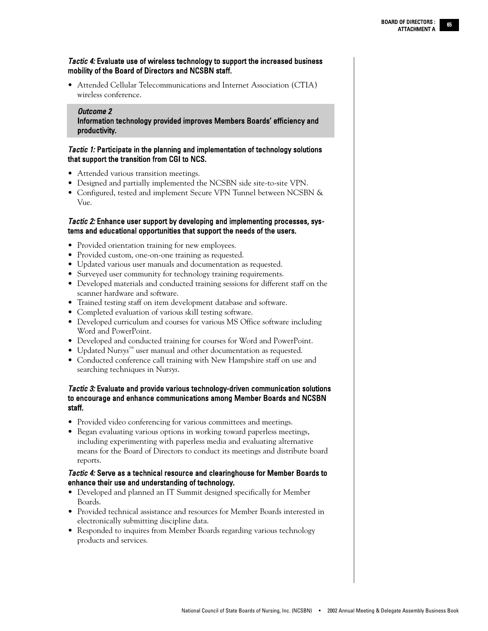# Tactic 4: Evaluate use of wireless technology to support the increased business mobility of the Board of Directors and NCSBN staff.

• Attended Cellular Telecommunications and Internet Association (CTIA) wireless conference.

# Outcome 2

Information technology provided improves Members Boards' efficiency and productivity.

# Tactic 1: Participate in the planning and implementation of technology solutions that support the transition from CGI to NCS.

- Attended various transition meetings.
- Designed and partially implemented the NCSBN side site-to-site VPN.
- Configured, tested and implement Secure VPN Tunnel between NCSBN & Vue.

# Tactic 2: Enhance user support by developing and implementing processes, systems and educational opportunities that support the needs of the users.

- Provided orientation training for new employees.
- Provided custom, one-on-one training as requested.
- Updated various user manuals and documentation as requested.
- Surveyed user community for technology training requirements.
- Developed materials and conducted training sessions for different staff on the scanner hardware and software.
- Trained testing staff on item development database and software.
- Completed evaluation of various skill testing software.
- Developed curriculum and courses for various MS Office software including Word and PowerPoint.
- Developed and conducted training for courses for Word and PowerPoint.
- Updated Nur*sys™* user manual and other documentation as requested.
- Conducted conference call training with New Hampshire staff on use and searching techniques in Nur*sys*.

# Tactic 3: Evaluate and provide various technology-driven communication solutions to encourage and enhance communications among Member Boards and NCSBN staff.

- Provided video conferencing for various committees and meetings.
- Began evaluating various options in working toward paperless meetings, including experimenting with paperless media and evaluating alternative means for the Board of Directors to conduct its meetings and distribute board reports.

# Tactic 4: Serve as a technical resource and clearinghouse for Member Boards to enhance their use and understanding of technology.

- Developed and planned an IT Summit designed specifically for Member Boards.
- Provided technical assistance and resources for Member Boards interested in electronically submitting discipline data.
- Responded to inquires from Member Boards regarding various technology products and services.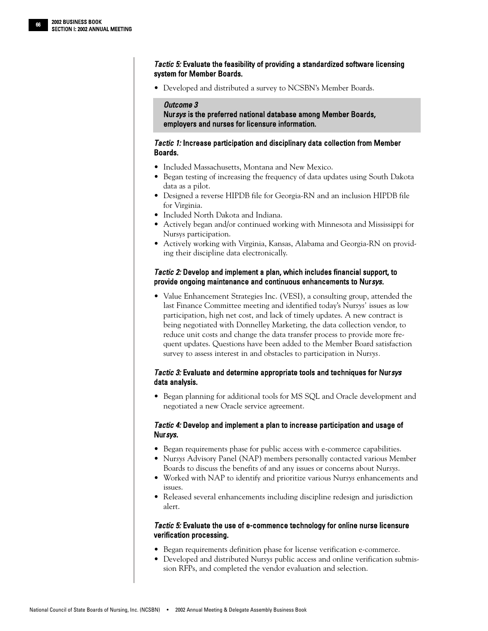# Tactic 5: Evaluate the feasibility of providing a standardized software licensing system for Member Boards.

• Developed and distributed a survey to NCSBN's Member Boards.

#### Outcome 3

Nursys is the preferred national database among Member Boards, employers and nurses for licensure information.

# Tactic 1: Increase participation and disciplinary data collection from Member Boards.

- Included Massachusetts, Montana and New Mexico.
- Began testing of increasing the frequency of data updates using South Dakota data as a pilot.
- Designed a reverse HIPDB file for Georgia-RN and an inclusion HIPDB file for Virginia.
- Included North Dakota and Indiana.
- Actively began and/or continued working with Minnesota and Mississippi for Nursys participation.
- Actively working with Virginia, Kansas, Alabama and Georgia-RN on providing their discipline data electronically.

# Tactic 2: Develop and implement a plan, which includes financial support, to provide ongoing maintenance and continuous enhancements to Nursys.

• Value Enhancement Strategies Inc. (VESI), a consulting group, attended the last Finance Committee meeting and identified today's Nur*sys'* issues as low participation, high net cost, and lack of timely updates. A new contract is being negotiated with Donnelley Marketing, the data collection vendor, to reduce unit costs and change the data transfer process to provide more frequent updates. Questions have been added to the Member Board satisfaction survey to assess interest in and obstacles to participation in Nur*sys.*

# Tactic 3: Evaluate and determine appropriate tools and techniques for Nursys data analysis.

• Began planning for additional tools for MS SQL and Oracle development and negotiated a new Oracle service agreement.

# Tactic 4: Develop and implement a plan to increase participation and usage of Nursys.

- Began requirements phase for public access with e-commerce capabilities.
- Nur*sys* Advisory Panel (NAP) members personally contacted various Member Boards to discuss the benefits of and any issues or concerns about Nur*sys*.
- Worked with NAP to identify and prioritize various Nur*sys* enhancements and issues.
- Released several enhancements including discipline redesign and jurisdiction alert.

# Tactic 5: Evaluate the use of e-commence technology for online nurse licensure verification processing.

- Began requirements definition phase for license verification e-commerce.
- Developed and distributed Nur*sys* public access and online verification submission RFPs, and completed the vendor evaluation and selection.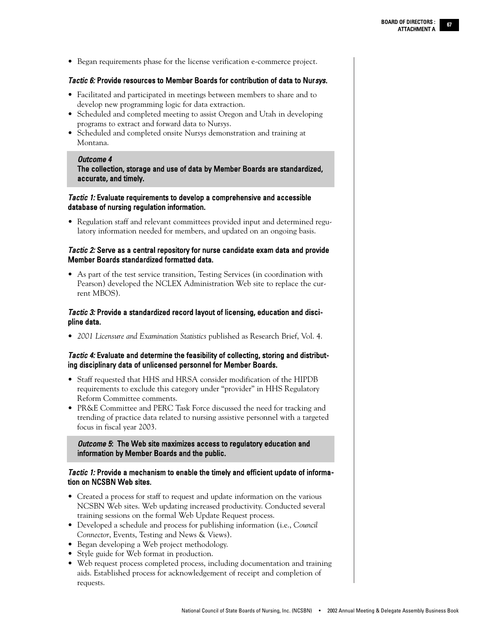• Began requirements phase for the license verification e-commerce project.

## Tactic 6: Provide resources to Member Boards for contribution of data to Nursys.

- Facilitated and participated in meetings between members to share and to develop new programming logic for data extraction.
- Scheduled and completed meeting to assist Oregon and Utah in developing programs to extract and forward data to Nur*sys*.
- Scheduled and completed onsite Nur*sys* demonstration and training at Montana.

# Outcome 4

The collection, storage and use of data by Member Boards are standardized, accurate, and timely.

## Tactic 1: Evaluate requirements to develop a comprehensive and accessible database of nursing regulation information.

• Regulation staff and relevant committees provided input and determined regulatory information needed for members, and updated on an ongoing basis.

# Tactic 2: Serve as a central repository for nurse candidate exam data and provide Member Boards standardized formatted data.

• As part of the test service transition, Testing Services (in coordination with Pearson) developed the NCLEX Administration Web site to replace the current MBOS).

# Tactic 3: Provide a standardized record layout of licensing, education and discipline data.

*• 2001 Licensure and Examination Statistics* published as Research Brief, Vol. 4.

# Tactic 4: Evaluate and determine the feasibility of collecting, storing and distributing disciplinary data of unlicensed personnel for Member Boards.

- Staff requested that HHS and HRSA consider modification of the HIPDB requirements to exclude this category under "provider" in HHS Regulatory Reform Committee comments.
- PR&E Committee and PERC Task Force discussed the need for tracking and trending of practice data related to nursing assistive personnel with a targeted focus in fiscal year 2003.

## Outcome 5: The Web site maximizes access to regulatory education and information by Member Boards and the public.

# Tactic 1: Provide a mechanism to enable the timely and efficient update of information on NCSBN Web sites.

- Created a process for staff to request and update information on the various NCSBN Web sites. Web updating increased productivity. Conducted several training sessions on the formal Web Update Request process.
- Developed a schedule and process for publishing information (i.e., *Council Connector*, Events, Testing and News & Views).
- Began developing a Web project methodology.
- Style guide for Web format in production.
- Web request process completed process, including documentation and training aids. Established process for acknowledgement of receipt and completion of requests.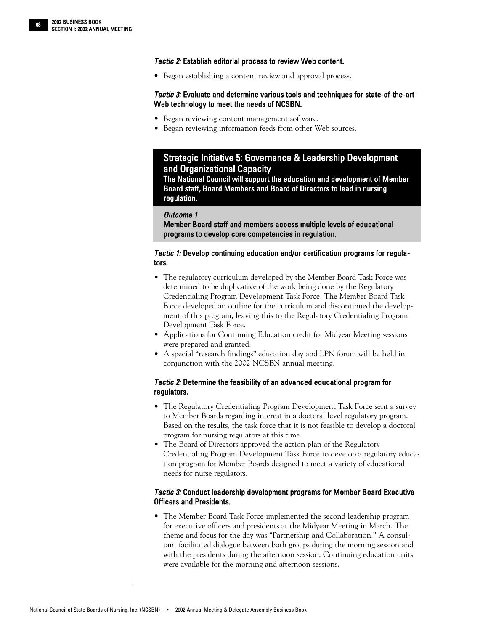## Tactic 2: Establish editorial process to review Web content.

• Began establishing a content review and approval process.

# Tactic 3: Evaluate and determine various tools and techniques for state-of-the-art Web technology to meet the needs of NCSBN.

- Began reviewing content management software.
- Began reviewing information feeds from other Web sources.

# Strategic Initiative 5: Governance & Leadership Development and Organizational Capacity

The National Council will support the education and development of Member Board staff, Board Members and Board of Directors to lead in nursing regulation.

#### Outcome 1

Member Board staff and members access multiple levels of educational programs to develop core competencies in regulation.

# Tactic 1: Develop continuing education and/or certification programs for regulators.

- The regulatory curriculum developed by the Member Board Task Force was determined to be duplicative of the work being done by the Regulatory Credentialing Program Development Task Force. The Member Board Task Force developed an outline for the curriculum and discontinued the development of this program, leaving this to the Regulatory Credentialing Program Development Task Force.
- Applications for Continuing Education credit for Midyear Meeting sessions were prepared and granted.
- A special "research findings" education day and LPN forum will be held in conjunction with the 2002 NCSBN annual meeting.

# Tactic 2: Determine the feasibility of an advanced educational program for regulators.

- The Regulatory Credentialing Program Development Task Force sent a survey to Member Boards regarding interest in a doctoral level regulatory program. Based on the results, the task force that it is not feasible to develop a doctoral program for nursing regulators at this time.
- The Board of Directors approved the action plan of the Regulatory Credentialing Program Development Task Force to develop a regulatory education program for Member Boards designed to meet a variety of educational needs for nurse regulators.

# Tactic 3: Conduct leadership development programs for Member Board Executive Officers and Presidents.

• The Member Board Task Force implemented the second leadership program for executive officers and presidents at the Midyear Meeting in March. The theme and focus for the day was "Partnership and Collaboration." A consultant facilitated dialogue between both groups during the morning session and with the presidents during the afternoon session. Continuing education units were available for the morning and afternoon sessions.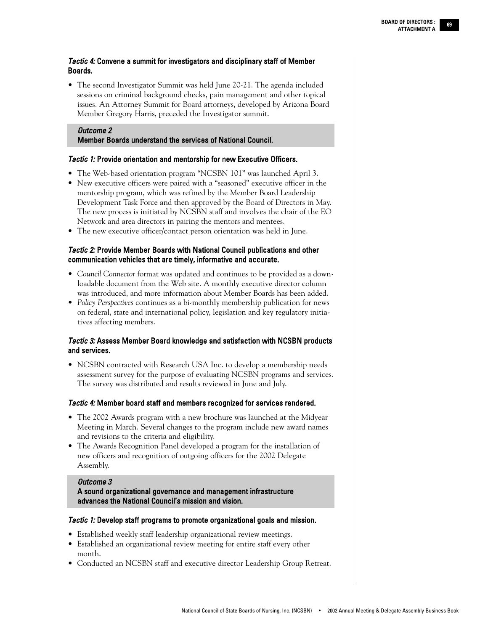# Tactic 4: Convene a summit for investigators and disciplinary staff of Member Boards.

• The second Investigator Summit was held June 20-21. The agenda included sessions on criminal background checks, pain management and other topical issues. An Attorney Summit for Board attorneys, developed by Arizona Board Member Gregory Harris, preceded the Investigator summit.

# Outcome 2 Member Boards understand the services of National Council.

# Tactic 1: Provide orientation and mentorship for new Executive Officers.

- The Web-based orientation program "NCSBN 101" was launched April 3.
- New executive officers were paired with a "seasoned" executive officer in the mentorship program, which was refined by the Member Board Leadership Development Task Force and then approved by the Board of Directors in May. The new process is initiated by NCSBN staff and involves the chair of the EO Network and area directors in pairing the mentors and mentees.
- The new executive officer/contact person orientation was held in June.

# Tactic 2: Provide Member Boards with National Council publications and other communication vehicles that are timely, informative and accurate.

- *Council Connector* format was updated and continues to be provided as a downloadable document from the Web site. A monthly executive director column was introduced, and more information about Member Boards has been added.
- *Policy Perspectives* continues as a bi-monthly membership publication for news on federal, state and international policy, legislation and key regulatory initiatives affecting members.

# Tactic 3: Assess Member Board knowledge and satisfaction with NCSBN products and services.

• NCSBN contracted with Research USA Inc. to develop a membership needs assessment survey for the purpose of evaluating NCSBN programs and services. The survey was distributed and results reviewed in June and July.

# Tactic 4: Member board staff and members recognized for services rendered.

- The 2002 Awards program with a new brochure was launched at the Midyear Meeting in March. Several changes to the program include new award names and revisions to the criteria and eligibility.
- The Awards Recognition Panel developed a program for the installation of new officers and recognition of outgoing officers for the 2002 Delegate Assembly.

# Outcome 3

A sound organizational governance and management infrastructure advances the National Council's mission and vision.

# Tactic 1: Develop staff programs to promote organizational goals and mission.

- Established weekly staff leadership organizational review meetings.
- Established an organizational review meeting for entire staff every other month.
- Conducted an NCSBN staff and executive director Leadership Group Retreat.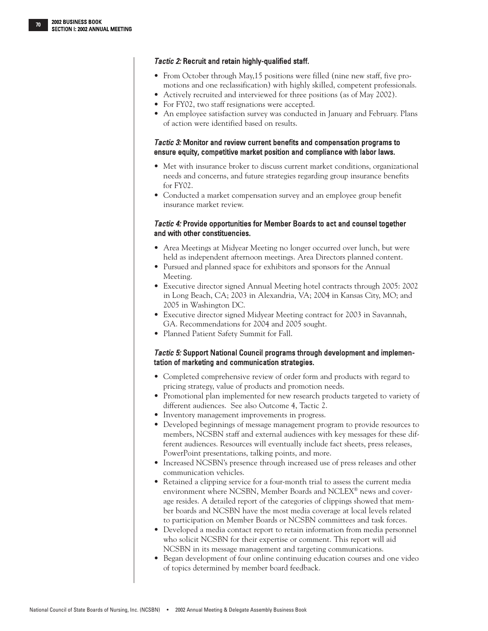# Tactic 2: Recruit and retain highly-qualified staff.

- From October through May, 15 positions were filled (nine new staff, five promotions and one reclassification) with highly skilled, competent professionals.
- Actively recruited and interviewed for three positions (as of May 2002).
- For FY02, two staff resignations were accepted.
- An employee satisfaction survey was conducted in January and February. Plans of action were identified based on results.

# Tactic 3: Monitor and review current benefits and compensation programs to ensure equity, competitive market position and compliance with labor laws.

- Met with insurance broker to discuss current market conditions, organizational needs and concerns, and future strategies regarding group insurance benefits for FY02.
- Conducted a market compensation survey and an employee group benefit insurance market review.

# Tactic 4: Provide opportunities for Member Boards to act and counsel together and with other constituencies.

- Area Meetings at Midyear Meeting no longer occurred over lunch, but were held as independent afternoon meetings. Area Directors planned content.
- Pursued and planned space for exhibitors and sponsors for the Annual Meeting.
- Executive director signed Annual Meeting hotel contracts through 2005: 2002 in Long Beach, CA; 2003 in Alexandria, VA; 2004 in Kansas City, MO; and 2005 in Washington DC.
- Executive director signed Midyear Meeting contract for 2003 in Savannah, GA. Recommendations for 2004 and 2005 sought.
- Planned Patient Safety Summit for Fall.

# Tactic 5: Support National Council programs through development and implementation of marketing and communication strategies.

- Completed comprehensive review of order form and products with regard to pricing strategy, value of products and promotion needs.
- Promotional plan implemented for new research products targeted to variety of different audiences. See also Outcome 4, Tactic 2.
- Inventory management improvements in progress.
- Developed beginnings of message management program to provide resources to members, NCSBN staff and external audiences with key messages for these different audiences. Resources will eventually include fact sheets, press releases, PowerPoint presentations, talking points, and more.
- Increased NCSBN's presence through increased use of press releases and other communication vehicles.
- Retained a clipping service for a four-month trial to assess the current media environment where NCSBN, Member Boards and NCLEX® news and coverage resides. A detailed report of the categories of clippings showed that member boards and NCSBN have the most media coverage at local levels related to participation on Member Boards or NCSBN committees and task forces.
- Developed a media contact report to retain information from media personnel who solicit NCSBN for their expertise or comment. This report will aid NCSBN in its message management and targeting communications.
- Began development of four online continuing education courses and one video of topics determined by member board feedback.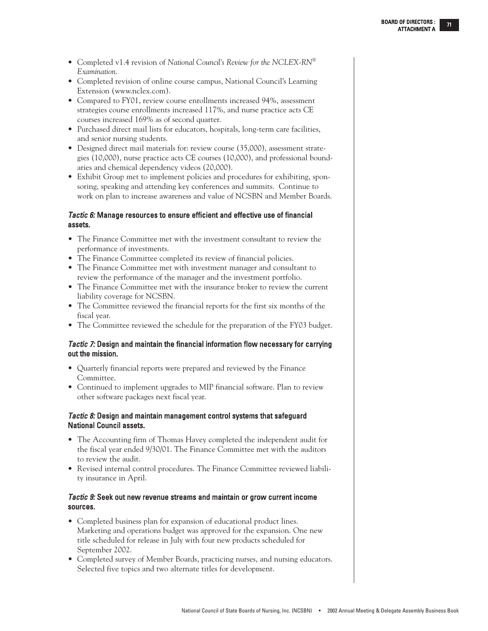- Completed v1.4 revision of *National Council's Review for the NCLEX-RN® Examination*.
- Completed revision of online course campus, National Council's Learning Extension (www.nclex.com).
- Compared to FY01, review course enrollments increased 94%, assessment strategies course enrollments increased 117%, and nurse practice acts CE courses increased 169% as of second quarter.
- Purchased direct mail lists for educators, hospitals, long-term care facilities, and senior nursing students.
- Designed direct mail materials for: review course (35,000), assessment strategies (10,000), nurse practice acts CE courses (10,000), and professional boundaries and chemical dependency videos (20,000).
- Exhibit Group met to implement policies and procedures for exhibiting, sponsoring, speaking and attending key conferences and summits. Continue to work on plan to increase awareness and value of NCSBN and Member Boards.

# Tactic 6: Manage resources to ensure efficient and effective use of financial assets.

- The Finance Committee met with the investment consultant to review the performance of investments.
- The Finance Committee completed its review of financial policies.
- The Finance Committee met with investment manager and consultant to review the performance of the manager and the investment portfolio.
- The Finance Committee met with the insurance broker to review the current liability coverage for NCSBN.
- The Committee reviewed the financial reports for the first six months of the fiscal year.
- The Committee reviewed the schedule for the preparation of the FY03 budget.

# Tactic 7: Design and maintain the financial information flow necessary for carrying out the mission.

- Quarterly financial reports were prepared and reviewed by the Finance Committee.
- Continued to implement upgrades to MIP financial software. Plan to review other software packages next fiscal year.

# Tactic 8: Design and maintain management control systems that safeguard National Council assets.

- The Accounting firm of Thomas Havey completed the independent audit for the fiscal year ended 9/30/01. The Finance Committee met with the auditors to review the audit.
- Revised internal control procedures. The Finance Committee reviewed liability insurance in April.

# Tactic 9: Seek out new revenue streams and maintain or grow current income sources.

- Completed business plan for expansion of educational product lines. Marketing and operations budget was approved for the expansion. One new title scheduled for release in July with four new products scheduled for September 2002.
- Completed survey of Member Boards, practicing nurses, and nursing educators. Selected five topics and two alternate titles for development.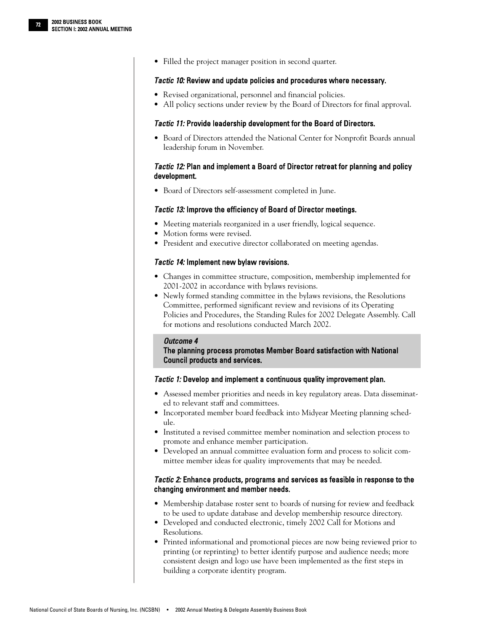• Filled the project manager position in second quarter.

#### Tactic 10: Review and update policies and procedures where necessary.

- Revised organizational, personnel and financial policies.
- All policy sections under review by the Board of Directors for final approval.

### Tactic 11: Provide leadership development for the Board of Directors.

• Board of Directors attended the National Center for Nonprofit Boards annual leadership forum in November.

## Tactic 12: Plan and implement a Board of Director retreat for planning and policy development.

• Board of Directors self-assessment completed in June.

## Tactic 13: Improve the efficiency of Board of Director meetings.

- Meeting materials reorganized in a user friendly, logical sequence.
- Motion forms were revised.
- President and executive director collaborated on meeting agendas.

### Tactic 14: Implement new bylaw revisions.

- Changes in committee structure, composition, membership implemented for 2001-2002 in accordance with bylaws revisions.
- Newly formed standing committee in the bylaws revisions, the Resolutions Committee, performed significant review and revisions of its Operating Policies and Procedures, the Standing Rules for 2002 Delegate Assembly. Call for motions and resolutions conducted March 2002.

#### Outcome 4

# The planning process promotes Member Board satisfaction with National Council products and services.

## Tactic 1: Develop and implement a continuous quality improvement plan.

- Assessed member priorities and needs in key regulatory areas. Data disseminated to relevant staff and committees.
- Incorporated member board feedback into Midyear Meeting planning schedule.
- Instituted a revised committee member nomination and selection process to promote and enhance member participation.
- Developed an annual committee evaluation form and process to solicit committee member ideas for quality improvements that may be needed.

### Tactic 2: Enhance products, programs and services as feasible in response to the changing environment and member needs.

- Membership database roster sent to boards of nursing for review and feedback to be used to update database and develop membership resource directory.
- Developed and conducted electronic, timely 2002 Call for Motions and Resolutions.
- Printed informational and promotional pieces are now being reviewed prior to printing (or reprinting) to better identify purpose and audience needs; more consistent design and logo use have been implemented as the first steps in building a corporate identity program.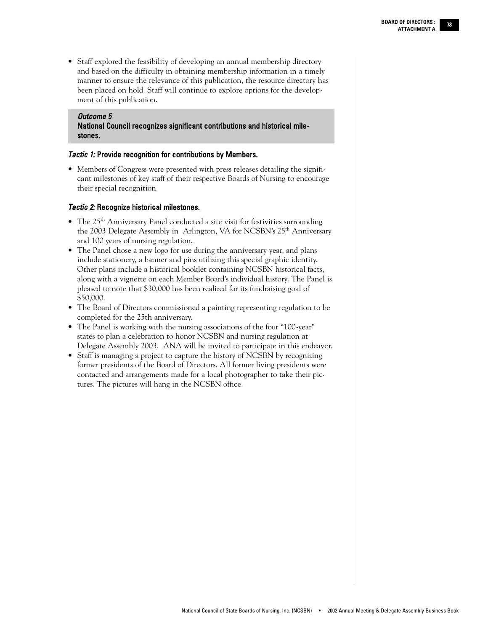• Staff explored the feasibility of developing an annual membership directory and based on the difficulty in obtaining membership information in a timely manner to ensure the relevance of this publication, the resource directory has been placed on hold. Staff will continue to explore options for the development of this publication.

# Outcome 5

National Council recognizes significant contributions and historical milestones.

### Tactic 1: Provide recognition for contributions by Members.

• Members of Congress were presented with press releases detailing the significant milestones of key staff of their respective Boards of Nursing to encourage their special recognition.

### Tactic 2: Recognize historical milestones.

- The  $25<sup>th</sup>$  Anniversary Panel conducted a site visit for festivities surrounding the 2003 Delegate Assembly in Arlington, VA for NCSBN's 25<sup>th</sup> Anniversary and 100 years of nursing regulation.
- The Panel chose a new logo for use during the anniversary year, and plans include stationery, a banner and pins utilizing this special graphic identity. Other plans include a historical booklet containing NCSBN historical facts, along with a vignette on each Member Board's individual history. The Panel is pleased to note that \$30,000 has been realized for its fundraising goal of \$50,000.
- The Board of Directors commissioned a painting representing regulation to be completed for the 25th anniversary.
- The Panel is working with the nursing associations of the four "100-year" states to plan a celebration to honor NCSBN and nursing regulation at Delegate Assembly 2003. ANA will be invited to participate in this endeavor.
- Staff is managing a project to capture the history of NCSBN by recognizing former presidents of the Board of Directors. All former living presidents were contacted and arrangements made for a local photographer to take their pictures. The pictures will hang in the NCSBN office.